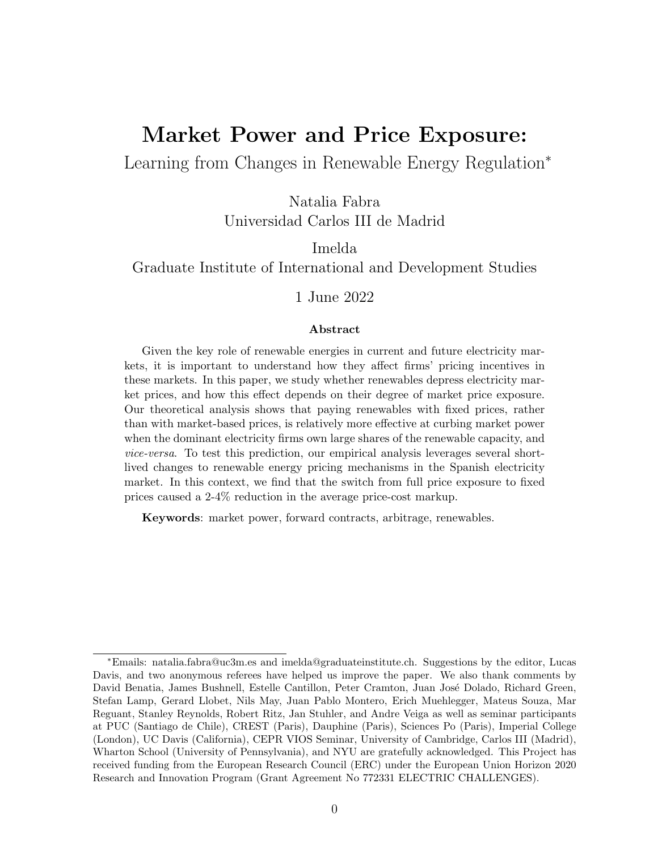# <span id="page-0-0"></span>Market Power and Price Exposure:

Learning from Changes in Renewable Energy Regulation<sup>∗</sup>

Natalia Fabra Universidad Carlos III de Madrid

Imelda Graduate Institute of International and Development Studies

1 June 2022

#### Abstract

Given the key role of renewable energies in current and future electricity markets, it is important to understand how they affect firms' pricing incentives in these markets. In this paper, we study whether renewables depress electricity market prices, and how this effect depends on their degree of market price exposure. Our theoretical analysis shows that paying renewables with fixed prices, rather than with market-based prices, is relatively more effective at curbing market power when the dominant electricity firms own large shares of the renewable capacity, and vice-versa. To test this prediction, our empirical analysis leverages several shortlived changes to renewable energy pricing mechanisms in the Spanish electricity market. In this context, we find that the switch from full price exposure to fixed prices caused a 2-4% reduction in the average price-cost markup.

Keywords: market power, forward contracts, arbitrage, renewables.

<sup>∗</sup>Emails: natalia.fabra@uc3m.es and imelda@graduateinstitute.ch. Suggestions by the editor, Lucas Davis, and two anonymous referees have helped us improve the paper. We also thank comments by David Benatia, James Bushnell, Estelle Cantillon, Peter Cramton, Juan José Dolado, Richard Green, Stefan Lamp, Gerard Llobet, Nils May, Juan Pablo Montero, Erich Muehlegger, Mateus Souza, Mar Reguant, Stanley Reynolds, Robert Ritz, Jan Stuhler, and Andre Veiga as well as seminar participants at PUC (Santiago de Chile), CREST (Paris), Dauphine (Paris), Sciences Po (Paris), Imperial College (London), UC Davis (California), CEPR VIOS Seminar, University of Cambridge, Carlos III (Madrid), Wharton School (University of Pennsylvania), and NYU are gratefully acknowledged. This Project has received funding from the European Research Council (ERC) under the European Union Horizon 2020 Research and Innovation Program (Grant Agreement No 772331 ELECTRIC CHALLENGES).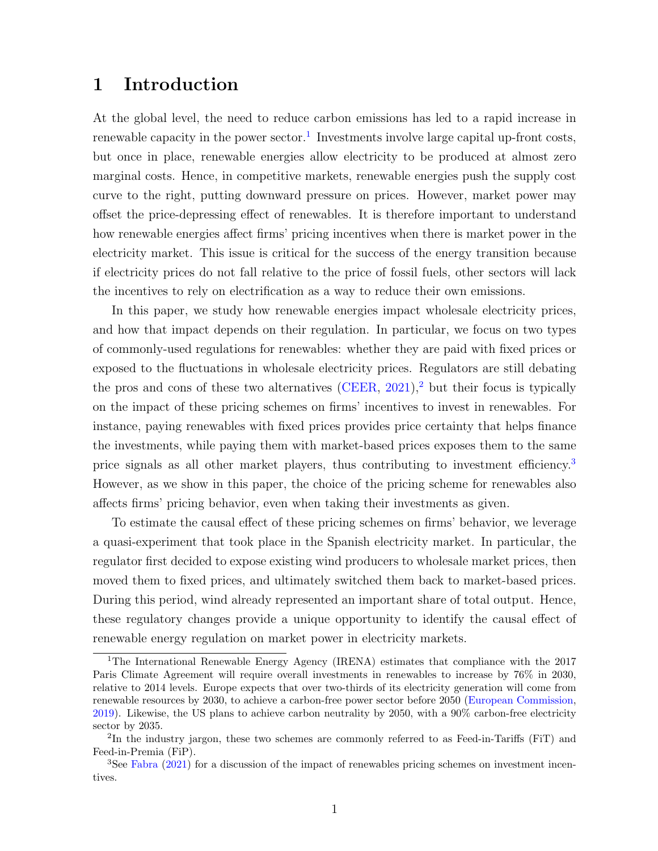### 1 Introduction

At the global level, the need to reduce carbon emissions has led to a rapid increase in renewable capacity in the power sector.<sup>[1](#page-0-0)</sup> Investments involve large capital up-front costs, but once in place, renewable energies allow electricity to be produced at almost zero marginal costs. Hence, in competitive markets, renewable energies push the supply cost curve to the right, putting downward pressure on prices. However, market power may offset the price-depressing effect of renewables. It is therefore important to understand how renewable energies affect firms' pricing incentives when there is market power in the electricity market. This issue is critical for the success of the energy transition because if electricity prices do not fall relative to the price of fossil fuels, other sectors will lack the incentives to rely on electrification as a way to reduce their own emissions.

In this paper, we study how renewable energies impact wholesale electricity prices, and how that impact depends on their regulation. In particular, we focus on two types of commonly-used regulations for renewables: whether they are paid with fixed prices or exposed to the fluctuations in wholesale electricity prices. Regulators are still debating the pros and cons of these two alternatives  $(CEER, 2021)$  $(CEER, 2021)$  $(CEER, 2021)$ , but their focus is typically on the impact of these pricing schemes on firms' incentives to invest in renewables. For instance, paying renewables with fixed prices provides price certainty that helps finance the investments, while paying them with market-based prices exposes them to the same price signals as all other market players, thus contributing to investment efficiency.[3](#page-0-0) However, as we show in this paper, the choice of the pricing scheme for renewables also affects firms' pricing behavior, even when taking their investments as given.

To estimate the causal effect of these pricing schemes on firms' behavior, we leverage a quasi-experiment that took place in the Spanish electricity market. In particular, the regulator first decided to expose existing wind producers to wholesale market prices, then moved them to fixed prices, and ultimately switched them back to market-based prices. During this period, wind already represented an important share of total output. Hence, these regulatory changes provide a unique opportunity to identify the causal effect of renewable energy regulation on market power in electricity markets.

<sup>1</sup>The International Renewable Energy Agency (IRENA) estimates that compliance with the 2017 Paris Climate Agreement will require overall investments in renewables to increase by 76% in 2030, relative to 2014 levels. Europe expects that over two-thirds of its electricity generation will come from renewable resources by 2030, to achieve a carbon-free power sector before 2050 [\(European Commission,](#page-41-0) [2019\)](#page-41-0). Likewise, the US plans to achieve carbon neutrality by 2050, with a 90% carbon-free electricity sector by 2035.

<sup>&</sup>lt;sup>2</sup>In the industry jargon, these two schemes are commonly referred to as Feed-in-Tariffs (FiT) and Feed-in-Premia (FiP).

<sup>3</sup>See [Fabra](#page-41-1) [\(2021\)](#page-41-1) for a discussion of the impact of renewables pricing schemes on investment incentives.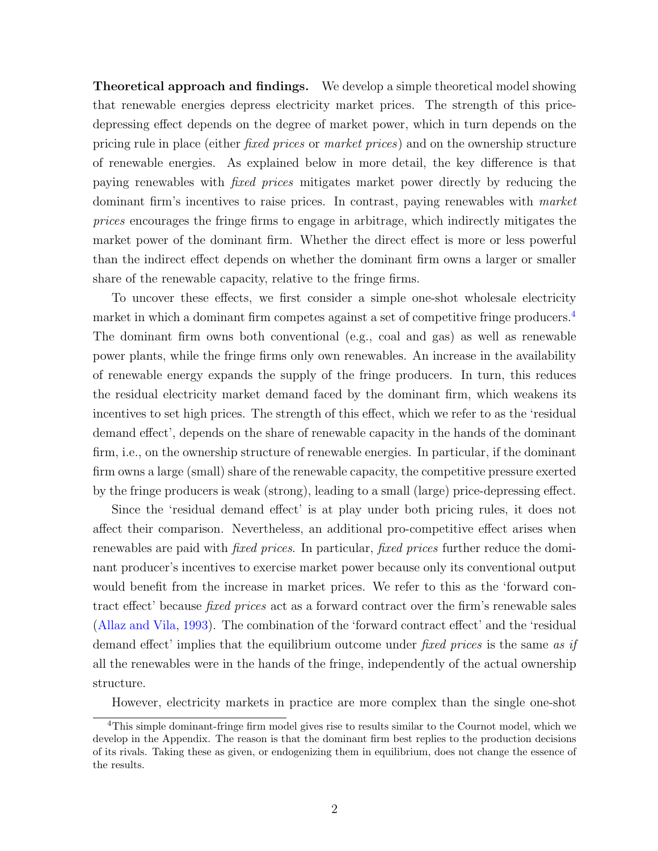Theoretical approach and findings. We develop a simple theoretical model showing that renewable energies depress electricity market prices. The strength of this pricedepressing effect depends on the degree of market power, which in turn depends on the pricing rule in place (either fixed prices or market prices) and on the ownership structure of renewable energies. As explained below in more detail, the key difference is that paying renewables with fixed prices mitigates market power directly by reducing the dominant firm's incentives to raise prices. In contrast, paying renewables with market prices encourages the fringe firms to engage in arbitrage, which indirectly mitigates the market power of the dominant firm. Whether the direct effect is more or less powerful than the indirect effect depends on whether the dominant firm owns a larger or smaller share of the renewable capacity, relative to the fringe firms.

To uncover these effects, we first consider a simple one-shot wholesale electricity market in which a dominant firm competes against a set of competitive fringe producers.<sup>[4](#page-0-0)</sup> The dominant firm owns both conventional (e.g., coal and gas) as well as renewable power plants, while the fringe firms only own renewables. An increase in the availability of renewable energy expands the supply of the fringe producers. In turn, this reduces the residual electricity market demand faced by the dominant firm, which weakens its incentives to set high prices. The strength of this effect, which we refer to as the 'residual demand effect', depends on the share of renewable capacity in the hands of the dominant firm, i.e., on the ownership structure of renewable energies. In particular, if the dominant firm owns a large (small) share of the renewable capacity, the competitive pressure exerted by the fringe producers is weak (strong), leading to a small (large) price-depressing effect.

Since the 'residual demand effect' is at play under both pricing rules, it does not affect their comparison. Nevertheless, an additional pro-competitive effect arises when renewables are paid with *fixed prices*. In particular, *fixed prices* further reduce the dominant producer's incentives to exercise market power because only its conventional output would benefit from the increase in market prices. We refer to this as the 'forward contract effect' because fixed prices act as a forward contract over the firm's renewable sales [\(Allaz and Vila,](#page-40-1) [1993\)](#page-40-1). The combination of the 'forward contract effect' and the 'residual demand effect' implies that the equilibrium outcome under fixed prices is the same as if all the renewables were in the hands of the fringe, independently of the actual ownership structure.

However, electricity markets in practice are more complex than the single one-shot

<sup>&</sup>lt;sup>4</sup>This simple dominant-fringe firm model gives rise to results similar to the Cournot model, which we develop in the Appendix. The reason is that the dominant firm best replies to the production decisions of its rivals. Taking these as given, or endogenizing them in equilibrium, does not change the essence of the results.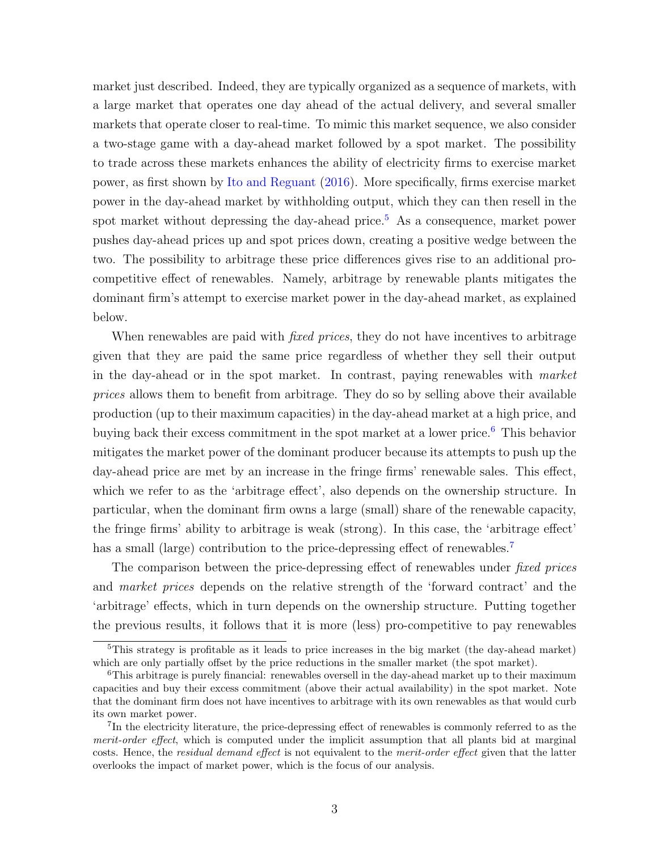market just described. Indeed, they are typically organized as a sequence of markets, with a large market that operates one day ahead of the actual delivery, and several smaller markets that operate closer to real-time. To mimic this market sequence, we also consider a two-stage game with a day-ahead market followed by a spot market. The possibility to trade across these markets enhances the ability of electricity firms to exercise market power, as first shown by [Ito and Reguant](#page-41-2) [\(2016\)](#page-41-2). More specifically, firms exercise market power in the day-ahead market by withholding output, which they can then resell in the spot market without depressing the day-ahead price.<sup>[5](#page-0-0)</sup> As a consequence, market power pushes day-ahead prices up and spot prices down, creating a positive wedge between the two. The possibility to arbitrage these price differences gives rise to an additional procompetitive effect of renewables. Namely, arbitrage by renewable plants mitigates the dominant firm's attempt to exercise market power in the day-ahead market, as explained below.

When renewables are paid with *fixed prices*, they do not have incentives to arbitrage given that they are paid the same price regardless of whether they sell their output in the day-ahead or in the spot market. In contrast, paying renewables with market prices allows them to benefit from arbitrage. They do so by selling above their available production (up to their maximum capacities) in the day-ahead market at a high price, and buying back their excess commitment in the spot market at a lower price.<sup>[6](#page-0-0)</sup> This behavior mitigates the market power of the dominant producer because its attempts to push up the day-ahead price are met by an increase in the fringe firms' renewable sales. This effect, which we refer to as the 'arbitrage effect', also depends on the ownership structure. In particular, when the dominant firm owns a large (small) share of the renewable capacity, the fringe firms' ability to arbitrage is weak (strong). In this case, the 'arbitrage effect' has a small (large) contribution to the price-depressing effect of renewables.<sup>[7](#page-0-0)</sup>

The comparison between the price-depressing effect of renewables under *fixed prices* and market prices depends on the relative strength of the 'forward contract' and the 'arbitrage' effects, which in turn depends on the ownership structure. Putting together the previous results, it follows that it is more (less) pro-competitive to pay renewables

<sup>&</sup>lt;sup>5</sup>This strategy is profitable as it leads to price increases in the big market (the day-ahead market) which are only partially offset by the price reductions in the smaller market (the spot market).

<sup>&</sup>lt;sup>6</sup>This arbitrage is purely financial: renewables oversell in the day-ahead market up to their maximum capacities and buy their excess commitment (above their actual availability) in the spot market. Note that the dominant firm does not have incentives to arbitrage with its own renewables as that would curb its own market power.

<sup>&</sup>lt;sup>7</sup>In the electricity literature, the price-depressing effect of renewables is commonly referred to as the merit-order effect, which is computed under the implicit assumption that all plants bid at marginal costs. Hence, the *residual demand effect* is not equivalent to the *merit-order effect* given that the latter overlooks the impact of market power, which is the focus of our analysis.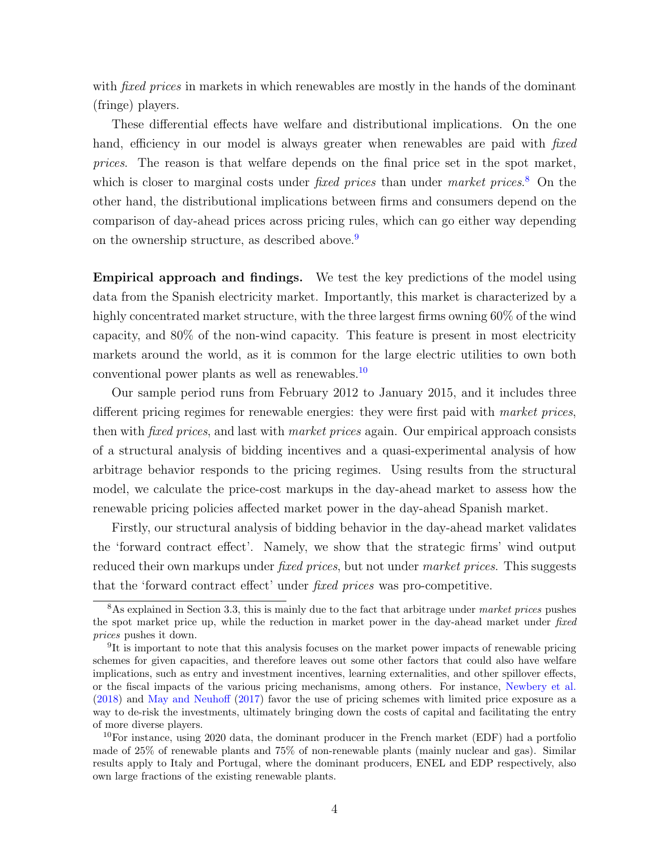with *fixed prices* in markets in which renewables are mostly in the hands of the dominant (fringe) players.

These differential effects have welfare and distributional implications. On the one hand, efficiency in our model is always greater when renewables are paid with *fixed* prices. The reason is that welfare depends on the final price set in the spot market, which is closer to marginal costs under *fixed prices* than under *market prices*.<sup>[8](#page-0-0)</sup> On the other hand, the distributional implications between firms and consumers depend on the comparison of day-ahead prices across pricing rules, which can go either way depending on the ownership structure, as described above.<sup>[9](#page-0-0)</sup>

Empirical approach and findings. We test the key predictions of the model using data from the Spanish electricity market. Importantly, this market is characterized by a highly concentrated market structure, with the three largest firms owning 60% of the wind capacity, and 80% of the non-wind capacity. This feature is present in most electricity markets around the world, as it is common for the large electric utilities to own both conventional power plants as well as renewables.[10](#page-0-0)

Our sample period runs from February 2012 to January 2015, and it includes three different pricing regimes for renewable energies: they were first paid with market prices, then with fixed prices, and last with market prices again. Our empirical approach consists of a structural analysis of bidding incentives and a quasi-experimental analysis of how arbitrage behavior responds to the pricing regimes. Using results from the structural model, we calculate the price-cost markups in the day-ahead market to assess how the renewable pricing policies affected market power in the day-ahead Spanish market.

Firstly, our structural analysis of bidding behavior in the day-ahead market validates the 'forward contract effect'. Namely, we show that the strategic firms' wind output reduced their own markups under *fixed prices*, but not under *market prices*. This suggests that the 'forward contract effect' under fixed prices was pro-competitive.

 $8$ As explained in Section 3.3, this is mainly due to the fact that arbitrage under market prices pushes the spot market price up, while the reduction in market power in the day-ahead market under fixed prices pushes it down.

<sup>&</sup>lt;sup>9</sup>It is important to note that this analysis focuses on the market power impacts of renewable pricing schemes for given capacities, and therefore leaves out some other factors that could also have welfare implications, such as entry and investment incentives, learning externalities, and other spillover effects, or the fiscal impacts of the various pricing mechanisms, among others. For instance, [Newbery et al.](#page-42-0) [\(2018\)](#page-42-0) and [May and Neuhoff](#page-42-1) [\(2017\)](#page-42-1) favor the use of pricing schemes with limited price exposure as a way to de-risk the investments, ultimately bringing down the costs of capital and facilitating the entry of more diverse players.

<sup>10</sup>For instance, using 2020 data, the dominant producer in the French market (EDF) had a portfolio made of 25% of renewable plants and 75% of non-renewable plants (mainly nuclear and gas). Similar results apply to Italy and Portugal, where the dominant producers, ENEL and EDP respectively, also own large fractions of the existing renewable plants.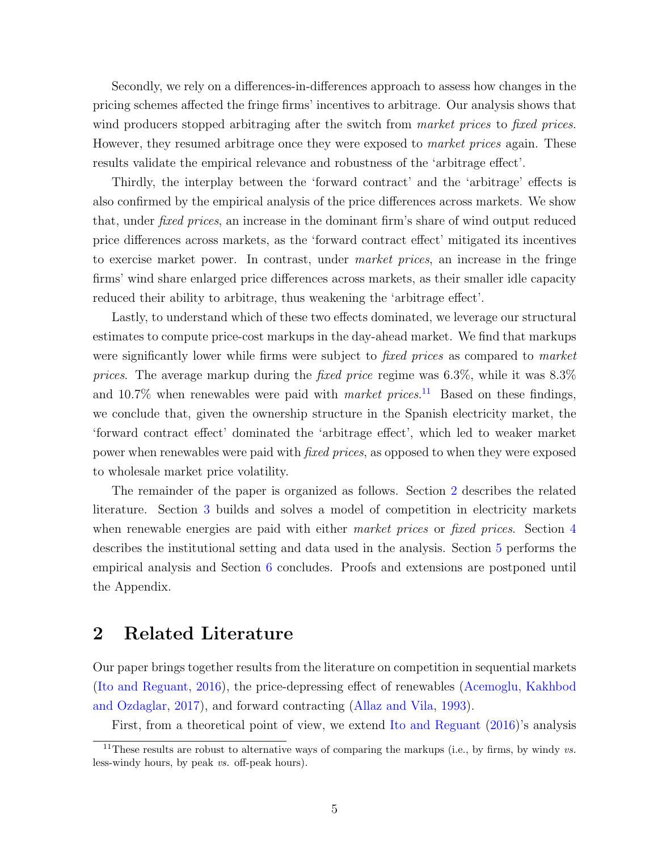Secondly, we rely on a differences-in-differences approach to assess how changes in the pricing schemes affected the fringe firms' incentives to arbitrage. Our analysis shows that wind producers stopped arbitraging after the switch from market prices to fixed prices. However, they resumed arbitrage once they were exposed to *market prices* again. These results validate the empirical relevance and robustness of the 'arbitrage effect'.

Thirdly, the interplay between the 'forward contract' and the 'arbitrage' effects is also confirmed by the empirical analysis of the price differences across markets. We show that, under fixed prices, an increase in the dominant firm's share of wind output reduced price differences across markets, as the 'forward contract effect' mitigated its incentives to exercise market power. In contrast, under market prices, an increase in the fringe firms' wind share enlarged price differences across markets, as their smaller idle capacity reduced their ability to arbitrage, thus weakening the 'arbitrage effect'.

Lastly, to understand which of these two effects dominated, we leverage our structural estimates to compute price-cost markups in the day-ahead market. We find that markups were significantly lower while firms were subject to *fixed prices* as compared to *market* prices. The average markup during the *fixed price regime* was  $6.3\%$ , while it was  $8.3\%$ and 10.7% when renewables were paid with *market prices*.<sup>[11](#page-0-0)</sup> Based on these findings, we conclude that, given the ownership structure in the Spanish electricity market, the 'forward contract effect' dominated the 'arbitrage effect', which led to weaker market power when renewables were paid with fixed prices, as opposed to when they were exposed to wholesale market price volatility.

The remainder of the paper is organized as follows. Section [2](#page-5-0) describes the related literature. Section [3](#page-7-0) builds and solves a model of competition in electricity markets when renewable energies are paid with either *market prices* or *fixed prices*. Section [4](#page-17-0) describes the institutional setting and data used in the analysis. Section [5](#page-24-0) performs the empirical analysis and Section [6](#page-38-0) concludes. Proofs and extensions are postponed until the Appendix.

### <span id="page-5-0"></span>2 Related Literature

Our paper brings together results from the literature on competition in sequential markets [\(Ito and Reguant,](#page-41-2) [2016\)](#page-41-2), the price-depressing effect of renewables [\(Acemoglu, Kakhbod](#page-40-2) [and Ozdaglar,](#page-40-2) [2017\)](#page-40-2), and forward contracting [\(Allaz and Vila,](#page-40-1) [1993\)](#page-40-1).

First, from a theoretical point of view, we extend [Ito and Reguant](#page-41-2) [\(2016\)](#page-41-2)'s analysis

<sup>&</sup>lt;sup>11</sup>These results are robust to alternative ways of comparing the markups (i.e., by firms, by windy  $vs.$ less-windy hours, by peak vs. off-peak hours).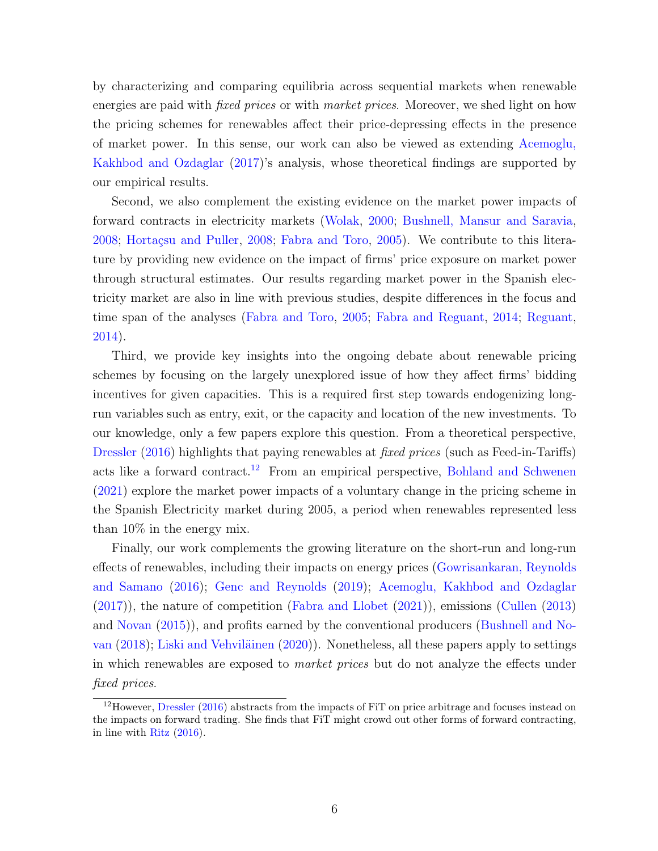by characterizing and comparing equilibria across sequential markets when renewable energies are paid with *fixed prices* or with *market prices*. Moreover, we shed light on how the pricing schemes for renewables affect their price-depressing effects in the presence of market power. In this sense, our work can also be viewed as extending [Acemoglu,](#page-40-2) [Kakhbod and Ozdaglar](#page-40-2) [\(2017\)](#page-40-2)'s analysis, whose theoretical findings are supported by our empirical results.

Second, we also complement the existing evidence on the market power impacts of forward contracts in electricity markets [\(Wolak,](#page-42-2) [2000;](#page-42-2) [Bushnell, Mansur and Saravia,](#page-40-3) [2008;](#page-41-3) Hortaçsu and Puller, 2008; [Fabra and Toro,](#page-41-4) [2005\)](#page-41-4). We contribute to this literature by providing new evidence on the impact of firms' price exposure on market power through structural estimates. Our results regarding market power in the Spanish electricity market are also in line with previous studies, despite differences in the focus and time span of the analyses [\(Fabra and Toro,](#page-41-4) [2005;](#page-41-4) [Fabra and Reguant,](#page-41-5) [2014;](#page-41-5) [Reguant,](#page-42-3) [2014\)](#page-42-3).

Third, we provide key insights into the ongoing debate about renewable pricing schemes by focusing on the largely unexplored issue of how they affect firms' bidding incentives for given capacities. This is a required first step towards endogenizing longrun variables such as entry, exit, or the capacity and location of the new investments. To our knowledge, only a few papers explore this question. From a theoretical perspective, [Dressler](#page-41-6) [\(2016\)](#page-41-6) highlights that paying renewables at *fixed prices* (such as Feed-in-Tariffs) acts like a forward contract.<sup>[12](#page-0-0)</sup> From an empirical perspective, [Bohland and Schwenen](#page-40-4) [\(2021\)](#page-40-4) explore the market power impacts of a voluntary change in the pricing scheme in the Spanish Electricity market during 2005, a period when renewables represented less than 10% in the energy mix.

Finally, our work complements the growing literature on the short-run and long-run effects of renewables, including their impacts on energy prices [\(Gowrisankaran, Reynolds](#page-41-7) [and Samano](#page-41-7) [\(2016\)](#page-41-7); [Genc and Reynolds](#page-41-8) [\(2019\)](#page-41-8); [Acemoglu, Kakhbod and Ozdaglar](#page-40-2) [\(2017\)](#page-40-2)), the nature of competition [\(Fabra and Llobet](#page-41-9) [\(2021\)](#page-41-9)), emissions [\(Cullen](#page-40-5) [\(2013\)](#page-40-5) and [Novan](#page-42-4) [\(2015\)](#page-42-4)), and profits earned by the conventional producers [\(Bushnell and No](#page-40-6)[van](#page-40-6)  $(2018)$ ; Liski and Vehviläinen  $(2020)$ ). Nonetheless, all these papers apply to settings in which renewables are exposed to market prices but do not analyze the effects under fixed prices.

<sup>12</sup>However, [Dressler](#page-41-6) [\(2016\)](#page-41-6) abstracts from the impacts of FiT on price arbitrage and focuses instead on the impacts on forward trading. She finds that FiT might crowd out other forms of forward contracting, in line with [Ritz](#page-42-5) [\(2016\)](#page-42-5).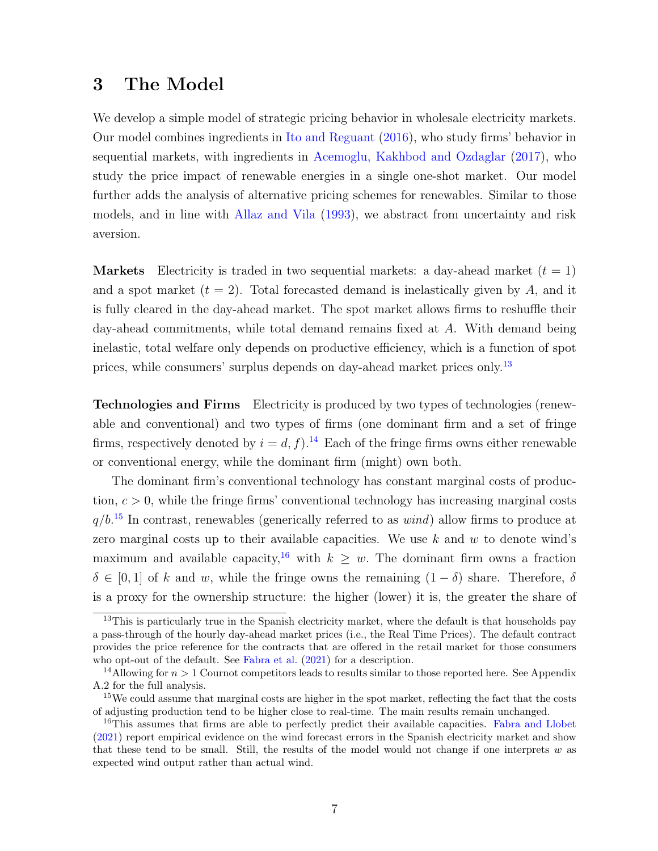### <span id="page-7-0"></span>3 The Model

We develop a simple model of strategic pricing behavior in wholesale electricity markets. Our model combines ingredients in [Ito and Reguant](#page-41-2) [\(2016\)](#page-41-2), who study firms' behavior in sequential markets, with ingredients in [Acemoglu, Kakhbod and Ozdaglar](#page-40-2) [\(2017\)](#page-40-2), who study the price impact of renewable energies in a single one-shot market. Our model further adds the analysis of alternative pricing schemes for renewables. Similar to those models, and in line with [Allaz and Vila](#page-40-1) [\(1993\)](#page-40-1), we abstract from uncertainty and risk aversion.

**Markets** Electricity is traded in two sequential markets: a day-ahead market  $(t = 1)$ and a spot market  $(t = 2)$ . Total forecasted demand is inelastically given by A, and it is fully cleared in the day-ahead market. The spot market allows firms to reshuffle their day-ahead commitments, while total demand remains fixed at A. With demand being inelastic, total welfare only depends on productive efficiency, which is a function of spot prices, while consumers' surplus depends on day-ahead market prices only.[13](#page-0-0)

Technologies and Firms Electricity is produced by two types of technologies (renewable and conventional) and two types of firms (one dominant firm and a set of fringe firms, respectively denoted by  $i = d, f$ .<sup>[14](#page-0-0)</sup> Each of the fringe firms owns either renewable or conventional energy, while the dominant firm (might) own both.

The dominant firm's conventional technology has constant marginal costs of production,  $c > 0$ , while the fringe firms' conventional technology has increasing marginal costs  $q/b$ <sup>[15](#page-0-0)</sup> In contrast, renewables (generically referred to as *wind*) allow firms to produce at zero marginal costs up to their available capacities. We use  $k$  and  $w$  to denote wind's maximum and available capacity,<sup>[16](#page-0-0)</sup> with  $k \geq w$ . The dominant firm owns a fraction  $\delta \in [0,1]$  of k and w, while the fringe owns the remaining  $(1 - \delta)$  share. Therefore,  $\delta$ is a proxy for the ownership structure: the higher (lower) it is, the greater the share of

 $13$ This is particularly true in the Spanish electricity market, where the default is that households pay a pass-through of the hourly day-ahead market prices (i.e., the Real Time Prices). The default contract provides the price reference for the contracts that are offered in the retail market for those consumers who opt-out of the default. See [Fabra et al.](#page-41-11) [\(2021\)](#page-41-11) for a description.

<sup>&</sup>lt;sup>14</sup>Allowing for  $n > 1$  Cournot competitors leads to results similar to those reported here. See Appendix A.2 for the full analysis.

<sup>&</sup>lt;sup>15</sup>We could assume that marginal costs are higher in the spot market, reflecting the fact that the costs of adjusting production tend to be higher close to real-time. The main results remain unchanged.

<sup>&</sup>lt;sup>16</sup>This assumes that firms are able to perfectly predict their available capacities. [Fabra and Llobet](#page-41-9) [\(2021\)](#page-41-9) report empirical evidence on the wind forecast errors in the Spanish electricity market and show that these tend to be small. Still, the results of the model would not change if one interprets  $w$  as expected wind output rather than actual wind.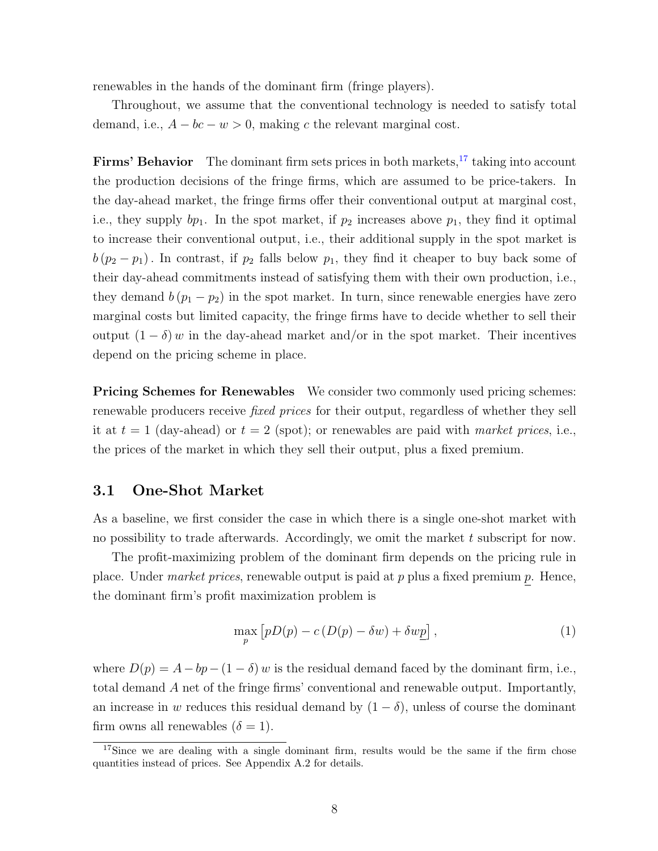renewables in the hands of the dominant firm (fringe players).

Throughout, we assume that the conventional technology is needed to satisfy total demand, i.e.,  $A - bc - w > 0$ , making c the relevant marginal cost.

**Firms' Behavior** The dominant firm sets prices in both markets, $17$  taking into account the production decisions of the fringe firms, which are assumed to be price-takers. In the day-ahead market, the fringe firms offer their conventional output at marginal cost, i.e., they supply  $bp_1$ . In the spot market, if  $p_2$  increases above  $p_1$ , they find it optimal to increase their conventional output, i.e., their additional supply in the spot market is  $b(p_2 - p_1)$ . In contrast, if  $p_2$  falls below  $p_1$ , they find it cheaper to buy back some of their day-ahead commitments instead of satisfying them with their own production, i.e., they demand  $b (p_1 - p_2)$  in the spot market. In turn, since renewable energies have zero marginal costs but limited capacity, the fringe firms have to decide whether to sell their output  $(1 - \delta)$  w in the day-ahead market and/or in the spot market. Their incentives depend on the pricing scheme in place.

**Pricing Schemes for Renewables** We consider two commonly used pricing schemes: renewable producers receive fixed prices for their output, regardless of whether they sell it at  $t = 1$  (day-ahead) or  $t = 2$  (spot); or renewables are paid with market prices, i.e., the prices of the market in which they sell their output, plus a fixed premium.

#### 3.1 One-Shot Market

As a baseline, we first consider the case in which there is a single one-shot market with no possibility to trade afterwards. Accordingly, we omit the market  $t$  subscript for now.

The profit-maximizing problem of the dominant firm depends on the pricing rule in place. Under *market prices*, renewable output is paid at  $p$  plus a fixed premium  $p$ . Hence, the dominant firm's profit maximization problem is

<span id="page-8-0"></span>
$$
\max_{p} [pD(p) - c(D(p) - \delta w) + \delta w p], \qquad (1)
$$

where  $D(p) = A - bp - (1 - \delta) w$  is the residual demand faced by the dominant firm, i.e., total demand A net of the fringe firms' conventional and renewable output. Importantly, an increase in w reduces this residual demand by  $(1 - \delta)$ , unless of course the dominant firm owns all renewables  $(\delta = 1)$ .

<sup>&</sup>lt;sup>17</sup>Since we are dealing with a single dominant firm, results would be the same if the firm chose quantities instead of prices. See Appendix A.2 for details.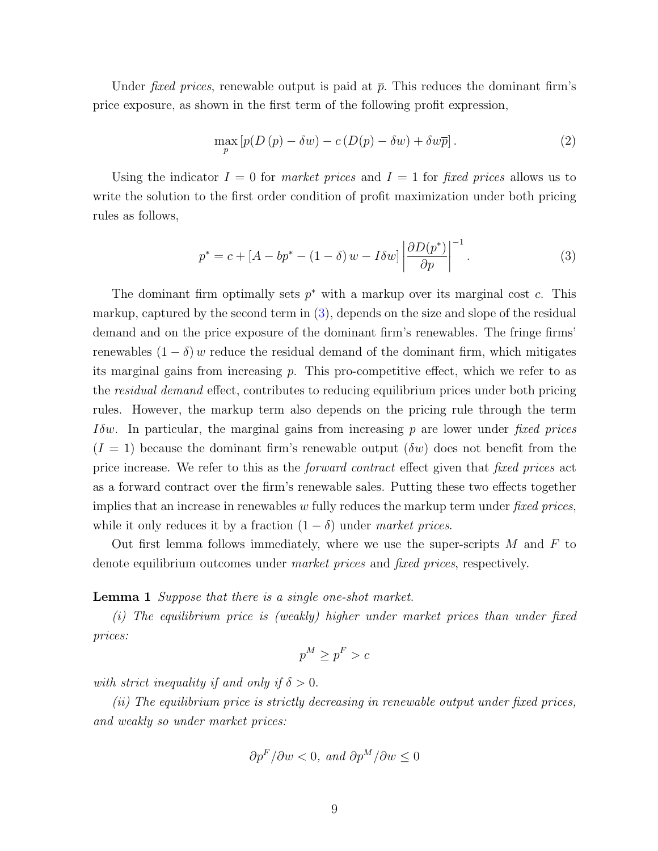Under *fixed prices*, renewable output is paid at  $\bar{p}$ . This reduces the dominant firm's price exposure, as shown in the first term of the following profit expression,

$$
\max_{p} \left[ p(D(p) - \delta w) - c(D(p) - \delta w) + \delta w \overline{p} \right]. \tag{2}
$$

Using the indicator  $I = 0$  for market prices and  $I = 1$  for fixed prices allows us to write the solution to the first order condition of profit maximization under both pricing rules as follows,

<span id="page-9-0"></span>
$$
p^* = c + \left[A - bp^* - (1 - \delta) w - I\delta w\right] \left|\frac{\partial D(p^*)}{\partial p}\right|^{-1}.
$$
 (3)

The dominant firm optimally sets  $p^*$  with a markup over its marginal cost c. This markup, captured by the second term in [\(3\)](#page-9-0), depends on the size and slope of the residual demand and on the price exposure of the dominant firm's renewables. The fringe firms' renewables  $(1 - \delta)$  w reduce the residual demand of the dominant firm, which mitigates its marginal gains from increasing p. This pro-competitive effect, which we refer to as the *residual demand* effect, contributes to reducing equilibrium prices under both pricing rules. However, the markup term also depends on the pricing rule through the term *I* $\delta w$ . In particular, the marginal gains from increasing p are lower under fixed prices  $(I = 1)$  because the dominant firm's renewable output  $(\delta w)$  does not benefit from the price increase. We refer to this as the forward contract effect given that fixed prices act as a forward contract over the firm's renewable sales. Putting these two effects together implies that an increase in renewables w fully reduces the markup term under fixed prices, while it only reduces it by a fraction  $(1 - \delta)$  under market prices.

Out first lemma follows immediately, where we use the super-scripts  $M$  and  $F$  to denote equilibrium outcomes under market prices and fixed prices, respectively.

Lemma 1 Suppose that there is a single one-shot market.

(i) The equilibrium price is (weakly) higher under market prices than under fixed prices:

$$
p^M \ge p^F > c
$$

with strict inequality if and only if  $\delta > 0$ .

(ii) The equilibrium price is strictly decreasing in renewable output under fixed prices, and weakly so under market prices:

$$
\partial p^F / \partial w < 0
$$
, and  $\partial p^M / \partial w \leq 0$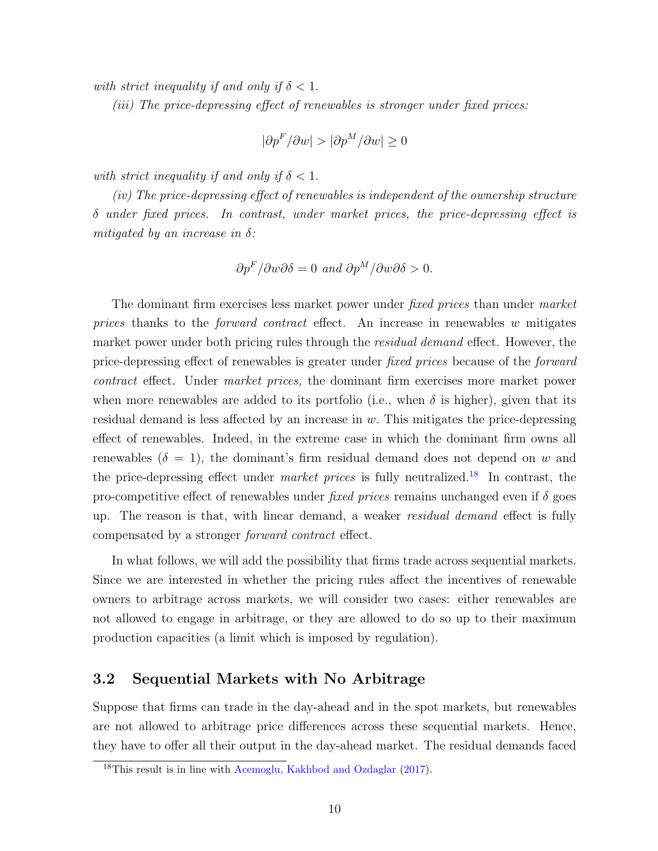with strict inequality if and only if  $\delta < 1$ .

(iii) The price-depressing effect of renewables is stronger under fixed prices:

$$
|\partial p^F / \partial w| > |\partial p^M / \partial w| \ge 0
$$

with strict inequality if and only if  $\delta < 1$ .

(iv) The price-depressing effect of renewables is independent of the ownership structure  $\delta$  under fixed prices. In contrast, under market prices, the price-depressing effect is mitigated by an increase in  $\delta$ :

$$
\partial p^F / \partial w \partial \delta = 0 \text{ and } \partial p^M / \partial w \partial \delta > 0.
$$

The dominant firm exercises less market power under *fixed prices* than under *market* prices thanks to the *forward contract* effect. An increase in renewables w mitigates market power under both pricing rules through the residual demand effect. However, the price-depressing effect of renewables is greater under fixed prices because of the forward contract effect. Under market prices, the dominant firm exercises more market power when more renewables are added to its portfolio (i.e., when  $\delta$  is higher), given that its residual demand is less affected by an increase in  $w$ . This mitigates the price-depressing effect of renewables. Indeed, in the extreme case in which the dominant firm owns all renewables  $(\delta = 1)$ , the dominant's firm residual demand does not depend on w and the price-depressing effect under *market prices* is fully neutralized.<sup>[18](#page-0-0)</sup> In contrast, the pro-competitive effect of renewables under fixed prices remains unchanged even if  $\delta$  goes up. The reason is that, with linear demand, a weaker residual demand effect is fully compensated by a stronger forward contract effect.

In what follows, we will add the possibility that firms trade across sequential markets. Since we are interested in whether the pricing rules affect the incentives of renewable owners to arbitrage across markets, we will consider two cases: either renewables are not allowed to engage in arbitrage, or they are allowed to do so up to their maximum production capacities (a limit which is imposed by regulation).

#### 3.2 Sequential Markets with No Arbitrage

Suppose that firms can trade in the day-ahead and in the spot markets, but renewables are not allowed to arbitrage price differences across these sequential markets. Hence, they have to offer all their output in the day-ahead market. The residual demands faced

<sup>18</sup>This result is in line with [Acemoglu, Kakhbod and Ozdaglar](#page-40-2) [\(2017\)](#page-40-2).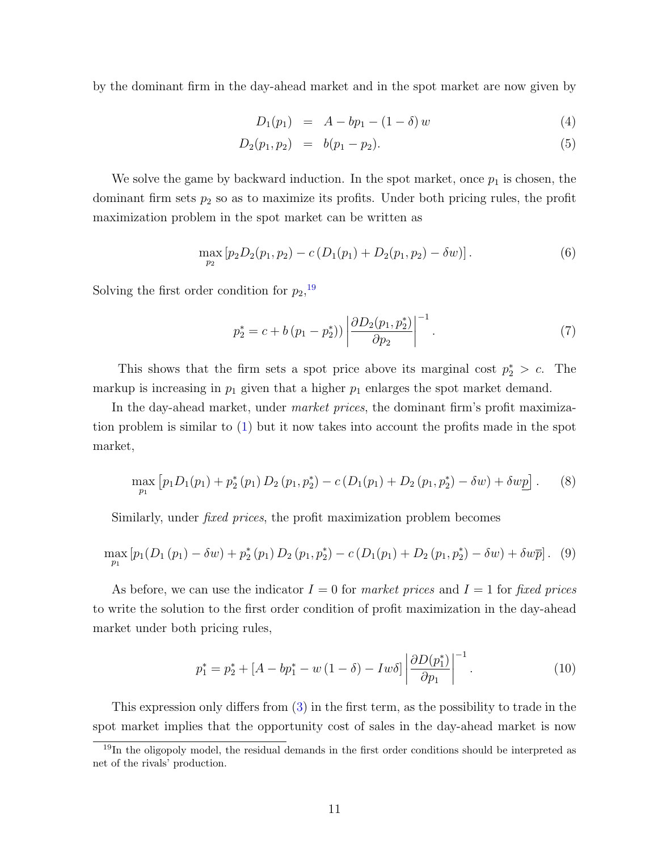by the dominant firm in the day-ahead market and in the spot market are now given by

<span id="page-11-1"></span>
$$
D_1(p_1) = A - bp_1 - (1 - \delta) w \tag{4}
$$

$$
D_2(p_1, p_2) = b(p_1 - p_2). \tag{5}
$$

We solve the game by backward induction. In the spot market, once  $p_1$  is chosen, the dominant firm sets  $p_2$  so as to maximize its profits. Under both pricing rules, the profit maximization problem in the spot market can be written as

$$
\max_{p_2} [p_2 D_2(p_1, p_2) - c (D_1(p_1) + D_2(p_1, p_2) - \delta w)]. \tag{6}
$$

Solving the first order condition for  $p_2$ ,<sup>[19](#page-0-0)</sup>

$$
p_2^* = c + b (p_1 - p_2^*)) \left| \frac{\partial D_2(p_1, p_2^*)}{\partial p_2} \right|^{-1}.
$$
 (7)

This shows that the firm sets a spot price above its marginal cost  $p_2^* > c$ . The markup is increasing in  $p_1$  given that a higher  $p_1$  enlarges the spot market demand.

In the day-ahead market, under *market prices*, the dominant firm's profit maximization problem is similar to [\(1\)](#page-8-0) but it now takes into account the profits made in the spot market,

$$
\max_{p_1} \left[ p_1 D_1(p_1) + p_2^*(p_1) D_2(p_1, p_2^*) - c(D_1(p_1) + D_2(p_1, p_2^*) - \delta w) + \delta w p \right]. \tag{8}
$$

Similarly, under *fixed prices*, the profit maximization problem becomes

$$
\max_{p_1} [p_1(D_1(p_1) - \delta w) + p_2^*(p_1) D_2(p_1, p_2^*) - c(D_1(p_1) + D_2(p_1, p_2^*) - \delta w) + \delta w \overline{p}]. \tag{9}
$$

As before, we can use the indicator  $I = 0$  for market prices and  $I = 1$  for fixed prices to write the solution to the first order condition of profit maximization in the day-ahead market under both pricing rules,

<span id="page-11-0"></span>
$$
p_1^* = p_2^* + [A - bp_1^* - w(1 - \delta) - Iw\delta] \left| \frac{\partial D(p_1^*)}{\partial p_1} \right|^{-1}.
$$
 (10)

This expression only differs from [\(3\)](#page-9-0) in the first term, as the possibility to trade in the spot market implies that the opportunity cost of sales in the day-ahead market is now

<sup>&</sup>lt;sup>19</sup>In the oligopoly model, the residual demands in the first order conditions should be interpreted as net of the rivals' production.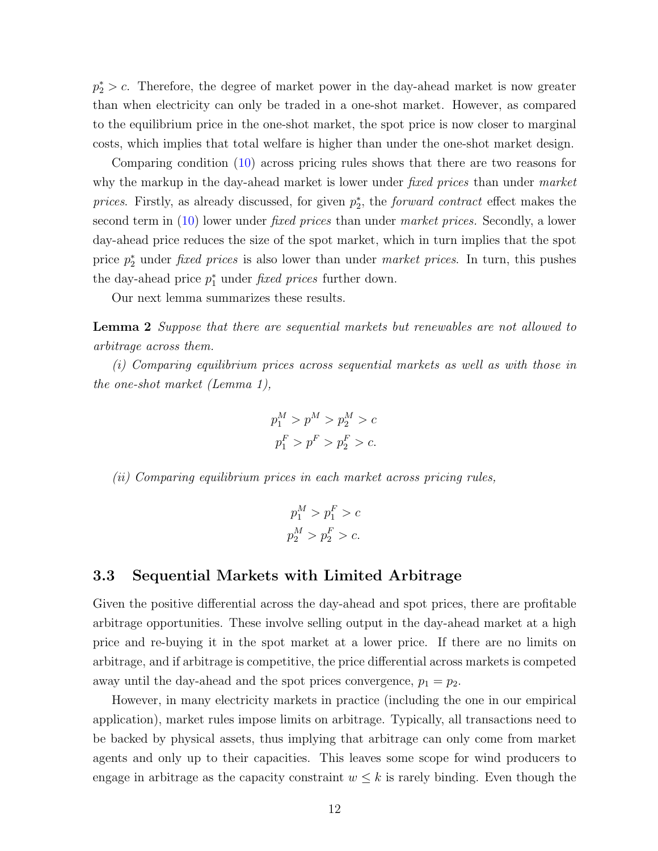$p_2^* > c$ . Therefore, the degree of market power in the day-ahead market is now greater than when electricity can only be traded in a one-shot market. However, as compared to the equilibrium price in the one-shot market, the spot price is now closer to marginal costs, which implies that total welfare is higher than under the one-shot market design.

Comparing condition [\(10\)](#page-11-0) across pricing rules shows that there are two reasons for why the markup in the day-ahead market is lower under *fixed prices* than under *market* prices. Firstly, as already discussed, for given  $p_2^*$ , the *forward contract* effect makes the second term in [\(10\)](#page-11-0) lower under fixed prices than under market prices. Secondly, a lower day-ahead price reduces the size of the spot market, which in turn implies that the spot price  $p_2^*$  under *fixed prices* is also lower than under *market prices*. In turn, this pushes the day-ahead price  $p_1^*$  under *fixed prices* further down.

Our next lemma summarizes these results.

Lemma 2 Suppose that there are sequential markets but renewables are not allowed to arbitrage across them.

(i) Comparing equilibrium prices across sequential markets as well as with those in the one-shot market (Lemma 1),

$$
p_1^M > p^M > p_2^M > c
$$
  

$$
p_1^F > p^F > p_2^F > c.
$$

(ii) Comparing equilibrium prices in each market across pricing rules,

$$
p_1^M > p_1^F > c
$$
  

$$
p_2^M > p_2^F > c.
$$

#### 3.3 Sequential Markets with Limited Arbitrage

Given the positive differential across the day-ahead and spot prices, there are profitable arbitrage opportunities. These involve selling output in the day-ahead market at a high price and re-buying it in the spot market at a lower price. If there are no limits on arbitrage, and if arbitrage is competitive, the price differential across markets is competed away until the day-ahead and the spot prices convergence,  $p_1 = p_2$ .

However, in many electricity markets in practice (including the one in our empirical application), market rules impose limits on arbitrage. Typically, all transactions need to be backed by physical assets, thus implying that arbitrage can only come from market agents and only up to their capacities. This leaves some scope for wind producers to engage in arbitrage as the capacity constraint  $w \leq k$  is rarely binding. Even though the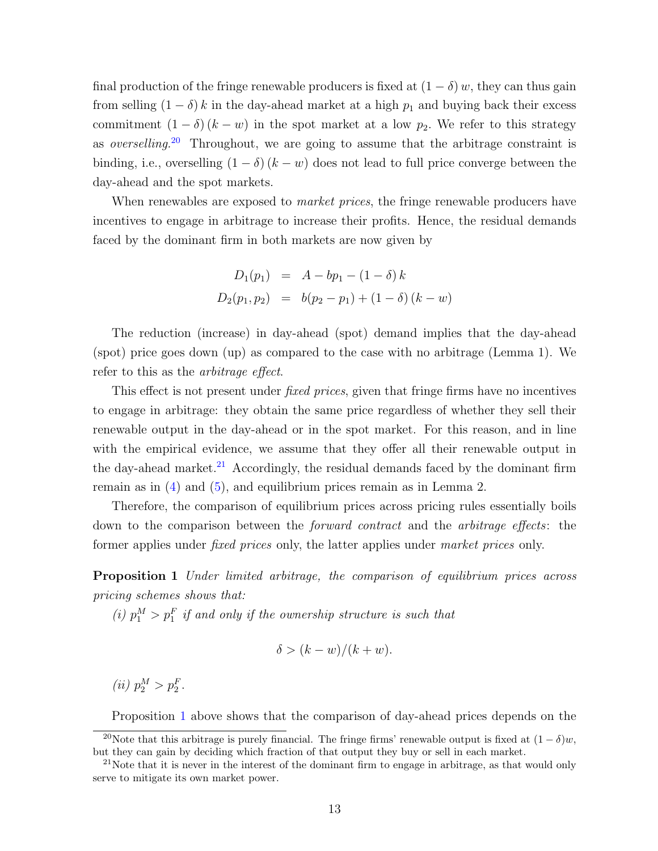final production of the fringe renewable producers is fixed at  $(1 - \delta)w$ , they can thus gain from selling  $(1 - \delta) k$  in the day-ahead market at a high  $p_1$  and buying back their excess commitment  $(1 - \delta)(k - w)$  in the spot market at a low  $p_2$ . We refer to this strategy as overselling.[20](#page-0-0) Throughout, we are going to assume that the arbitrage constraint is binding, i.e., overselling  $(1 - \delta)(k - w)$  does not lead to full price converge between the day-ahead and the spot markets.

When renewables are exposed to *market prices*, the fringe renewable producers have incentives to engage in arbitrage to increase their profits. Hence, the residual demands faced by the dominant firm in both markets are now given by

$$
D_1(p_1) = A - bp_1 - (1 - \delta) k
$$
  

$$
D_2(p_1, p_2) = b(p_2 - p_1) + (1 - \delta) (k - w)
$$

The reduction (increase) in day-ahead (spot) demand implies that the day-ahead (spot) price goes down (up) as compared to the case with no arbitrage (Lemma 1). We refer to this as the arbitrage effect.

This effect is not present under *fixed prices*, given that fringe firms have no incentives to engage in arbitrage: they obtain the same price regardless of whether they sell their renewable output in the day-ahead or in the spot market. For this reason, and in line with the empirical evidence, we assume that they offer all their renewable output in the day-ahead market.<sup>[21](#page-0-0)</sup> Accordingly, the residual demands faced by the dominant firm remain as in [\(4\)](#page-11-1) and [\(5\)](#page-11-1), and equilibrium prices remain as in Lemma 2.

Therefore, the comparison of equilibrium prices across pricing rules essentially boils down to the comparison between the forward contract and the arbitrage effects: the former applies under fixed prices only, the latter applies under market prices only.

<span id="page-13-0"></span>**Proposition 1** Under limited arbitrage, the comparison of equilibrium prices across pricing schemes shows that:

(i)  $p_1^M > p_1^F$  if and only if the ownership structure is such that

$$
\delta > (k - w)/(k + w).
$$

(*ii*)  $p_2^M > p_2^F$ .

Proposition [1](#page-13-0) above shows that the comparison of day-ahead prices depends on the

<sup>&</sup>lt;sup>20</sup>Note that this arbitrage is purely financial. The fringe firms' renewable output is fixed at  $(1 - \delta)w$ , but they can gain by deciding which fraction of that output they buy or sell in each market.

 $21$ Note that it is never in the interest of the dominant firm to engage in arbitrage, as that would only serve to mitigate its own market power.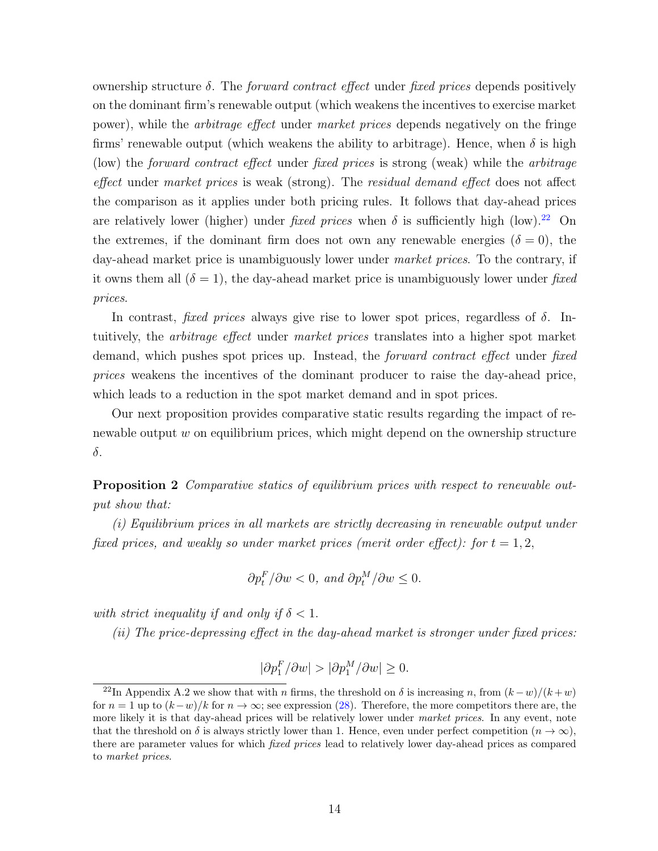ownership structure  $\delta$ . The *forward contract effect* under *fixed prices* depends positively on the dominant firm's renewable output (which weakens the incentives to exercise market power), while the arbitrage effect under market prices depends negatively on the fringe firms' renewable output (which weakens the ability to arbitrage). Hence, when  $\delta$  is high (low) the forward contract effect under fixed prices is strong (weak) while the arbitrage effect under market prices is weak (strong). The residual demand effect does not affect the comparison as it applies under both pricing rules. It follows that day-ahead prices are relatively lower (higher) under fixed prices when  $\delta$  is sufficiently high (low).<sup>[22](#page-0-0)</sup> On the extremes, if the dominant firm does not own any renewable energies  $(\delta = 0)$ , the day-ahead market price is unambiguously lower under *market prices*. To the contrary, if it owns them all  $(\delta = 1)$ , the day-ahead market price is unambiguously lower under fixed prices.

In contrast, *fixed prices* always give rise to lower spot prices, regardless of  $\delta$ . Intuitively, the arbitrage effect under market prices translates into a higher spot market demand, which pushes spot prices up. Instead, the *forward contract effect* under *fixed* prices weakens the incentives of the dominant producer to raise the day-ahead price, which leads to a reduction in the spot market demand and in spot prices.

Our next proposition provides comparative static results regarding the impact of renewable output  $w$  on equilibrium prices, which might depend on the ownership structure δ.

Proposition 2 Comparative statics of equilibrium prices with respect to renewable output show that:

(i) Equilibrium prices in all markets are strictly decreasing in renewable output under fixed prices, and weakly so under market prices (merit order effect): for  $t = 1, 2$ ,

$$
\partial p_t^F / \partial w < 0, \text{ and } \partial p_t^M / \partial w \le 0.
$$

with strict inequality if and only if  $\delta < 1$ .

(ii) The price-depressing effect in the day-ahead market is stronger under fixed prices:

$$
|\partial p_1^F / \partial w| > |\partial p_1^M / \partial w| \ge 0.
$$

<sup>&</sup>lt;sup>22</sup>In Appendix A.2 we show that with n firms, the threshold on  $\delta$  is increasing n, from  $(k-w)/(k+w)$ for  $n = 1$  up to  $(k-w)/k$  for  $n \to \infty$ ; see expression [\(28\)](#page-0-0). Therefore, the more competitors there are, the more likely it is that day-ahead prices will be relatively lower under market prices. In any event, note that the threshold on  $\delta$  is always strictly lower than 1. Hence, even under perfect competition  $(n \to \infty)$ , there are parameter values for which fixed prices lead to relatively lower day-ahead prices as compared to market prices.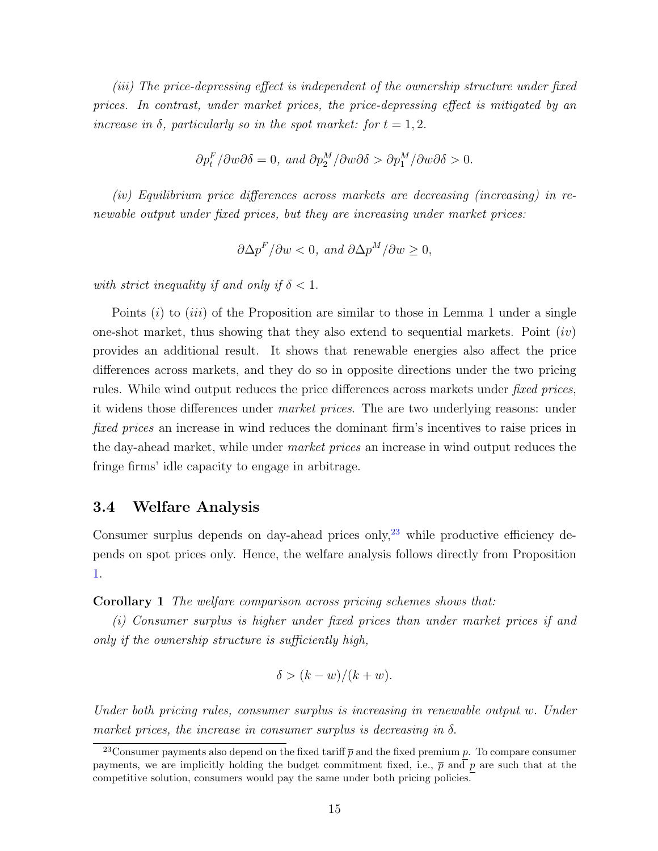(iii) The price-depressing effect is independent of the ownership structure under fixed prices. In contrast, under market prices, the price-depressing effect is mitigated by an increase in  $\delta$ , particularly so in the spot market: for  $t = 1, 2$ .

$$
\partial p_t^F / \partial w \partial \delta = 0, \text{ and } \partial p_2^M / \partial w \partial \delta > \partial p_1^M / \partial w \partial \delta > 0.
$$

(iv) Equilibrium price differences across markets are decreasing (increasing) in renewable output under fixed prices, but they are increasing under market prices:

$$
\partial \Delta p^F / \partial w < 0
$$
, and  $\partial \Delta p^M / \partial w \ge 0$ ,

with strict inequality if and only if  $\delta < 1$ .

Points  $(i)$  to  $(iii)$  of the Proposition are similar to those in Lemma 1 under a single one-shot market, thus showing that they also extend to sequential markets. Point  $(iv)$ provides an additional result. It shows that renewable energies also affect the price differences across markets, and they do so in opposite directions under the two pricing rules. While wind output reduces the price differences across markets under *fixed prices*, it widens those differences under market prices. The are two underlying reasons: under fixed prices an increase in wind reduces the dominant firm's incentives to raise prices in the day-ahead market, while under *market prices* an increase in wind output reduces the fringe firms' idle capacity to engage in arbitrage.

#### 3.4 Welfare Analysis

Consumer surplus depends on day-ahead prices only,  $2^3$  while productive efficiency depends on spot prices only. Hence, the welfare analysis follows directly from Proposition [1.](#page-13-0)

Corollary 1 The welfare comparison across pricing schemes shows that:

(i) Consumer surplus is higher under fixed prices than under market prices if and only if the ownership structure is sufficiently high,

$$
\delta > (k - w)/(k + w).
$$

Under both pricing rules, consumer surplus is increasing in renewable output w. Under market prices, the increase in consumer surplus is decreasing in  $\delta$ .

<sup>&</sup>lt;sup>23</sup>Consumer payments also depend on the fixed tariff  $\bar{p}$  and the fixed premium p. To compare consumer payments, we are implicitly holding the budget commitment fixed, i.e.,  $\bar{p}$  and p are such that at the competitive solution, consumers would pay the same under both pricing policies.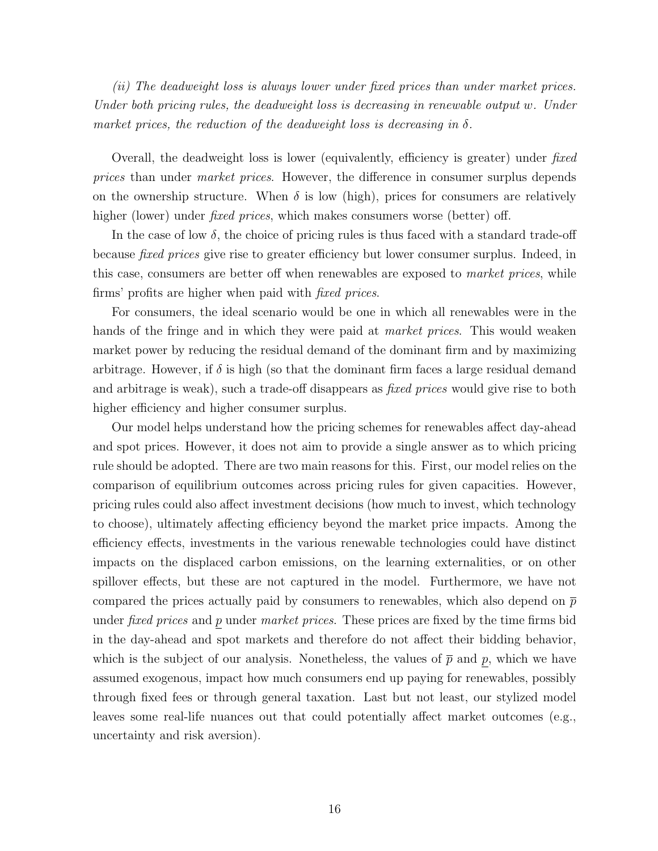(ii) The deadweight loss is always lower under fixed prices than under market prices. Under both pricing rules, the deadweight loss is decreasing in renewable output w. Under market prices, the reduction of the deadweight loss is decreasing in  $\delta$ .

Overall, the deadweight loss is lower (equivalently, efficiency is greater) under fixed prices than under market prices. However, the difference in consumer surplus depends on the ownership structure. When  $\delta$  is low (high), prices for consumers are relatively higher (lower) under *fixed prices*, which makes consumers worse (better) off.

In the case of low  $\delta$ , the choice of pricing rules is thus faced with a standard trade-off because fixed prices give rise to greater efficiency but lower consumer surplus. Indeed, in this case, consumers are better off when renewables are exposed to *market prices*, while firms' profits are higher when paid with fixed prices.

For consumers, the ideal scenario would be one in which all renewables were in the hands of the fringe and in which they were paid at *market prices*. This would weaken market power by reducing the residual demand of the dominant firm and by maximizing arbitrage. However, if  $\delta$  is high (so that the dominant firm faces a large residual demand and arbitrage is weak), such a trade-off disappears as *fixed prices* would give rise to both higher efficiency and higher consumer surplus.

Our model helps understand how the pricing schemes for renewables affect day-ahead and spot prices. However, it does not aim to provide a single answer as to which pricing rule should be adopted. There are two main reasons for this. First, our model relies on the comparison of equilibrium outcomes across pricing rules for given capacities. However, pricing rules could also affect investment decisions (how much to invest, which technology to choose), ultimately affecting efficiency beyond the market price impacts. Among the efficiency effects, investments in the various renewable technologies could have distinct impacts on the displaced carbon emissions, on the learning externalities, or on other spillover effects, but these are not captured in the model. Furthermore, we have not compared the prices actually paid by consumers to renewables, which also depend on  $\bar{p}$ under *fixed prices* and  $p$  under *market prices*. These prices are fixed by the time firms bid in the day-ahead and spot markets and therefore do not affect their bidding behavior, which is the subject of our analysis. Nonetheless, the values of  $\bar{p}$  and p, which we have assumed exogenous, impact how much consumers end up paying for renewables, possibly through fixed fees or through general taxation. Last but not least, our stylized model leaves some real-life nuances out that could potentially affect market outcomes (e.g., uncertainty and risk aversion).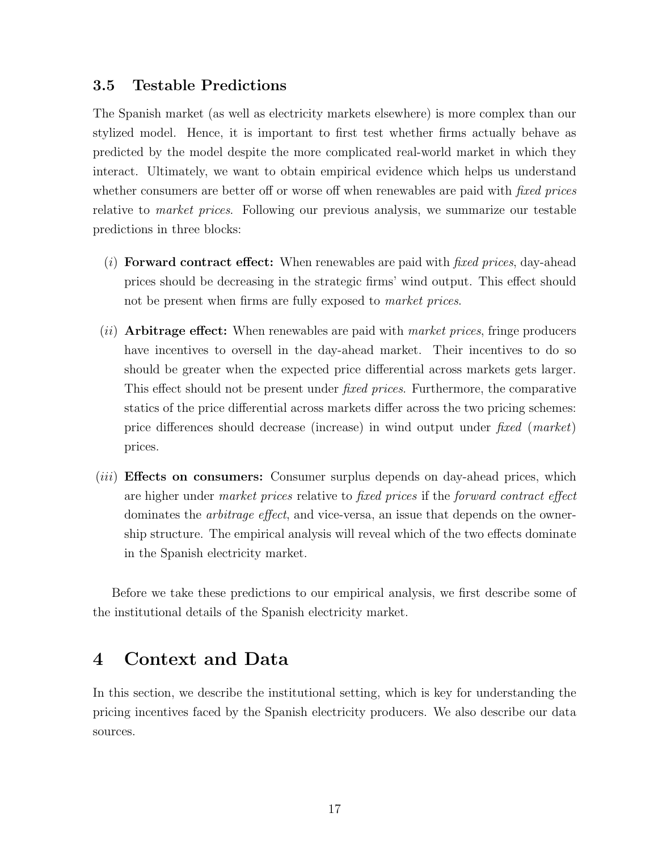### 3.5 Testable Predictions

The Spanish market (as well as electricity markets elsewhere) is more complex than our stylized model. Hence, it is important to first test whether firms actually behave as predicted by the model despite the more complicated real-world market in which they interact. Ultimately, we want to obtain empirical evidence which helps us understand whether consumers are better off or worse off when renewables are paid with *fixed prices* relative to market prices. Following our previous analysis, we summarize our testable predictions in three blocks:

- (*i*) Forward contract effect: When renewables are paid with *fixed prices*, day-ahead prices should be decreasing in the strategic firms' wind output. This effect should not be present when firms are fully exposed to *market prices*.
- $(iii)$  Arbitrage effect: When renewables are paid with *market prices*, fringe producers have incentives to oversell in the day-ahead market. Their incentives to do so should be greater when the expected price differential across markets gets larger. This effect should not be present under fixed prices. Furthermore, the comparative statics of the price differential across markets differ across the two pricing schemes: price differences should decrease (increase) in wind output under fixed (market) prices.
- (*iii*) **Effects on consumers:** Consumer surplus depends on day-ahead prices, which are higher under market prices relative to fixed prices if the forward contract effect dominates the arbitrage effect, and vice-versa, an issue that depends on the ownership structure. The empirical analysis will reveal which of the two effects dominate in the Spanish electricity market.

Before we take these predictions to our empirical analysis, we first describe some of the institutional details of the Spanish electricity market.

### <span id="page-17-0"></span>4 Context and Data

In this section, we describe the institutional setting, which is key for understanding the pricing incentives faced by the Spanish electricity producers. We also describe our data sources.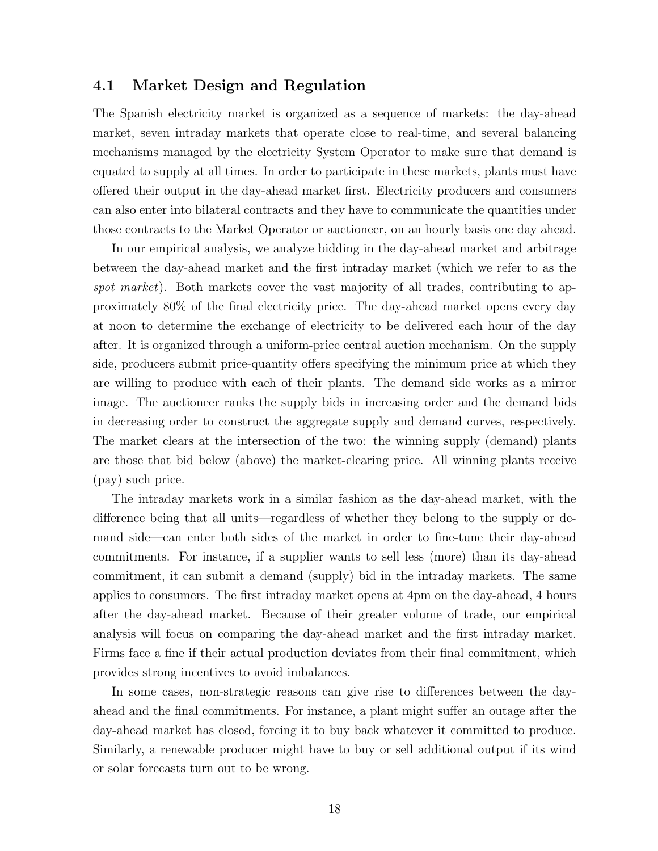#### 4.1 Market Design and Regulation

The Spanish electricity market is organized as a sequence of markets: the day-ahead market, seven intraday markets that operate close to real-time, and several balancing mechanisms managed by the electricity System Operator to make sure that demand is equated to supply at all times. In order to participate in these markets, plants must have offered their output in the day-ahead market first. Electricity producers and consumers can also enter into bilateral contracts and they have to communicate the quantities under those contracts to the Market Operator or auctioneer, on an hourly basis one day ahead.

In our empirical analysis, we analyze bidding in the day-ahead market and arbitrage between the day-ahead market and the first intraday market (which we refer to as the spot market). Both markets cover the vast majority of all trades, contributing to approximately 80% of the final electricity price. The day-ahead market opens every day at noon to determine the exchange of electricity to be delivered each hour of the day after. It is organized through a uniform-price central auction mechanism. On the supply side, producers submit price-quantity offers specifying the minimum price at which they are willing to produce with each of their plants. The demand side works as a mirror image. The auctioneer ranks the supply bids in increasing order and the demand bids in decreasing order to construct the aggregate supply and demand curves, respectively. The market clears at the intersection of the two: the winning supply (demand) plants are those that bid below (above) the market-clearing price. All winning plants receive (pay) such price.

The intraday markets work in a similar fashion as the day-ahead market, with the difference being that all units—regardless of whether they belong to the supply or demand side—can enter both sides of the market in order to fine-tune their day-ahead commitments. For instance, if a supplier wants to sell less (more) than its day-ahead commitment, it can submit a demand (supply) bid in the intraday markets. The same applies to consumers. The first intraday market opens at 4pm on the day-ahead, 4 hours after the day-ahead market. Because of their greater volume of trade, our empirical analysis will focus on comparing the day-ahead market and the first intraday market. Firms face a fine if their actual production deviates from their final commitment, which provides strong incentives to avoid imbalances.

In some cases, non-strategic reasons can give rise to differences between the dayahead and the final commitments. For instance, a plant might suffer an outage after the day-ahead market has closed, forcing it to buy back whatever it committed to produce. Similarly, a renewable producer might have to buy or sell additional output if its wind or solar forecasts turn out to be wrong.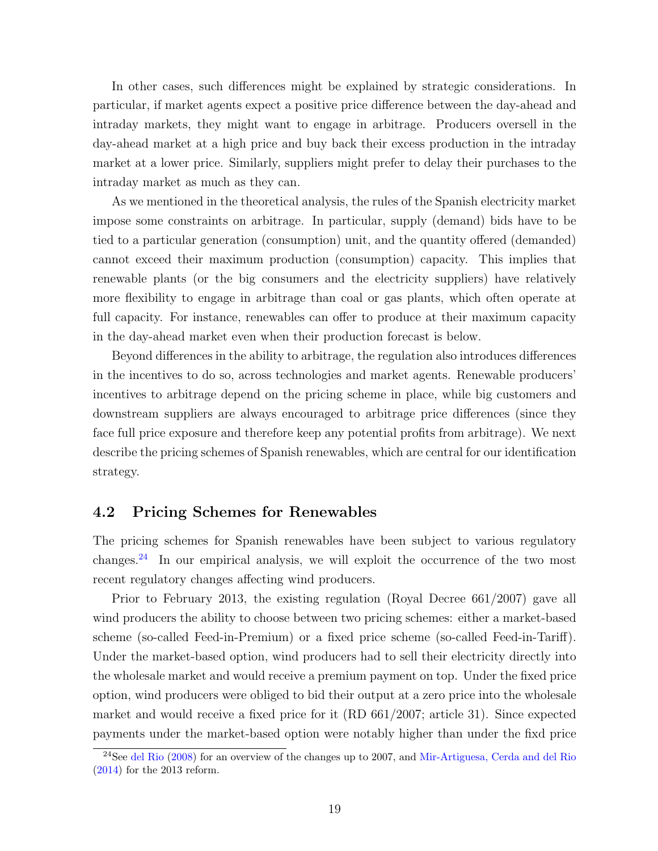In other cases, such differences might be explained by strategic considerations. In particular, if market agents expect a positive price difference between the day-ahead and intraday markets, they might want to engage in arbitrage. Producers oversell in the day-ahead market at a high price and buy back their excess production in the intraday market at a lower price. Similarly, suppliers might prefer to delay their purchases to the intraday market as much as they can.

As we mentioned in the theoretical analysis, the rules of the Spanish electricity market impose some constraints on arbitrage. In particular, supply (demand) bids have to be tied to a particular generation (consumption) unit, and the quantity offered (demanded) cannot exceed their maximum production (consumption) capacity. This implies that renewable plants (or the big consumers and the electricity suppliers) have relatively more flexibility to engage in arbitrage than coal or gas plants, which often operate at full capacity. For instance, renewables can offer to produce at their maximum capacity in the day-ahead market even when their production forecast is below.

Beyond differences in the ability to arbitrage, the regulation also introduces differences in the incentives to do so, across technologies and market agents. Renewable producers' incentives to arbitrage depend on the pricing scheme in place, while big customers and downstream suppliers are always encouraged to arbitrage price differences (since they face full price exposure and therefore keep any potential profits from arbitrage). We next describe the pricing schemes of Spanish renewables, which are central for our identification strategy.

#### <span id="page-19-0"></span>4.2 Pricing Schemes for Renewables

The pricing schemes for Spanish renewables have been subject to various regulatory changes.[24](#page-0-0) In our empirical analysis, we will exploit the occurrence of the two most recent regulatory changes affecting wind producers.

Prior to February 2013, the existing regulation (Royal Decree 661/2007) gave all wind producers the ability to choose between two pricing schemes: either a market-based scheme (so-called Feed-in-Premium) or a fixed price scheme (so-called Feed-in-Tariff). Under the market-based option, wind producers had to sell their electricity directly into the wholesale market and would receive a premium payment on top. Under the fixed price option, wind producers were obliged to bid their output at a zero price into the wholesale market and would receive a fixed price for it (RD 661/2007; article 31). Since expected payments under the market-based option were notably higher than under the fixd price

<sup>&</sup>lt;sup>24</sup>See [del Rio](#page-40-7) [\(2008\)](#page-40-7) for an overview of the changes up to 2007, and [Mir-Artiguesa, Cerda and del Rio](#page-42-6)  $(2014)$  for the 2013 reform.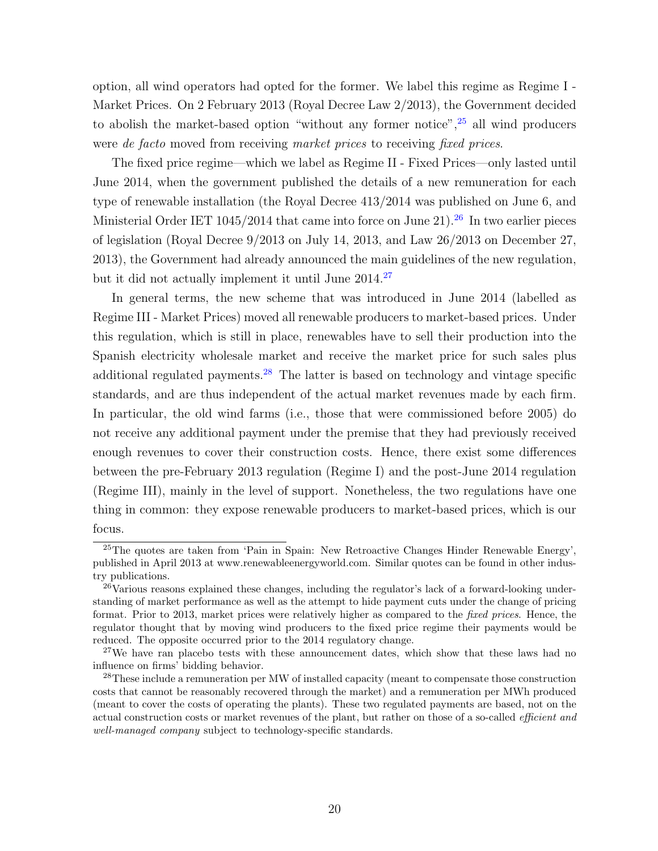option, all wind operators had opted for the former. We label this regime as Regime I - Market Prices. On 2 February 2013 (Royal Decree Law 2/2013), the Government decided to abolish the market-based option "without any former notice", $25$  all wind producers were de facto moved from receiving market prices to receiving fixed prices.

The fixed price regime—which we label as Regime II - Fixed Prices—only lasted until June 2014, when the government published the details of a new remuneration for each type of renewable installation (the Royal Decree 413/2014 was published on June 6, and Ministerial Order IET  $1045/2014$  that came into force on June 21).<sup>[26](#page-0-0)</sup> In two earlier pieces of legislation (Royal Decree 9/2013 on July 14, 2013, and Law 26/2013 on December 27, 2013), the Government had already announced the main guidelines of the new regulation, but it did not actually implement it until June 2014.[27](#page-0-0)

In general terms, the new scheme that was introduced in June 2014 (labelled as Regime III - Market Prices) moved all renewable producers to market-based prices. Under this regulation, which is still in place, renewables have to sell their production into the Spanish electricity wholesale market and receive the market price for such sales plus additional regulated payments.<sup>[28](#page-0-0)</sup> The latter is based on technology and vintage specific standards, and are thus independent of the actual market revenues made by each firm. In particular, the old wind farms (i.e., those that were commissioned before 2005) do not receive any additional payment under the premise that they had previously received enough revenues to cover their construction costs. Hence, there exist some differences between the pre-February 2013 regulation (Regime I) and the post-June 2014 regulation (Regime III), mainly in the level of support. Nonetheless, the two regulations have one thing in common: they expose renewable producers to market-based prices, which is our focus.

<sup>&</sup>lt;sup>25</sup>The quotes are taken from 'Pain in Spain: New Retroactive Changes Hinder Renewable Energy', published in April 2013 at www.renewableenergyworld.com. Similar quotes can be found in other industry publications.

 $^{26}$ Various reasons explained these changes, including the regulator's lack of a forward-looking understanding of market performance as well as the attempt to hide payment cuts under the change of pricing format. Prior to 2013, market prices were relatively higher as compared to the fixed prices. Hence, the regulator thought that by moving wind producers to the fixed price regime their payments would be reduced. The opposite occurred prior to the 2014 regulatory change.

 $27$ We have ran placebo tests with these announcement dates, which show that these laws had no influence on firms' bidding behavior.

<sup>&</sup>lt;sup>28</sup>These include a remuneration per MW of installed capacity (meant to compensate those construction costs that cannot be reasonably recovered through the market) and a remuneration per MWh produced (meant to cover the costs of operating the plants). These two regulated payments are based, not on the actual construction costs or market revenues of the plant, but rather on those of a so-called efficient and well-managed company subject to technology-specific standards.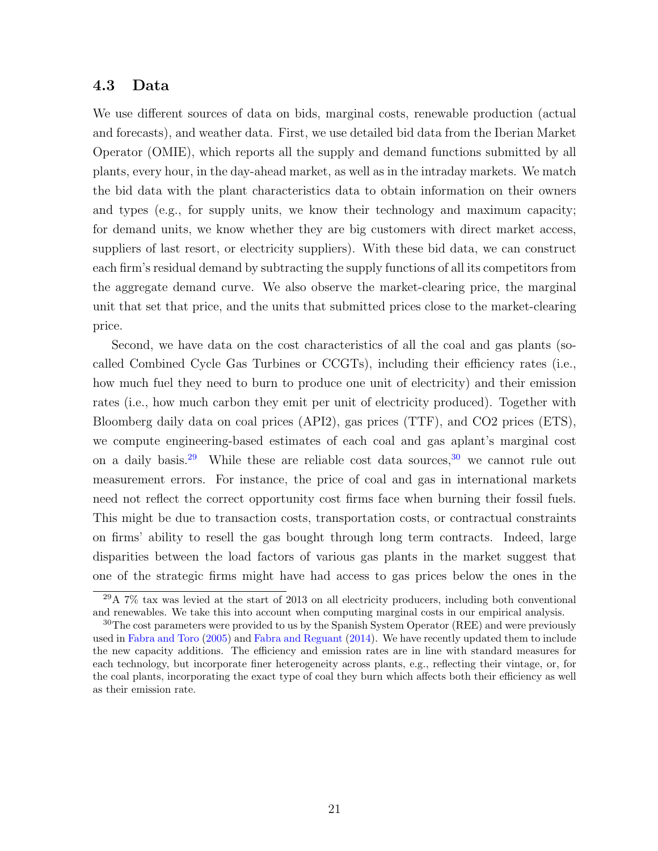#### 4.3 Data

We use different sources of data on bids, marginal costs, renewable production (actual and forecasts), and weather data. First, we use detailed bid data from the Iberian Market Operator (OMIE), which reports all the supply and demand functions submitted by all plants, every hour, in the day-ahead market, as well as in the intraday markets. We match the bid data with the plant characteristics data to obtain information on their owners and types (e.g., for supply units, we know their technology and maximum capacity; for demand units, we know whether they are big customers with direct market access, suppliers of last resort, or electricity suppliers). With these bid data, we can construct each firm's residual demand by subtracting the supply functions of all its competitors from the aggregate demand curve. We also observe the market-clearing price, the marginal unit that set that price, and the units that submitted prices close to the market-clearing price.

Second, we have data on the cost characteristics of all the coal and gas plants (socalled Combined Cycle Gas Turbines or CCGTs), including their efficiency rates (i.e., how much fuel they need to burn to produce one unit of electricity) and their emission rates (i.e., how much carbon they emit per unit of electricity produced). Together with Bloomberg daily data on coal prices (API2), gas prices (TTF), and CO2 prices (ETS), we compute engineering-based estimates of each coal and gas aplant's marginal cost on a daily basis.<sup>[29](#page-0-0)</sup> While these are reliable cost data sources,  $30$  we cannot rule out measurement errors. For instance, the price of coal and gas in international markets need not reflect the correct opportunity cost firms face when burning their fossil fuels. This might be due to transaction costs, transportation costs, or contractual constraints on firms' ability to resell the gas bought through long term contracts. Indeed, large disparities between the load factors of various gas plants in the market suggest that one of the strategic firms might have had access to gas prices below the ones in the

 $^{29}$ A 7% tax was levied at the start of 2013 on all electricity producers, including both conventional and renewables. We take this into account when computing marginal costs in our empirical analysis.

<sup>&</sup>lt;sup>30</sup>The cost parameters were provided to us by the Spanish System Operator (REE) and were previously used in [Fabra and Toro](#page-41-4) [\(2005\)](#page-41-4) and [Fabra and Reguant](#page-41-5) [\(2014\)](#page-41-5). We have recently updated them to include the new capacity additions. The efficiency and emission rates are in line with standard measures for each technology, but incorporate finer heterogeneity across plants, e.g., reflecting their vintage, or, for the coal plants, incorporating the exact type of coal they burn which affects both their efficiency as well as their emission rate.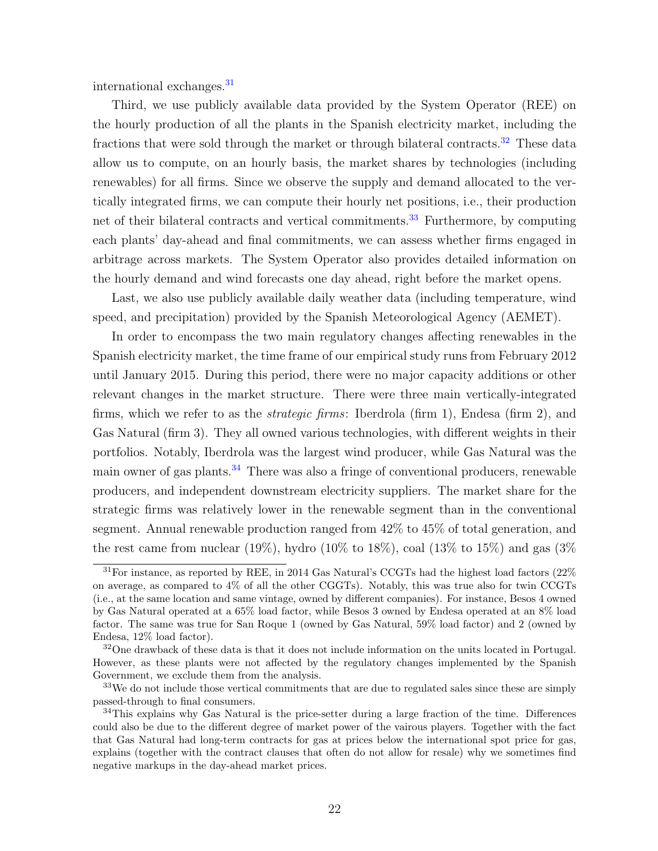international exchanges.[31](#page-0-0)

Third, we use publicly available data provided by the System Operator (REE) on the hourly production of all the plants in the Spanish electricity market, including the fractions that were sold through the market or through bilateral contracts.<sup>[32](#page-0-0)</sup> These data allow us to compute, on an hourly basis, the market shares by technologies (including renewables) for all firms. Since we observe the supply and demand allocated to the vertically integrated firms, we can compute their hourly net positions, i.e., their production net of their bilateral contracts and vertical commitments.<sup>[33](#page-0-0)</sup> Furthermore, by computing each plants' day-ahead and final commitments, we can assess whether firms engaged in arbitrage across markets. The System Operator also provides detailed information on the hourly demand and wind forecasts one day ahead, right before the market opens.

Last, we also use publicly available daily weather data (including temperature, wind speed, and precipitation) provided by the Spanish Meteorological Agency (AEMET).

In order to encompass the two main regulatory changes affecting renewables in the Spanish electricity market, the time frame of our empirical study runs from February 2012 until January 2015. During this period, there were no major capacity additions or other relevant changes in the market structure. There were three main vertically-integrated firms, which we refer to as the strategic firms: Iberdrola (firm 1), Endesa (firm 2), and Gas Natural (firm 3). They all owned various technologies, with different weights in their portfolios. Notably, Iberdrola was the largest wind producer, while Gas Natural was the main owner of gas plants.<sup>[34](#page-0-0)</sup> There was also a fringe of conventional producers, renewable producers, and independent downstream electricity suppliers. The market share for the strategic firms was relatively lower in the renewable segment than in the conventional segment. Annual renewable production ranged from 42% to 45% of total generation, and the rest came from nuclear (19%), hydro (10% to 18%), coal (13% to 15%) and gas (3%)

<sup>31</sup>For instance, as reported by REE, in 2014 Gas Natural's CCGTs had the highest load factors (22% on average, as compared to 4% of all the other CGGTs). Notably, this was true also for twin CCGTs (i.e., at the same location and same vintage, owned by different companies). For instance, Besos 4 owned by Gas Natural operated at a 65% load factor, while Besos 3 owned by Endesa operated at an 8% load factor. The same was true for San Roque 1 (owned by Gas Natural, 59% load factor) and 2 (owned by Endesa, 12% load factor).

 $32$ One drawback of these data is that it does not include information on the units located in Portugal. However, as these plants were not affected by the regulatory changes implemented by the Spanish Government, we exclude them from the analysis.

 $33\text{We do not include those vertical commitments that are due to regulated sales since these are simply}$ passed-through to final consumers.

<sup>&</sup>lt;sup>34</sup>This explains why Gas Natural is the price-setter during a large fraction of the time. Differences could also be due to the different degree of market power of the vairous players. Together with the fact that Gas Natural had long-term contracts for gas at prices below the international spot price for gas, explains (together with the contract clauses that often do not allow for resale) why we sometimes find negative markups in the day-ahead market prices.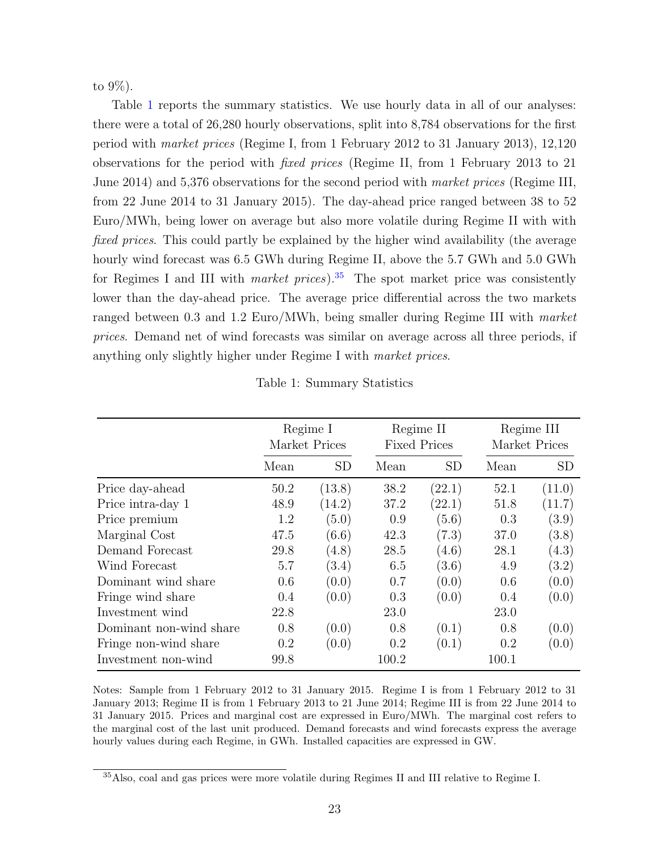to 9%).

Table [1](#page-23-0) reports the summary statistics. We use hourly data in all of our analyses: there were a total of 26,280 hourly observations, split into 8,784 observations for the first period with market prices (Regime I, from 1 February 2012 to 31 January 2013), 12,120 observations for the period with fixed prices (Regime II, from 1 February 2013 to 21 June 2014) and 5,376 observations for the second period with market prices (Regime III, from 22 June 2014 to 31 January 2015). The day-ahead price ranged between 38 to 52 Euro/MWh, being lower on average but also more volatile during Regime II with with fixed prices. This could partly be explained by the higher wind availability (the average hourly wind forecast was  $6.5$  GWh during Regime II, above the  $5.7$  GWh and  $5.0$  GWh for Regimes I and III with *market prices*).<sup>[35](#page-0-0)</sup> The spot market price was consistently lower than the day-ahead price. The average price differential across the two markets ranged between 0.3 and 1.2 Euro/MWh, being smaller during Regime III with market prices. Demand net of wind forecasts was similar on average across all three periods, if anything only slightly higher under Regime I with market prices.

<span id="page-23-0"></span>

|                         | Regime I<br>Market Prices |           |       | Regime II<br><b>Fixed Prices</b> | Regime III<br>Market Prices |           |
|-------------------------|---------------------------|-----------|-------|----------------------------------|-----------------------------|-----------|
|                         | Mean                      | <b>SD</b> | Mean  | <b>SD</b>                        | Mean                        | <b>SD</b> |
| Price day-ahead         | 50.2                      | (13.8)    | 38.2  | (22.1)                           | 52.1                        | (11.0)    |
| Price intra-day 1       | 48.9                      | (14.2)    | 37.2  | (22.1)                           | 51.8                        | (11.7)    |
| Price premium           | 1.2                       | (5.0)     | 0.9   | (5.6)                            | 0.3                         | (3.9)     |
| Marginal Cost           | 47.5                      | (6.6)     | 42.3  | (7.3)                            | 37.0                        | (3.8)     |
| Demand Forecast         | 29.8                      | (4.8)     | 28.5  | (4.6)                            | 28.1                        | (4.3)     |
| Wind Forecast           | 5.7                       | (3.4)     | 6.5   | (3.6)                            | 4.9                         | (3.2)     |
| Dominant wind share     | 0.6                       | (0.0)     | 0.7   | (0.0)                            | 0.6                         | (0.0)     |
| Fringe wind share       | 0.4                       | (0.0)     | 0.3   | (0.0)                            | 0.4                         | (0.0)     |
| Investment wind         | 22.8                      |           | 23.0  |                                  | 23.0                        |           |
| Dominant non-wind share | 0.8                       | (0.0)     | 0.8   | (0.1)                            | 0.8                         | (0.0)     |
| Fringe non-wind share   | $0.2\,$                   | (0.0)     | 0.2   | (0.1)                            | 0.2                         | (0.0)     |
| Investment non-wind     | 99.8                      |           | 100.2 |                                  | 100.1                       |           |

Table 1: Summary Statistics

Notes: Sample from 1 February 2012 to 31 January 2015. Regime I is from 1 February 2012 to 31 January 2013; Regime II is from 1 February 2013 to 21 June 2014; Regime III is from 22 June 2014 to 31 January 2015. Prices and marginal cost are expressed in Euro/MWh. The marginal cost refers to the marginal cost of the last unit produced. Demand forecasts and wind forecasts express the average hourly values during each Regime, in GWh. Installed capacities are expressed in GW.

<sup>35</sup>Also, coal and gas prices were more volatile during Regimes II and III relative to Regime I.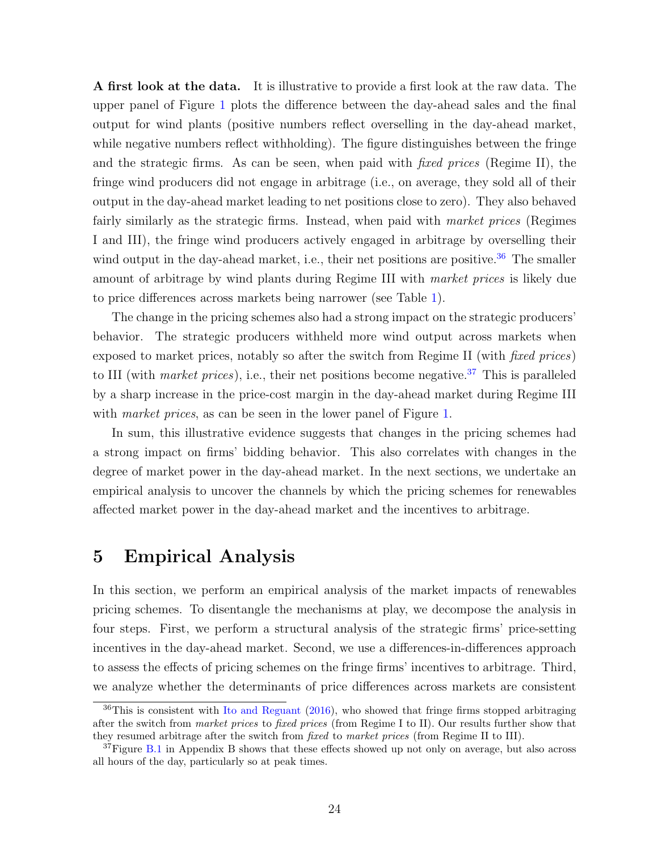A first look at the data. It is illustrative to provide a first look at the raw data. The upper panel of Figure [1](#page-25-0) plots the difference between the day-ahead sales and the final output for wind plants (positive numbers reflect overselling in the day-ahead market, while negative numbers reflect withholding). The figure distinguishes between the fringe and the strategic firms. As can be seen, when paid with fixed prices (Regime II), the fringe wind producers did not engage in arbitrage (i.e., on average, they sold all of their output in the day-ahead market leading to net positions close to zero). They also behaved fairly similarly as the strategic firms. Instead, when paid with *market prices* (Regimes I and III), the fringe wind producers actively engaged in arbitrage by overselling their wind output in the day-ahead market, i.e., their net positions are positive.<sup>[36](#page-0-0)</sup> The smaller amount of arbitrage by wind plants during Regime III with market prices is likely due to price differences across markets being narrower (see Table [1\)](#page-23-0).

The change in the pricing schemes also had a strong impact on the strategic producers' behavior. The strategic producers withheld more wind output across markets when exposed to market prices, notably so after the switch from Regime II (with fixed prices) to III (with *market prices*), i.e., their net positions become negative.<sup>[37](#page-0-0)</sup> This is paralleled by a sharp increase in the price-cost margin in the day-ahead market during Regime III with *market prices*, as can be seen in the lower panel of Figure [1.](#page-25-0)

In sum, this illustrative evidence suggests that changes in the pricing schemes had a strong impact on firms' bidding behavior. This also correlates with changes in the degree of market power in the day-ahead market. In the next sections, we undertake an empirical analysis to uncover the channels by which the pricing schemes for renewables affected market power in the day-ahead market and the incentives to arbitrage.

### <span id="page-24-0"></span>5 Empirical Analysis

In this section, we perform an empirical analysis of the market impacts of renewables pricing schemes. To disentangle the mechanisms at play, we decompose the analysis in four steps. First, we perform a structural analysis of the strategic firms' price-setting incentives in the day-ahead market. Second, we use a differences-in-differences approach to assess the effects of pricing schemes on the fringe firms' incentives to arbitrage. Third, we analyze whether the determinants of price differences across markets are consistent

 $36$ This is consistent with [Ito and Reguant](#page-41-2) [\(2016\)](#page-41-2), who showed that fringe firms stopped arbitraging after the switch from market prices to fixed prices (from Regime I to II). Our results further show that they resumed arbitrage after the switch from fixed to market prices (from Regime II to III).

<sup>&</sup>lt;sup>37</sup>Figure [B.1](#page-0-0) in Appendix B shows that these effects showed up not only on average, but also across all hours of the day, particularly so at peak times.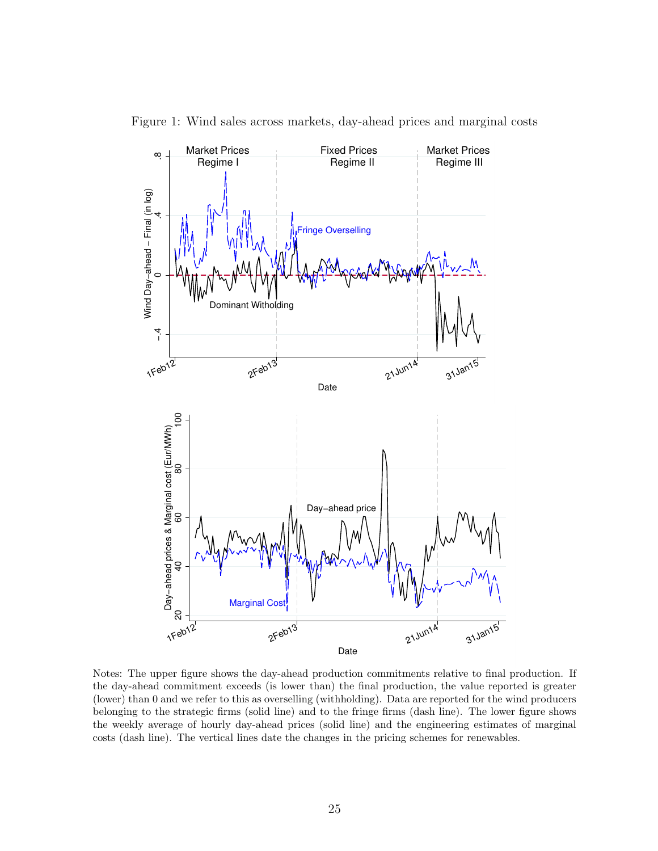

<span id="page-25-0"></span>Figure 1: Wind sales across markets, day-ahead prices and marginal costs

Notes: The upper figure shows the day-ahead production commitments relative to final production. If the day-ahead commitment exceeds (is lower than) the final production, the value reported is greater (lower) than 0 and we refer to this as overselling (withholding). Data are reported for the wind producers belonging to the strategic firms (solid line) and to the fringe firms (dash line). The lower figure shows the weekly average of hourly day-ahead prices (solid line) and the engineering estimates of marginal costs (dash line). The vertical lines date the changes in the pricing schemes for renewables.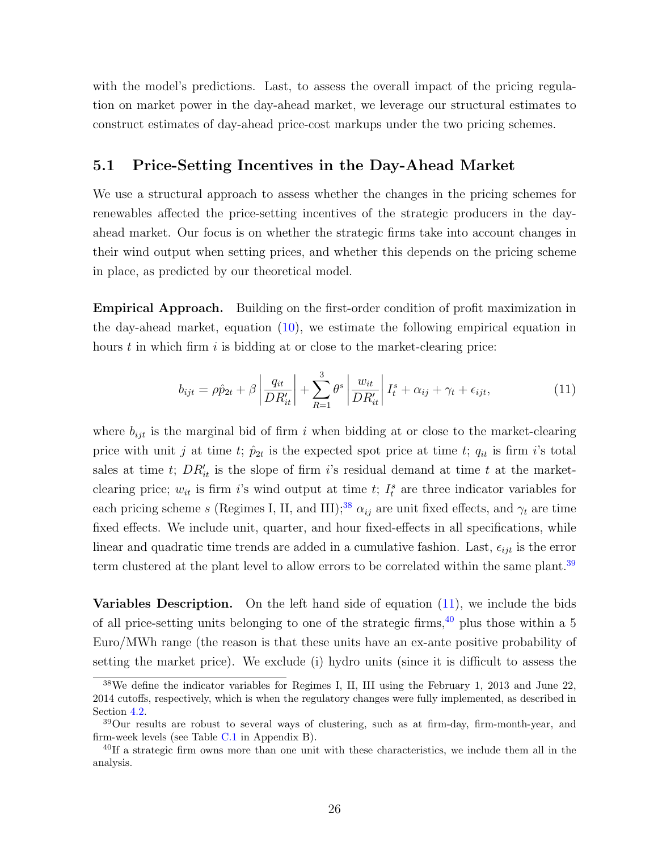with the model's predictions. Last, to assess the overall impact of the pricing regulation on market power in the day-ahead market, we leverage our structural estimates to construct estimates of day-ahead price-cost markups under the two pricing schemes.

#### <span id="page-26-1"></span>5.1 Price-Setting Incentives in the Day-Ahead Market

We use a structural approach to assess whether the changes in the pricing schemes for renewables affected the price-setting incentives of the strategic producers in the dayahead market. Our focus is on whether the strategic firms take into account changes in their wind output when setting prices, and whether this depends on the pricing scheme in place, as predicted by our theoretical model.

Empirical Approach. Building on the first-order condition of profit maximization in the day-ahead market, equation [\(10\)](#page-11-0), we estimate the following empirical equation in hours  $t$  in which firm  $i$  is bidding at or close to the market-clearing price:

<span id="page-26-0"></span>
$$
b_{ijt} = \rho \hat{p}_{2t} + \beta \left| \frac{q_{it}}{DR'_{it}} \right| + \sum_{R=1}^{3} \theta^s \left| \frac{w_{it}}{DR'_{it}} \right| I_t^s + \alpha_{ij} + \gamma_t + \epsilon_{ijt}, \tag{11}
$$

where  $b_{ijt}$  is the marginal bid of firm i when bidding at or close to the market-clearing price with unit j at time t;  $\hat{p}_{2t}$  is the expected spot price at time t;  $q_{it}$  is firm i's total sales at time t;  $DR'_{it}$  is the slope of firm i's residual demand at time t at the marketclearing price;  $w_{it}$  is firm i's wind output at time t;  $I_t^s$  are three indicator variables for each pricing scheme s (Regimes I, II, and III);<sup>[38](#page-0-0)</sup>  $\alpha_{ij}$  are unit fixed effects, and  $\gamma_t$  are time fixed effects. We include unit, quarter, and hour fixed-effects in all specifications, while linear and quadratic time trends are added in a cumulative fashion. Last,  $\epsilon_{ijt}$  is the error term clustered at the plant level to allow errors to be correlated within the same plant.<sup>[39](#page-0-0)</sup>

<span id="page-26-2"></span>**Variables Description.** On the left hand side of equation  $(11)$ , we include the bids of all price-setting units belonging to one of the strategic firms,  $40$  plus those within a 5 Euro/MWh range (the reason is that these units have an ex-ante positive probability of setting the market price). We exclude (i) hydro units (since it is difficult to assess the

<sup>38</sup>We define the indicator variables for Regimes I, II, III using the February 1, 2013 and June 22, 2014 cutoffs, respectively, which is when the regulatory changes were fully implemented, as described in Section [4.2.](#page-19-0)

<sup>39</sup>Our results are robust to several ways of clustering, such as at firm-day, firm-month-year, and firm-week levels (see Table [C.1](#page-0-0) in Appendix B).

<sup>&</sup>lt;sup>40</sup>If a strategic firm owns more than one unit with these characteristics, we include them all in the analysis.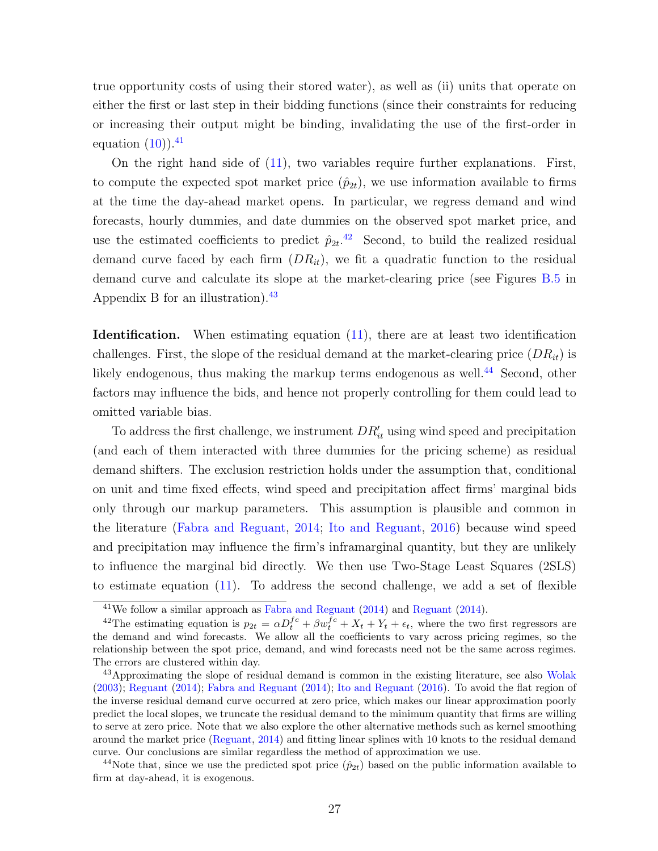true opportunity costs of using their stored water), as well as (ii) units that operate on either the first or last step in their bidding functions (since their constraints for reducing or increasing their output might be binding, invalidating the use of the first-order in equation  $(10)$ ).<sup>[41](#page-0-0)</sup>

On the right hand side of [\(11\)](#page-26-0), two variables require further explanations. First, to compute the expected spot market price  $(\hat{p}_{2t})$ , we use information available to firms at the time the day-ahead market opens. In particular, we regress demand and wind forecasts, hourly dummies, and date dummies on the observed spot market price, and use the estimated coefficients to predict  $\hat{p}_{2t}$ .<sup>[42](#page-0-0)</sup> Second, to build the realized residual demand curve faced by each firm  $(DR_{it})$ , we fit a quadratic function to the residual demand curve and calculate its slope at the market-clearing price (see Figures [B.5](#page-0-0) in Appendix B for an illustration). $43$ 

**Identification.** When estimating equation  $(11)$ , there are at least two identification challenges. First, the slope of the residual demand at the market-clearing price  $(DR_{it})$  is likely endogenous, thus making the markup terms endogenous as well.<sup>[44](#page-0-0)</sup> Second, other factors may influence the bids, and hence not properly controlling for them could lead to omitted variable bias.

To address the first challenge, we instrument  $DR'_{it}$  using wind speed and precipitation (and each of them interacted with three dummies for the pricing scheme) as residual demand shifters. The exclusion restriction holds under the assumption that, conditional on unit and time fixed effects, wind speed and precipitation affect firms' marginal bids only through our markup parameters. This assumption is plausible and common in the literature [\(Fabra and Reguant,](#page-41-5) [2014;](#page-41-5) [Ito and Reguant,](#page-41-2) [2016\)](#page-41-2) because wind speed and precipitation may influence the firm's inframarginal quantity, but they are unlikely to influence the marginal bid directly. We then use Two-Stage Least Squares (2SLS) to estimate equation  $(11)$ . To address the second challenge, we add a set of flexible

<sup>41</sup>We follow a similar approach as [Fabra and Reguant](#page-41-5) [\(2014\)](#page-41-5) and [Reguant](#page-42-3) [\(2014\)](#page-42-3).

<sup>&</sup>lt;sup>42</sup>The estimating equation is  $p_{2t} = \alpha D_t^{fc} + \beta w_t^{fc} + X_t + Y_t + \epsilon_t$ , where the two first regressors are the demand and wind forecasts. We allow all the coefficients to vary across pricing regimes, so the relationship between the spot price, demand, and wind forecasts need not be the same across regimes. The errors are clustered within day.

<sup>&</sup>lt;sup>43</sup>Approximating the slope of residual demand is common in the existing literature, see also [Wolak](#page-42-7) [\(2003\)](#page-42-7); [Reguant](#page-42-3) [\(2014\)](#page-42-3); [Fabra and Reguant](#page-41-5) [\(2014\)](#page-41-5); [Ito and Reguant](#page-41-2) [\(2016\)](#page-41-2). To avoid the flat region of the inverse residual demand curve occurred at zero price, which makes our linear approximation poorly predict the local slopes, we truncate the residual demand to the minimum quantity that firms are willing to serve at zero price. Note that we also explore the other alternative methods such as kernel smoothing around the market price [\(Reguant,](#page-42-3) [2014\)](#page-42-3) and fitting linear splines with 10 knots to the residual demand curve. Our conclusions are similar regardless the method of approximation we use.

<sup>&</sup>lt;sup>44</sup>Note that, since we use the predicted spot price  $(\hat{p}_{2t})$  based on the public information available to firm at day-ahead, it is exogenous.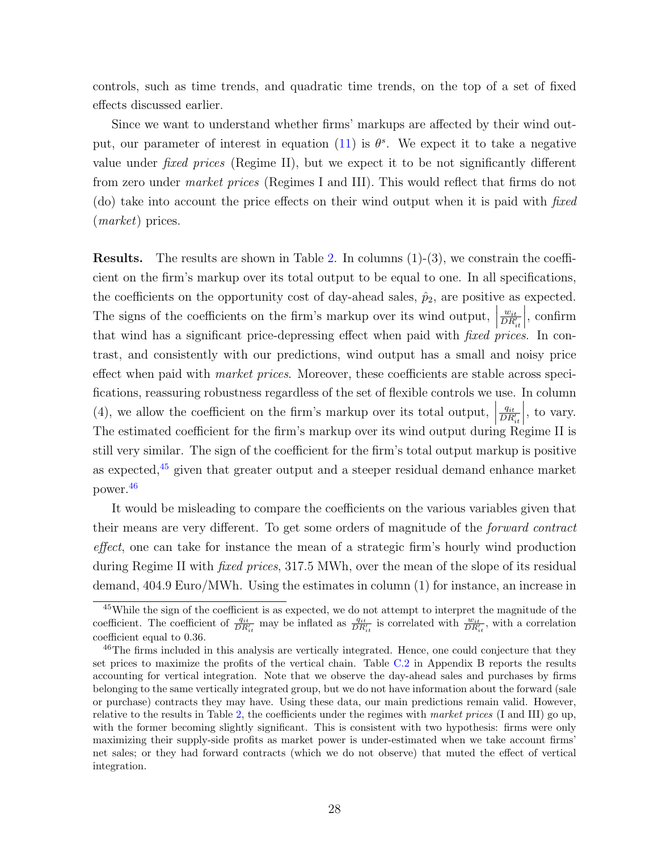controls, such as time trends, and quadratic time trends, on the top of a set of fixed effects discussed earlier.

Since we want to understand whether firms' markups are affected by their wind out-put, our parameter of interest in equation [\(11\)](#page-26-0) is  $\theta^s$ . We expect it to take a negative value under fixed prices (Regime II), but we expect it to be not significantly different from zero under market prices (Regimes I and III). This would reflect that firms do not (do) take into account the price effects on their wind output when it is paid with fixed (market) prices.

Results. The results are shown in Table [2.](#page-29-0) In columns (1)-(3), we constrain the coefficient on the firm's markup over its total output to be equal to one. In all specifications, the coefficients on the opportunity cost of day-ahead sales,  $\hat{p}_2$ , are positive as expected. The signs of the coefficients on the firm's markup over its wind output,  $\begin{bmatrix} 1 & 0 & 0 \\ 0 & 0 & 0 \\ 0 & 0 & 0 \end{bmatrix}$  $\frac{w_{it}}{DR_{it}'}$  $\Big\vert$ , confirm that wind has a significant price-depressing effect when paid with fixed prices. In contrast, and consistently with our predictions, wind output has a small and noisy price effect when paid with market prices. Moreover, these coefficients are stable across specifications, reassuring robustness regardless of the set of flexible controls we use. In column (4), we allow the coefficient on the firm's markup over its total output,  $\begin{bmatrix} \n\end{bmatrix}$  $q_{it}$  $\overline{DR_{it}'}$ , to vary. The estimated coefficient for the firm's markup over its wind output during Regime II is still very similar. The sign of the coefficient for the firm's total output markup is positive as expected,[45](#page-0-0) given that greater output and a steeper residual demand enhance market power.[46](#page-0-0)

It would be misleading to compare the coefficients on the various variables given that their means are very different. To get some orders of magnitude of the forward contract effect, one can take for instance the mean of a strategic firm's hourly wind production during Regime II with fixed prices, 317.5 MWh, over the mean of the slope of its residual demand, 404.9 Euro/MWh. Using the estimates in column (1) for instance, an increase in

<sup>45</sup>While the sign of the coefficient is as expected, we do not attempt to interpret the magnitude of the coefficient. The coefficient of  $\frac{q_{it}}{DR'_{it}}$  may be inflated as  $\frac{q_{it}}{DR'_{it}}$  is correlated with  $\frac{w_{it}}{DR'_{it}}$ , with a correlation coefficient equal to 0.36.

<sup>&</sup>lt;sup>46</sup>The firms included in this analysis are vertically integrated. Hence, one could conjecture that they set prices to maximize the profits of the vertical chain. Table [C.2](#page-0-0) in Appendix B reports the results accounting for vertical integration. Note that we observe the day-ahead sales and purchases by firms belonging to the same vertically integrated group, but we do not have information about the forward (sale or purchase) contracts they may have. Using these data, our main predictions remain valid. However, relative to the results in Table [2,](#page-29-0) the coefficients under the regimes with market prices (I and III) go up, with the former becoming slightly significant. This is consistent with two hypothesis: firms were only maximizing their supply-side profits as market power is under-estimated when we take account firms' net sales; or they had forward contracts (which we do not observe) that muted the effect of vertical integration.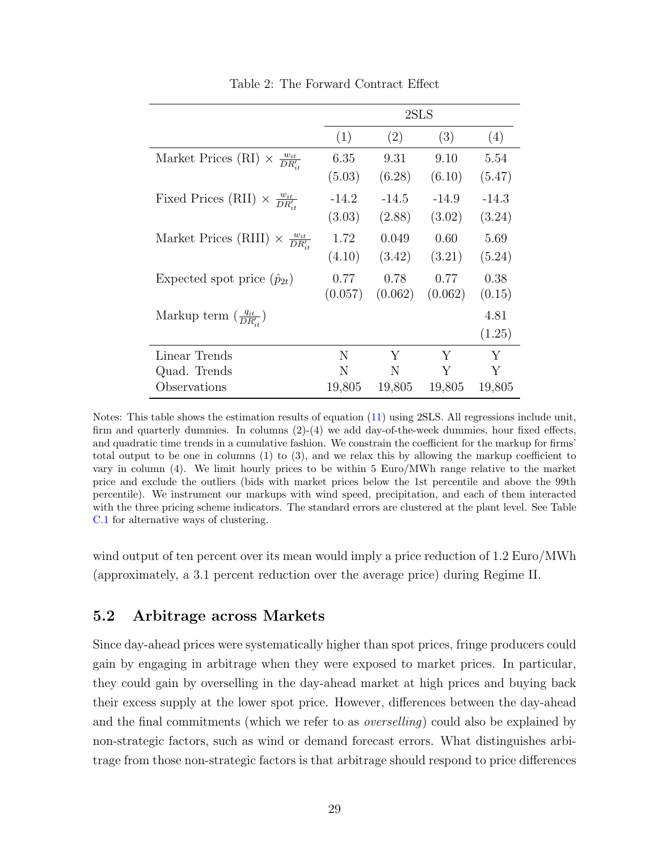<span id="page-29-0"></span>

|                                                      | 2SLS    |         |         |         |
|------------------------------------------------------|---------|---------|---------|---------|
|                                                      | (1)     | (2)     | (3)     | (4)     |
| Market Prices (RI) $\times \frac{w_{it}}{DR_{it}}$   | 6.35    | 9.31    | 9.10    | 5.54    |
|                                                      | (5.03)  | (6.28)  | (6.10)  | (5.47)  |
| Fixed Prices (RII) $\times \frac{w_{it}}{DR_{it}}$   | $-14.2$ | $-14.5$ | $-14.9$ | $-14.3$ |
|                                                      | (3.03)  | (2.88)  | (3.02)  | (3.24)  |
| Market Prices (RIII) $\times \frac{w_{it}}{DR_{it}}$ | 1.72    | 0.049   | 0.60    | 5.69    |
|                                                      | (4.10)  | (3.42)  | (3.21)  | (5.24)  |
| Expected spot price $(\hat{p}_{2t})$                 | 0.77    | 0.78    | 0.77    | 0.38    |
|                                                      | (0.057) | (0.062) | (0.062) | (0.15)  |
| Markup term $\left(\frac{q_{it}}{DR_{it}}\right)$    |         |         |         | 4.81    |
|                                                      |         |         |         | (1.25)  |
| Linear Trends                                        | N       | Y       | Y       | Y       |
| Quad. Trends                                         | N       | N       | Y       | Y       |
| Observations                                         | 19,805  | 19,805  | 19,805  | 19,805  |

Table 2: The Forward Contract Effect

Notes: This table shows the estimation results of equation [\(11\)](#page-26-0) using 2SLS. All regressions include unit, firm and quarterly dummies. In columns (2)-(4) we add day-of-the-week dummies, hour fixed effects, and quadratic time trends in a cumulative fashion. We constrain the coefficient for the markup for firms' total output to be one in columns (1) to (3), and we relax this by allowing the markup coefficient to vary in column (4). We limit hourly prices to be within 5 Euro/MWh range relative to the market price and exclude the outliers (bids with market prices below the 1st percentile and above the 99th percentile). We instrument our markups with wind speed, precipitation, and each of them interacted with the three pricing scheme indicators. The standard errors are clustered at the plant level. See Table [C.1](#page-0-0) for alternative ways of clustering.

wind output of ten percent over its mean would imply a price reduction of 1.2 Euro/MWh (approximately, a 3.1 percent reduction over the average price) during Regime II.

### 5.2 Arbitrage across Markets

Since day-ahead prices were systematically higher than spot prices, fringe producers could gain by engaging in arbitrage when they were exposed to market prices. In particular, they could gain by overselling in the day-ahead market at high prices and buying back their excess supply at the lower spot price. However, differences between the day-ahead and the final commitments (which we refer to as overselling) could also be explained by non-strategic factors, such as wind or demand forecast errors. What distinguishes arbitrage from those non-strategic factors is that arbitrage should respond to price differences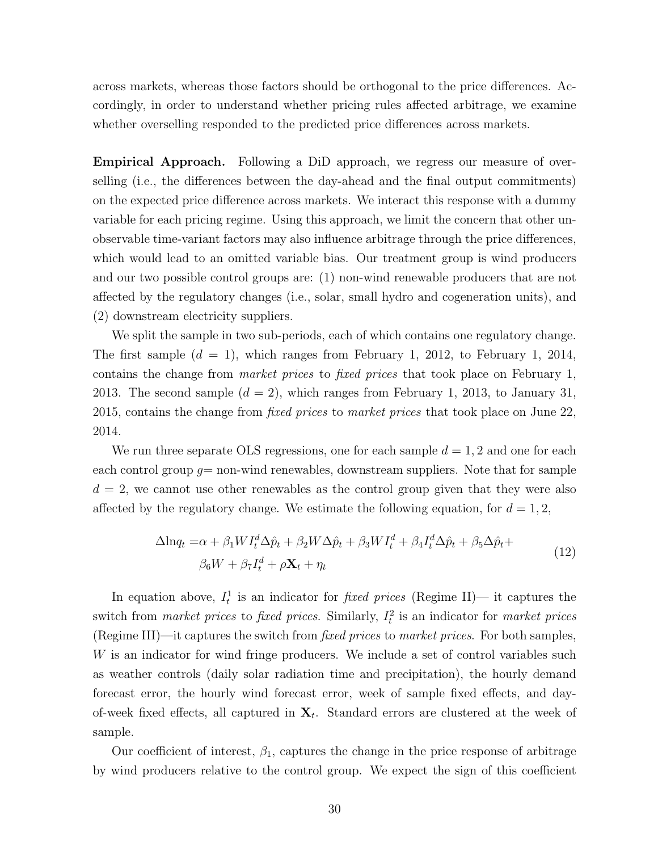across markets, whereas those factors should be orthogonal to the price differences. Accordingly, in order to understand whether pricing rules affected arbitrage, we examine whether overselling responded to the predicted price differences across markets.

Empirical Approach. Following a DiD approach, we regress our measure of overselling (i.e., the differences between the day-ahead and the final output commitments) on the expected price difference across markets. We interact this response with a dummy variable for each pricing regime. Using this approach, we limit the concern that other unobservable time-variant factors may also influence arbitrage through the price differences, which would lead to an omitted variable bias. Our treatment group is wind producers and our two possible control groups are: (1) non-wind renewable producers that are not affected by the regulatory changes (i.e., solar, small hydro and cogeneration units), and (2) downstream electricity suppliers.

We split the sample in two sub-periods, each of which contains one regulatory change. The first sample  $(d = 1)$ , which ranges from February 1, 2012, to February 1, 2014, contains the change from market prices to fixed prices that took place on February 1, 2013. The second sample  $(d = 2)$ , which ranges from February 1, 2013, to January 31, 2015, contains the change from *fixed prices* to market prices that took place on June 22, 2014.

We run three separate OLS regressions, one for each sample  $d = 1, 2$  and one for each each control group  $q=$  non-wind renewables, downstream suppliers. Note that for sample  $d = 2$ , we cannot use other renewables as the control group given that they were also affected by the regulatory change. We estimate the following equation, for  $d = 1, 2$ ,

$$
\Delta \ln q_t = \alpha + \beta_1 W I_t^d \Delta \hat{p}_t + \beta_2 W \Delta \hat{p}_t + \beta_3 W I_t^d + \beta_4 I_t^d \Delta \hat{p}_t + \beta_5 \Delta \hat{p}_t + \beta_6 W + \beta_7 I_t^d + \rho \mathbf{X}_t + \eta_t
$$
\n(12)

<span id="page-30-0"></span>In equation above,  $I_t^1$  is an indicator for *fixed prices* (Regime II)— it captures the switch from *market prices* to *fixed prices*. Similarly,  $I_t^2$  is an indicator for *market prices* (Regime III)—it captures the switch from fixed prices to market prices. For both samples, W is an indicator for wind fringe producers. We include a set of control variables such as weather controls (daily solar radiation time and precipitation), the hourly demand forecast error, the hourly wind forecast error, week of sample fixed effects, and dayof-week fixed effects, all captured in  $X_t$ . Standard errors are clustered at the week of sample.

Our coefficient of interest,  $\beta_1$ , captures the change in the price response of arbitrage by wind producers relative to the control group. We expect the sign of this coefficient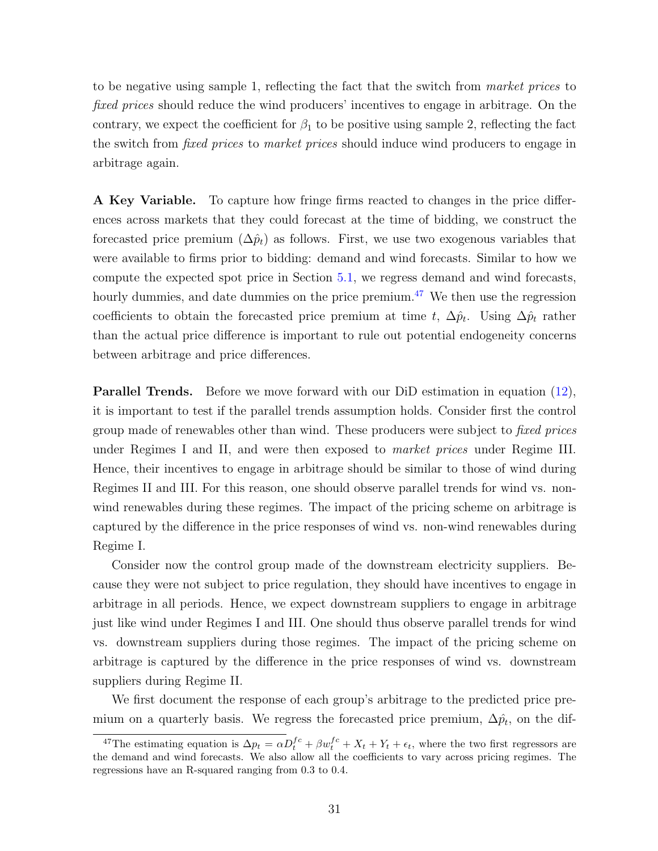to be negative using sample 1, reflecting the fact that the switch from market prices to fixed prices should reduce the wind producers' incentives to engage in arbitrage. On the contrary, we expect the coefficient for  $\beta_1$  to be positive using sample 2, reflecting the fact the switch from *fixed prices* to *market prices* should induce wind producers to engage in arbitrage again.

A Key Variable. To capture how fringe firms reacted to changes in the price differences across markets that they could forecast at the time of bidding, we construct the forecasted price premium  $(\Delta \hat{p}_t)$  as follows. First, we use two exogenous variables that were available to firms prior to bidding: demand and wind forecasts. Similar to how we compute the expected spot price in Section [5.1,](#page-26-1) we regress demand and wind forecasts, hourly dummies, and date dummies on the price premium. $47$  We then use the regression coefficients to obtain the forecasted price premium at time t,  $\Delta p_t$ . Using  $\Delta p_t$  rather than the actual price difference is important to rule out potential endogeneity concerns between arbitrage and price differences.

Parallel Trends. Before we move forward with our DiD estimation in equation [\(12\)](#page-30-0), it is important to test if the parallel trends assumption holds. Consider first the control group made of renewables other than wind. These producers were subject to *fixed prices* under Regimes I and II, and were then exposed to market prices under Regime III. Hence, their incentives to engage in arbitrage should be similar to those of wind during Regimes II and III. For this reason, one should observe parallel trends for wind vs. nonwind renewables during these regimes. The impact of the pricing scheme on arbitrage is captured by the difference in the price responses of wind vs. non-wind renewables during Regime I.

Consider now the control group made of the downstream electricity suppliers. Because they were not subject to price regulation, they should have incentives to engage in arbitrage in all periods. Hence, we expect downstream suppliers to engage in arbitrage just like wind under Regimes I and III. One should thus observe parallel trends for wind vs. downstream suppliers during those regimes. The impact of the pricing scheme on arbitrage is captured by the difference in the price responses of wind vs. downstream suppliers during Regime II.

We first document the response of each group's arbitrage to the predicted price premium on a quarterly basis. We regress the forecasted price premium,  $\Delta p_t$ , on the dif-

<sup>&</sup>lt;sup>47</sup>The estimating equation is  $\Delta p_t = \alpha D_t^{fc} + \beta w_t^{fc} + X_t + Y_t + \epsilon_t$ , where the two first regressors are the demand and wind forecasts. We also allow all the coefficients to vary across pricing regimes. The regressions have an R-squared ranging from 0.3 to 0.4.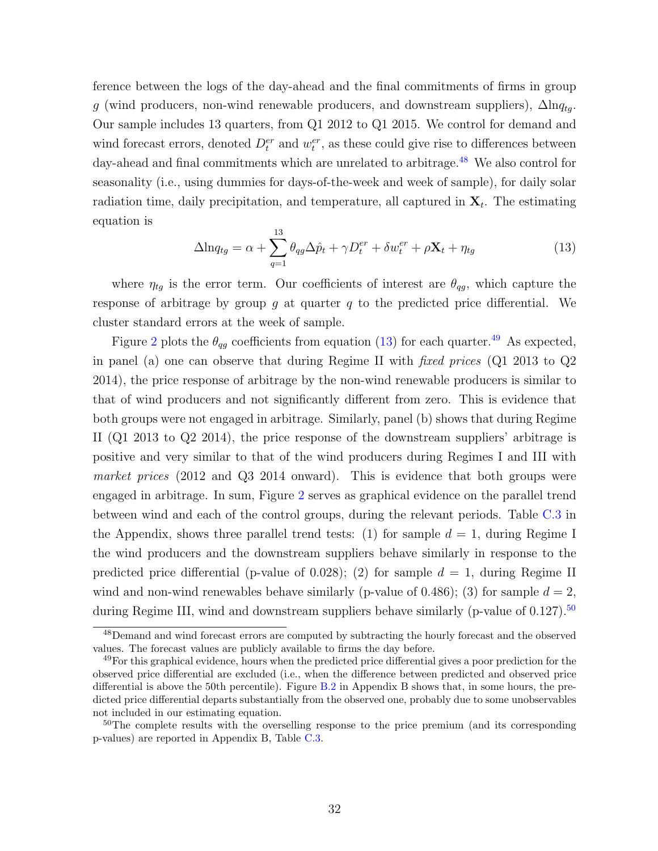ference between the logs of the day-ahead and the final commitments of firms in group g (wind producers, non-wind renewable producers, and downstream suppliers),  $\Delta \ln q_{tq}$ . Our sample includes 13 quarters, from Q1 2012 to Q1 2015. We control for demand and wind forecast errors, denoted  $D_t^{er}$  and  $w_t^{er}$ , as these could give rise to differences between day-ahead and final commitments which are unrelated to arbitrage.<sup>[48](#page-0-0)</sup> We also control for seasonality (i.e., using dummies for days-of-the-week and week of sample), for daily solar radiation time, daily precipitation, and temperature, all captured in  $\mathbf{X}_{t}$ . The estimating equation is

<span id="page-32-0"></span>
$$
\Delta \ln q_{tg} = \alpha + \sum_{q=1}^{13} \theta_{qg} \Delta \hat{p}_t + \gamma D_t^{er} + \delta w_t^{er} + \rho \mathbf{X}_t + \eta_{tg}
$$
\n(13)

where  $\eta_{tg}$  is the error term. Our coefficients of interest are  $\theta_{qg}$ , which capture the response of arbitrage by group  $g$  at quarter  $q$  to the predicted price differential. We cluster standard errors at the week of sample.

Figure [2](#page-33-0) plots the  $\theta_{qg}$  coefficients from equation [\(13\)](#page-32-0) for each quarter.<sup>[49](#page-0-0)</sup> As expected, in panel (a) one can observe that during Regime II with fixed prices (Q1 2013 to Q2 2014), the price response of arbitrage by the non-wind renewable producers is similar to that of wind producers and not significantly different from zero. This is evidence that both groups were not engaged in arbitrage. Similarly, panel (b) shows that during Regime II (Q1 2013 to Q2 2014), the price response of the downstream suppliers' arbitrage is positive and very similar to that of the wind producers during Regimes I and III with market prices (2012 and Q3 2014 onward). This is evidence that both groups were engaged in arbitrage. In sum, Figure [2](#page-33-0) serves as graphical evidence on the parallel trend between wind and each of the control groups, during the relevant periods. Table [C.3](#page-34-0) in the Appendix, shows three parallel trend tests: (1) for sample  $d = 1$ , during Regime I the wind producers and the downstream suppliers behave similarly in response to the predicted price differential (p-value of 0.028); (2) for sample  $d = 1$ , during Regime II wind and non-wind renewables behave similarly (p-value of 0.486); (3) for sample  $d = 2$ , during Regime III, wind and downstream suppliers behave similarly (p-value of  $0.127$ ).<sup>[50](#page-0-0)</sup>

<sup>48</sup>Demand and wind forecast errors are computed by subtracting the hourly forecast and the observed values. The forecast values are publicly available to firms the day before.

<sup>&</sup>lt;sup>49</sup>For this graphical evidence, hours when the predicted price differential gives a poor prediction for the observed price differential are excluded (i.e., when the difference between predicted and observed price differential is above the 50th percentile). Figure [B.2](#page-0-0) in Appendix B shows that, in some hours, the predicted price differential departs substantially from the observed one, probably due to some unobservables not included in our estimating equation.

<sup>&</sup>lt;sup>50</sup>The complete results with the overselling response to the price premium (and its corresponding p-values) are reported in Appendix B, Table [C.3.](#page-34-0)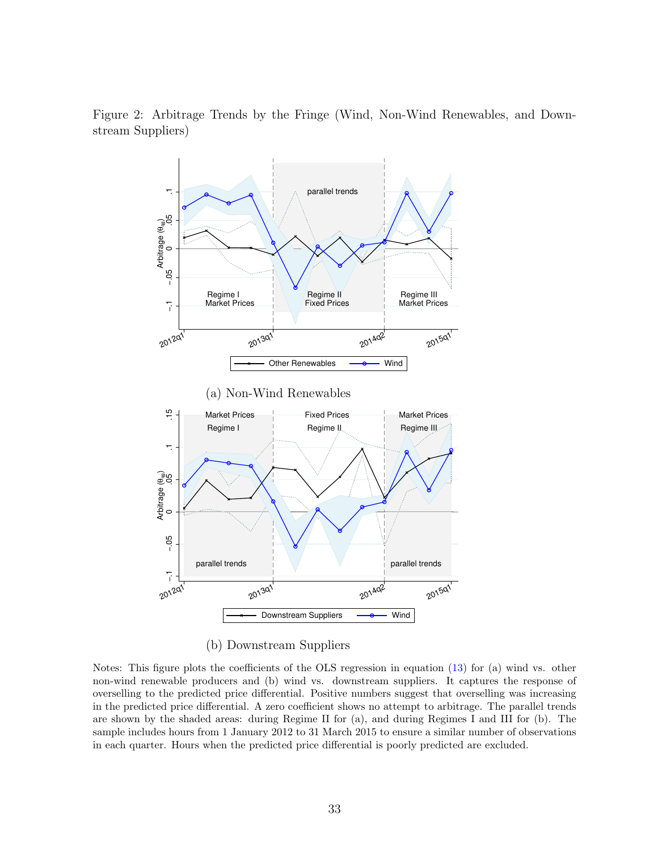<span id="page-33-0"></span>Figure 2: Arbitrage Trends by the Fringe (Wind, Non-Wind Renewables, and Downstream Suppliers)



(b) Downstream Suppliers

Notes: This figure plots the coefficients of the OLS regression in equation [\(13\)](#page-32-0) for (a) wind vs. other non-wind renewable producers and (b) wind vs. downstream suppliers. It captures the response of overselling to the predicted price differential. Positive numbers suggest that overselling was increasing in the predicted price differential. A zero coefficient shows no attempt to arbitrage. The parallel trends are shown by the shaded areas: during Regime II for (a), and during Regimes I and III for (b). The sample includes hours from 1 January 2012 to 31 March 2015 to ensure a similar number of observations in each quarter. Hours when the predicted price differential is poorly predicted are excluded.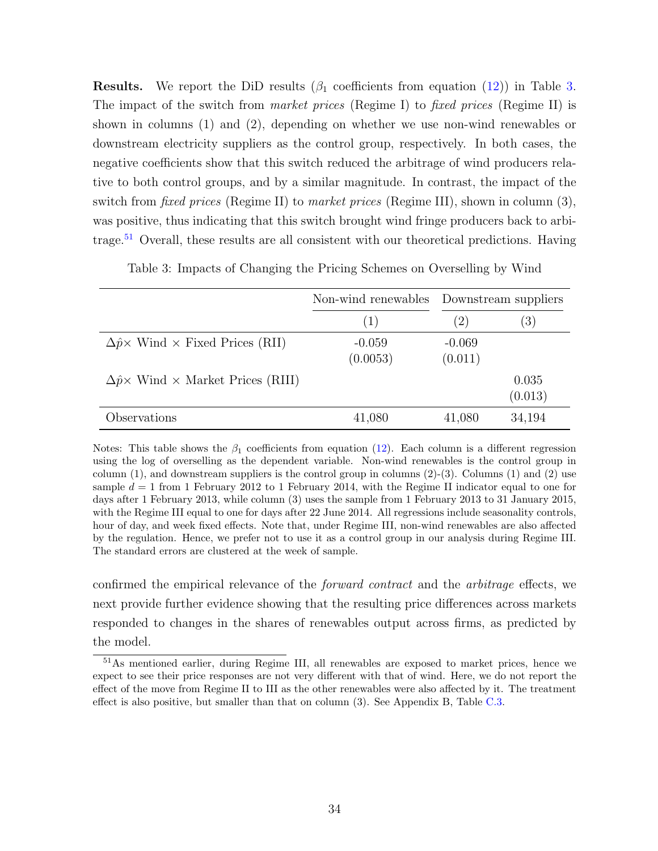**Results.** We report the DiD results  $(\beta_1$  coefficients from equation [\(12\)](#page-30-0)) in Table [3.](#page-34-0) The impact of the switch from *market prices* (Regime I) to *fixed prices* (Regime II) is shown in columns (1) and (2), depending on whether we use non-wind renewables or downstream electricity suppliers as the control group, respectively. In both cases, the negative coefficients show that this switch reduced the arbitrage of wind producers relative to both control groups, and by a similar magnitude. In contrast, the impact of the switch from fixed prices (Regime II) to market prices (Regime III), shown in column (3), was positive, thus indicating that this switch brought wind fringe producers back to arbi-trage.<sup>[51](#page-0-0)</sup> Overall, these results are all consistent with our theoretical predictions. Having

<span id="page-34-0"></span>

|                                                            | Non-wind renewables Downstream suppliers |                     |                  |
|------------------------------------------------------------|------------------------------------------|---------------------|------------------|
|                                                            | (1)                                      | $\left( 2\right)$   | (3)              |
| $\Delta \hat{p} \times$ Wind $\times$ Fixed Prices (RII)   | $-0.059$<br>(0.0053)                     | $-0.069$<br>(0.011) |                  |
| $\Delta \hat{p} \times$ Wind $\times$ Market Prices (RIII) |                                          |                     | 0.035<br>(0.013) |
| Observations                                               | 41,080                                   | 41,080              | 34,194           |

Table 3: Impacts of Changing the Pricing Schemes on Overselling by Wind

Notes: This table shows the  $\beta_1$  coefficients from equation [\(12\)](#page-30-0). Each column is a different regression using the log of overselling as the dependent variable. Non-wind renewables is the control group in column  $(1)$ , and downstream suppliers is the control group in columns  $(2)-(3)$ . Columns  $(1)$  and  $(2)$  use sample  $d = 1$  from 1 February 2012 to 1 February 2014, with the Regime II indicator equal to one for days after 1 February 2013, while column (3) uses the sample from 1 February 2013 to 31 January 2015, with the Regime III equal to one for days after 22 June 2014. All regressions include seasonality controls, hour of day, and week fixed effects. Note that, under Regime III, non-wind renewables are also affected by the regulation. Hence, we prefer not to use it as a control group in our analysis during Regime III. The standard errors are clustered at the week of sample.

confirmed the empirical relevance of the forward contract and the arbitrage effects, we next provide further evidence showing that the resulting price differences across markets responded to changes in the shares of renewables output across firms, as predicted by the model.

<sup>51</sup>As mentioned earlier, during Regime III, all renewables are exposed to market prices, hence we expect to see their price responses are not very different with that of wind. Here, we do not report the effect of the move from Regime II to III as the other renewables were also affected by it. The treatment effect is also positive, but smaller than that on column (3). See Appendix B, Table [C.3.](#page-34-0)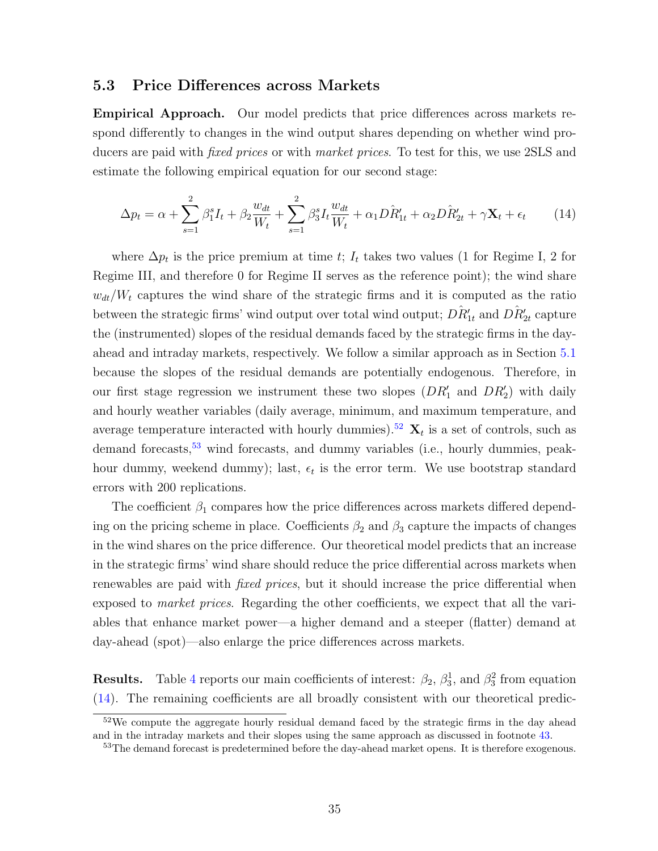#### 5.3 Price Differences across Markets

Empirical Approach. Our model predicts that price differences across markets respond differently to changes in the wind output shares depending on whether wind producers are paid with *fixed prices* or with *market prices*. To test for this, we use 2SLS and estimate the following empirical equation for our second stage:

<span id="page-35-0"></span>
$$
\Delta p_t = \alpha + \sum_{s=1}^2 \beta_1^s I_t + \beta_2 \frac{w_{dt}}{W_t} + \sum_{s=1}^2 \beta_3^s I_t \frac{w_{dt}}{W_t} + \alpha_1 D \hat{R}'_{1t} + \alpha_2 D \hat{R}'_{2t} + \gamma \mathbf{X}_t + \epsilon_t \tag{14}
$$

where  $\Delta p_t$  is the price premium at time t;  $I_t$  takes two values (1 for Regime I, 2 for Regime III, and therefore 0 for Regime II serves as the reference point); the wind share  $w_{dt}/W_t$  captures the wind share of the strategic firms and it is computed as the ratio between the strategic firms' wind output over total wind output;  $\hat{DR_{1t}'}$  and  $\hat{DR_{2t}'}$  capture the (instrumented) slopes of the residual demands faced by the strategic firms in the dayahead and intraday markets, respectively. We follow a similar approach as in Section [5.1](#page-26-1) because the slopes of the residual demands are potentially endogenous. Therefore, in our first stage regression we instrument these two slopes  $(DR'_1$  and  $DR'_2)$  with daily and hourly weather variables (daily average, minimum, and maximum temperature, and average temperature interacted with hourly dummies).<sup>[52](#page-0-0)</sup>  $\mathbf{X}_t$  is a set of controls, such as demand forecasts,<sup>[53](#page-0-0)</sup> wind forecasts, and dummy variables (i.e., hourly dummies, peakhour dummy, weekend dummy); last,  $\epsilon_t$  is the error term. We use bootstrap standard errors with 200 replications.

The coefficient  $\beta_1$  compares how the price differences across markets differed depending on the pricing scheme in place. Coefficients  $\beta_2$  and  $\beta_3$  capture the impacts of changes in the wind shares on the price difference. Our theoretical model predicts that an increase in the strategic firms' wind share should reduce the price differential across markets when renewables are paid with *fixed prices*, but it should increase the price differential when exposed to *market prices*. Regarding the other coefficients, we expect that all the variables that enhance market power—a higher demand and a steeper (flatter) demand at day-ahead (spot)—also enlarge the price differences across markets.

**Results.** Table [4](#page-36-0) reports our main coefficients of interest:  $\beta_2$ ,  $\beta_3^1$ , and  $\beta_3^2$  from equation [\(14\)](#page-35-0). The remaining coefficients are all broadly consistent with our theoretical predic-

<sup>&</sup>lt;sup>52</sup>We compute the aggregate hourly residual demand faced by the strategic firms in the day ahead and in the intraday markets and their slopes using the same approach as discussed in footnote [43.](#page-26-2)

<sup>&</sup>lt;sup>53</sup>The demand forecast is predetermined before the day-ahead market opens. It is therefore exogenous.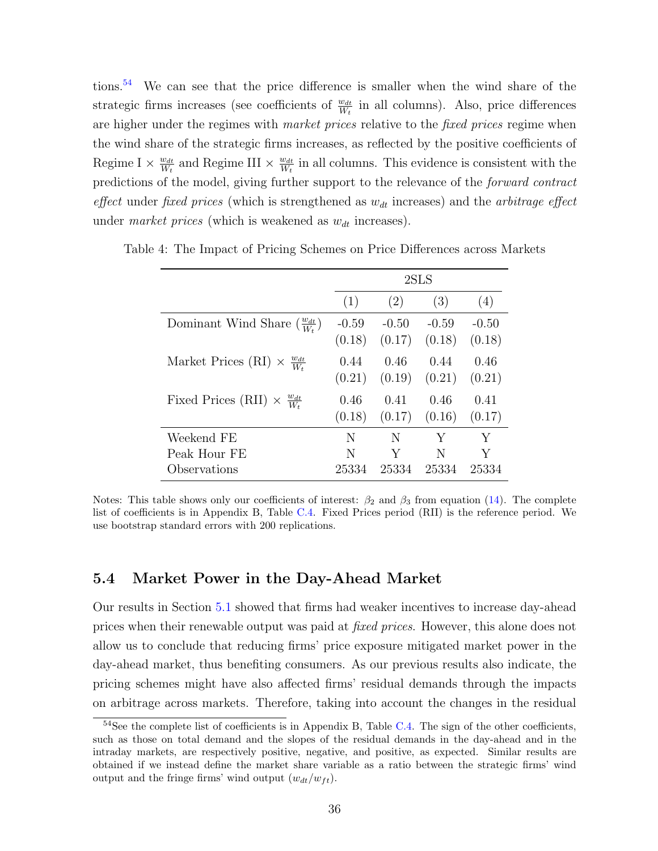tions.[54](#page-0-0) We can see that the price difference is smaller when the wind share of the strategic firms increases (see coefficients of  $\frac{w_{dt}}{W_t}$  in all columns). Also, price differences are higher under the regimes with *market prices* relative to the *fixed prices* regime when the wind share of the strategic firms increases, as reflected by the positive coefficients of Regime I  $\times \frac{w_{dt}}{W_t}$  $\frac{w_{dt}}{W_t}$  and Regime III  $\times \frac{w_{dt}}{W_t}$  $\frac{w_{dt}}{W_t}$  in all columns. This evidence is consistent with the predictions of the model, giving further support to the relevance of the forward contract effect under fixed prices (which is strengthened as  $w_{dt}$  increases) and the arbitrage effect under *market prices* (which is weakened as  $w_{dt}$  increases).

|                                                     | 2SLS    |         |         |         |  |
|-----------------------------------------------------|---------|---------|---------|---------|--|
|                                                     | (1)     | (2)     | (3)     | (4)     |  |
| Dominant Wind Share $\left(\frac{w_{dt}}{W}\right)$ | $-0.59$ | $-0.50$ | $-0.59$ | $-0.50$ |  |
|                                                     | (0.18)  | (0.17)  | (0.18)  | (0.18)  |  |
| Market Prices (RI) $\times \frac{w_{dt}}{W_t}$      | 0.44    | 0.46    | 0.44    | 0.46    |  |
|                                                     | (0.21)  | (0.19)  | (0.21)  | (0.21)  |  |
| Fixed Prices (RII) $\times \frac{w_{dt}}{W_t}$      | 0.46    | 0.41    | 0.46    | 0.41    |  |
|                                                     | (0.18)  | (0.17)  | (0.16)  | (0.17)  |  |
| Weekend FE                                          | N       | N       | Y       | Y       |  |
| Peak Hour FE                                        | N       | Y       | N       | Y       |  |
| Observations                                        | 25334   | 25334   | 25334   | 25334   |  |

<span id="page-36-0"></span>Table 4: The Impact of Pricing Schemes on Price Differences across Markets

Notes: This table shows only our coefficients of interest:  $\beta_2$  and  $\beta_3$  from equation [\(14\)](#page-35-0). The complete list of coefficients is in Appendix B, Table [C.4.](#page-0-0) Fixed Prices period (RII) is the reference period. We use bootstrap standard errors with 200 replications.

#### 5.4 Market Power in the Day-Ahead Market

Our results in Section [5.1](#page-26-1) showed that firms had weaker incentives to increase day-ahead prices when their renewable output was paid at fixed prices. However, this alone does not allow us to conclude that reducing firms' price exposure mitigated market power in the day-ahead market, thus benefiting consumers. As our previous results also indicate, the pricing schemes might have also affected firms' residual demands through the impacts on arbitrage across markets. Therefore, taking into account the changes in the residual

 $54$ See the complete list of coefficients is in Appendix B, Table [C.4.](#page-0-0) The sign of the other coefficients, such as those on total demand and the slopes of the residual demands in the day-ahead and in the intraday markets, are respectively positive, negative, and positive, as expected. Similar results are obtained if we instead define the market share variable as a ratio between the strategic firms' wind output and the fringe firms' wind output  $(w_{dt}/w_{ft})$ .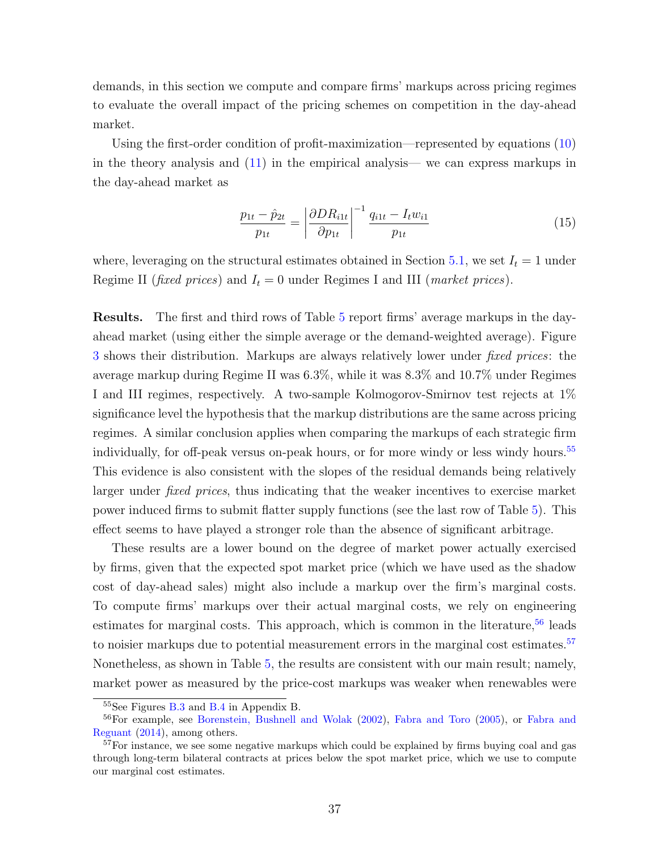demands, in this section we compute and compare firms' markups across pricing regimes to evaluate the overall impact of the pricing schemes on competition in the day-ahead market.

Using the first-order condition of profit-maximization—represented by equations [\(10\)](#page-11-0) in the theory analysis and [\(11\)](#page-26-0) in the empirical analysis— we can express markups in the day-ahead market as

<span id="page-37-0"></span>
$$
\frac{p_{1t} - \hat{p}_{2t}}{p_{1t}} = \left| \frac{\partial DR_{i1t}}{\partial p_{1t}} \right|^{-1} \frac{q_{i1t} - I_t w_{i1}}{p_{1t}} \tag{15}
$$

where, leveraging on the structural estimates obtained in Section [5.1,](#page-26-1) we set  $I_t = 1$  under Regime II (*fixed prices*) and  $I_t = 0$  under Regimes I and III (*market prices*).

Results. The first and third rows of Table [5](#page-38-1) report firms' average markups in the dayahead market (using either the simple average or the demand-weighted average). Figure [3](#page-39-0) shows their distribution. Markups are always relatively lower under fixed prices: the average markup during Regime II was 6.3%, while it was 8.3% and 10.7% under Regimes I and III regimes, respectively. A two-sample Kolmogorov-Smirnov test rejects at 1% significance level the hypothesis that the markup distributions are the same across pricing regimes. A similar conclusion applies when comparing the markups of each strategic firm individually, for off-peak versus on-peak hours, or for more windy or less windy hours.<sup>[55](#page-0-0)</sup> This evidence is also consistent with the slopes of the residual demands being relatively larger under *fixed prices*, thus indicating that the weaker incentives to exercise market power induced firms to submit flatter supply functions (see the last row of Table [5\)](#page-38-1). This effect seems to have played a stronger role than the absence of significant arbitrage.

These results are a lower bound on the degree of market power actually exercised by firms, given that the expected spot market price (which we have used as the shadow cost of day-ahead sales) might also include a markup over the firm's marginal costs. To compute firms' markups over their actual marginal costs, we rely on engineering estimates for marginal costs. This approach, which is common in the literature,  $56$  leads to noisier markups due to potential measurement errors in the marginal cost estimates.<sup>[57](#page-0-0)</sup> Nonetheless, as shown in Table [5,](#page-38-1) the results are consistent with our main result; namely, market power as measured by the price-cost markups was weaker when renewables were

<sup>55</sup>See Figures [B.3](#page-0-0) and [B.4](#page-0-0) in Appendix B.

<sup>&</sup>lt;sup>56</sup>For example, see [Borenstein, Bushnell and Wolak](#page-40-8) [\(2002\)](#page-40-8), [Fabra and Toro](#page-41-4) [\(2005\)](#page-41-4), or [Fabra and](#page-41-5) [Reguant](#page-41-5) [\(2014\)](#page-41-5), among others.

<sup>&</sup>lt;sup>57</sup>For instance, we see some negative markups which could be explained by firms buying coal and gas through long-term bilateral contracts at prices below the spot market price, which we use to compute our marginal cost estimates.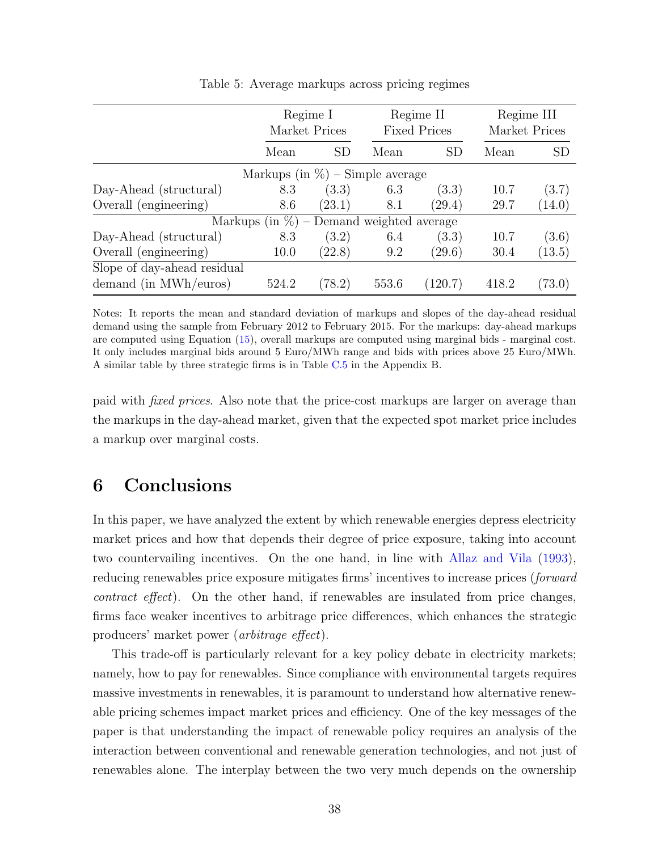<span id="page-38-1"></span>

|                             | Regime I<br>Market Prices |                                     |       | Regime II<br><b>Fixed Prices</b> |       | Regime III<br>Market Prices |  |
|-----------------------------|---------------------------|-------------------------------------|-------|----------------------------------|-------|-----------------------------|--|
|                             | Mean                      | <b>SD</b>                           | Mean  | <b>SD</b>                        | Mean  | <b>SD</b>                   |  |
|                             |                           | Markups (in $\%$ ) – Simple average |       |                                  |       |                             |  |
| Day-Ahead (structural)      | 8.3                       | (3.3)                               | 6.3   | (3.3)                            | 10.7  | (3.7)                       |  |
| Overall (engineering)       | 8.6                       | (23.1)                              | 8.1   | (29.4)                           | 29.7  | (14.0)                      |  |
|                             | Markups (in $\%$ )        | - Demand weighted average           |       |                                  |       |                             |  |
| Day-Ahead (structural)      | 8.3                       | (3.2)                               | 6.4   | (3.3)                            | 10.7  | (3.6)                       |  |
| Overall (engineering)       | 10.0                      | (22.8)                              | 9.2   | (29.6)                           | 30.4  | (13.5)                      |  |
| Slope of day-ahead residual |                           |                                     |       |                                  |       |                             |  |
| demand (in MWh/euros)       | 524.2                     | (78.2)                              | 553.6 | (120.7)                          | 418.2 | (73.0)                      |  |

Table 5: Average markups across pricing regimes

Notes: It reports the mean and standard deviation of markups and slopes of the day-ahead residual demand using the sample from February 2012 to February 2015. For the markups: day-ahead markups are computed using Equation [\(15\)](#page-37-0), overall markups are computed using marginal bids - marginal cost. It only includes marginal bids around 5 Euro/MWh range and bids with prices above 25 Euro/MWh. A similar table by three strategic firms is in Table [C.5](#page-0-0) in the Appendix B.

paid with fixed prices. Also note that the price-cost markups are larger on average than the markups in the day-ahead market, given that the expected spot market price includes a markup over marginal costs.

### <span id="page-38-0"></span>6 Conclusions

In this paper, we have analyzed the extent by which renewable energies depress electricity market prices and how that depends their degree of price exposure, taking into account two countervailing incentives. On the one hand, in line with [Allaz and Vila](#page-40-1) [\(1993\)](#page-40-1), reducing renewables price exposure mitigates firms' incentives to increase prices (forward contract effect). On the other hand, if renewables are insulated from price changes, firms face weaker incentives to arbitrage price differences, which enhances the strategic producers' market power (arbitrage effect).

This trade-off is particularly relevant for a key policy debate in electricity markets; namely, how to pay for renewables. Since compliance with environmental targets requires massive investments in renewables, it is paramount to understand how alternative renewable pricing schemes impact market prices and efficiency. One of the key messages of the paper is that understanding the impact of renewable policy requires an analysis of the interaction between conventional and renewable generation technologies, and not just of renewables alone. The interplay between the two very much depends on the ownership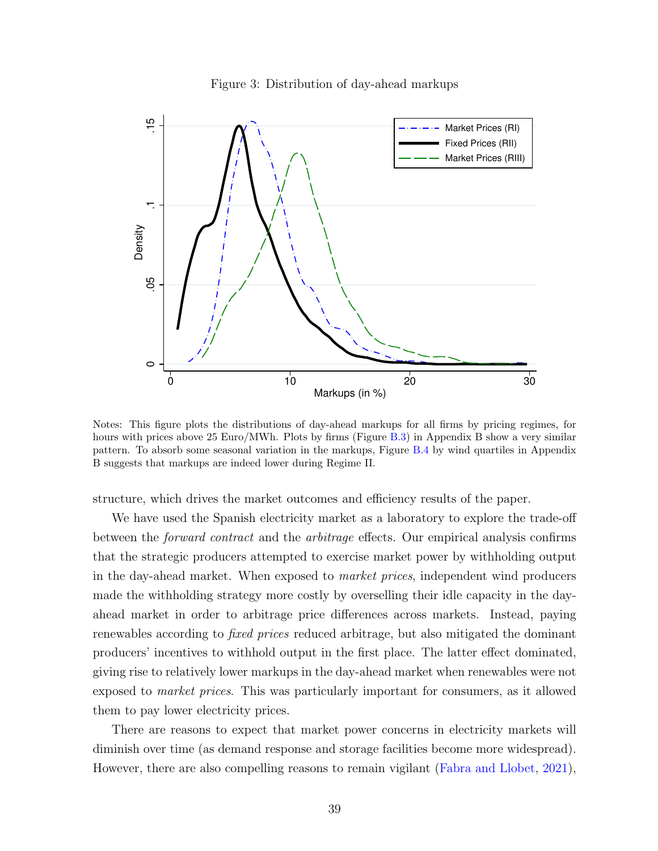

<span id="page-39-0"></span>

Notes: This figure plots the distributions of day-ahead markups for all firms by pricing regimes, for hours with prices above 25 Euro/MWh. Plots by firms (Figure [B.3\)](#page-0-0) in Appendix B show a very similar pattern. To absorb some seasonal variation in the markups, Figure [B.4](#page-0-0) by wind quartiles in Appendix B suggests that markups are indeed lower during Regime II.

structure, which drives the market outcomes and efficiency results of the paper.

We have used the Spanish electricity market as a laboratory to explore the trade-off between the forward contract and the arbitrage effects. Our empirical analysis confirms that the strategic producers attempted to exercise market power by withholding output in the day-ahead market. When exposed to market prices, independent wind producers made the withholding strategy more costly by overselling their idle capacity in the dayahead market in order to arbitrage price differences across markets. Instead, paying renewables according to fixed prices reduced arbitrage, but also mitigated the dominant producers' incentives to withhold output in the first place. The latter effect dominated, giving rise to relatively lower markups in the day-ahead market when renewables were not exposed to market prices. This was particularly important for consumers, as it allowed them to pay lower electricity prices.

There are reasons to expect that market power concerns in electricity markets will diminish over time (as demand response and storage facilities become more widespread). However, there are also compelling reasons to remain vigilant [\(Fabra and Llobet,](#page-41-9) [2021\)](#page-41-9),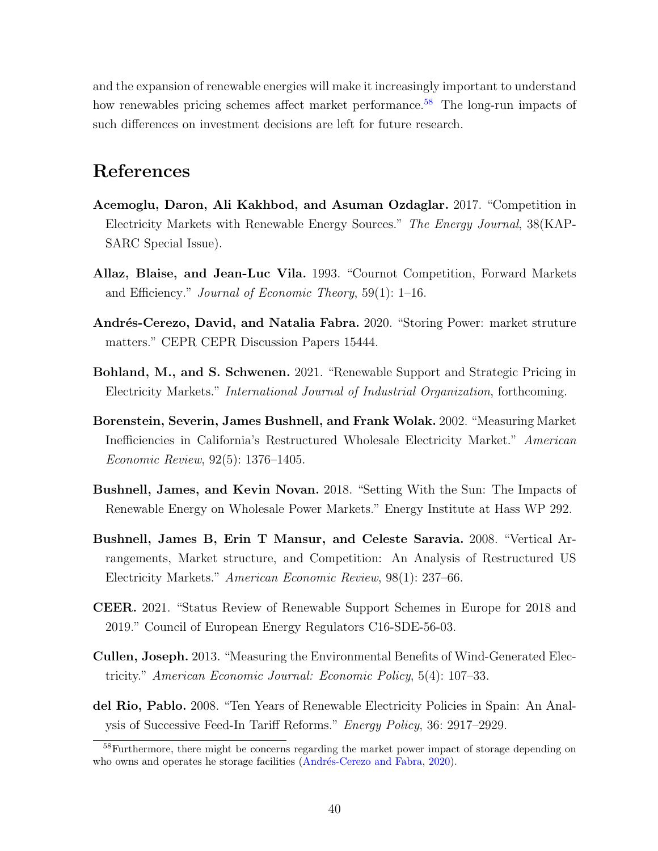and the expansion of renewable energies will make it increasingly important to understand how renewables pricing schemes affect market performance.<sup>[58](#page-0-0)</sup> The long-run impacts of such differences on investment decisions are left for future research.

### References

- <span id="page-40-2"></span>Acemoglu, Daron, Ali Kakhbod, and Asuman Ozdaglar. 2017. "Competition in Electricity Markets with Renewable Energy Sources." The Energy Journal, 38(KAP-SARC Special Issue).
- <span id="page-40-1"></span>Allaz, Blaise, and Jean-Luc Vila. 1993. "Cournot Competition, Forward Markets and Efficiency." Journal of Economic Theory, 59(1): 1–16.
- <span id="page-40-9"></span>Andrés-Cerezo, David, and Natalia Fabra. 2020. "Storing Power: market struture matters." CEPR CEPR Discussion Papers 15444.
- <span id="page-40-4"></span>Bohland, M., and S. Schwenen. 2021. "Renewable Support and Strategic Pricing in Electricity Markets." International Journal of Industrial Organization, forthcoming.
- <span id="page-40-8"></span>Borenstein, Severin, James Bushnell, and Frank Wolak. 2002. "Measuring Market Inefficiencies in California's Restructured Wholesale Electricity Market." American Economic Review, 92(5): 1376–1405.
- <span id="page-40-6"></span>Bushnell, James, and Kevin Novan. 2018. "Setting With the Sun: The Impacts of Renewable Energy on Wholesale Power Markets." Energy Institute at Hass WP 292.
- <span id="page-40-3"></span>Bushnell, James B, Erin T Mansur, and Celeste Saravia. 2008. "Vertical Arrangements, Market structure, and Competition: An Analysis of Restructured US Electricity Markets." American Economic Review, 98(1): 237–66.
- <span id="page-40-0"></span>CEER. 2021. "Status Review of Renewable Support Schemes in Europe for 2018 and 2019." Council of European Energy Regulators C16-SDE-56-03.
- <span id="page-40-5"></span>Cullen, Joseph. 2013. "Measuring the Environmental Benefits of Wind-Generated Electricity." American Economic Journal: Economic Policy, 5(4): 107–33.
- <span id="page-40-7"></span>del Rio, Pablo. 2008. "Ten Years of Renewable Electricity Policies in Spain: An Analysis of Successive Feed-In Tariff Reforms." Energy Policy, 36: 2917–2929.

<sup>&</sup>lt;sup>58</sup>Furthermore, there might be concerns regarding the market power impact of storage depending on who owns and operates he storage facilities (Andrés-Cerezo and Fabra, [2020\)](#page-40-9).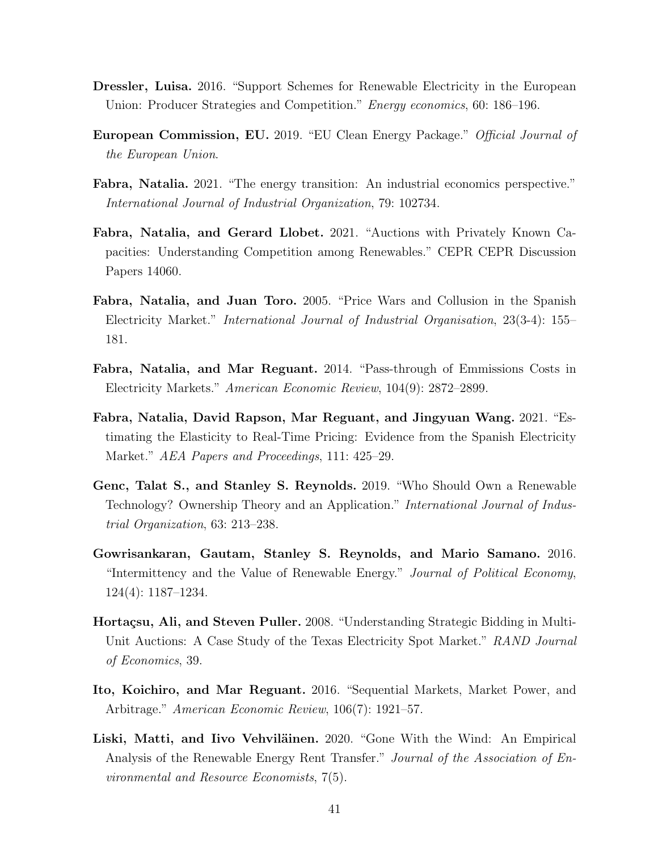- <span id="page-41-6"></span>Dressler, Luisa. 2016. "Support Schemes for Renewable Electricity in the European Union: Producer Strategies and Competition." Energy economics, 60: 186–196.
- <span id="page-41-0"></span>European Commission, EU. 2019. "EU Clean Energy Package." Official Journal of the European Union.
- <span id="page-41-1"></span>Fabra, Natalia. 2021. "The energy transition: An industrial economics perspective." International Journal of Industrial Organization, 79: 102734.
- <span id="page-41-9"></span>Fabra, Natalia, and Gerard Llobet. 2021. "Auctions with Privately Known Capacities: Understanding Competition among Renewables." CEPR CEPR Discussion Papers 14060.
- <span id="page-41-4"></span>Fabra, Natalia, and Juan Toro. 2005. "Price Wars and Collusion in the Spanish Electricity Market." International Journal of Industrial Organisation, 23(3-4): 155– 181.
- <span id="page-41-5"></span>Fabra, Natalia, and Mar Reguant. 2014. "Pass-through of Emmissions Costs in Electricity Markets." American Economic Review, 104(9): 2872–2899.
- <span id="page-41-11"></span>Fabra, Natalia, David Rapson, Mar Reguant, and Jingyuan Wang. 2021. "Estimating the Elasticity to Real-Time Pricing: Evidence from the Spanish Electricity Market." AEA Papers and Proceedings, 111: 425–29.
- <span id="page-41-8"></span>Genc, Talat S., and Stanley S. Reynolds. 2019. "Who Should Own a Renewable Technology? Ownership Theory and an Application." International Journal of Industrial Organization, 63: 213–238.
- <span id="page-41-7"></span>Gowrisankaran, Gautam, Stanley S. Reynolds, and Mario Samano. 2016. "Intermittency and the Value of Renewable Energy." Journal of Political Economy, 124(4): 1187–1234.
- <span id="page-41-3"></span>Hortaçsu, Ali, and Steven Puller. 2008. "Understanding Strategic Bidding in Multi-Unit Auctions: A Case Study of the Texas Electricity Spot Market." RAND Journal of Economics, 39.
- <span id="page-41-2"></span>Ito, Koichiro, and Mar Reguant. 2016. "Sequential Markets, Market Power, and Arbitrage." American Economic Review, 106(7): 1921–57.
- <span id="page-41-10"></span>Liski, Matti, and Iivo Vehviläinen. 2020. "Gone With the Wind: An Empirical Analysis of the Renewable Energy Rent Transfer." Journal of the Association of Environmental and Resource Economists, 7(5).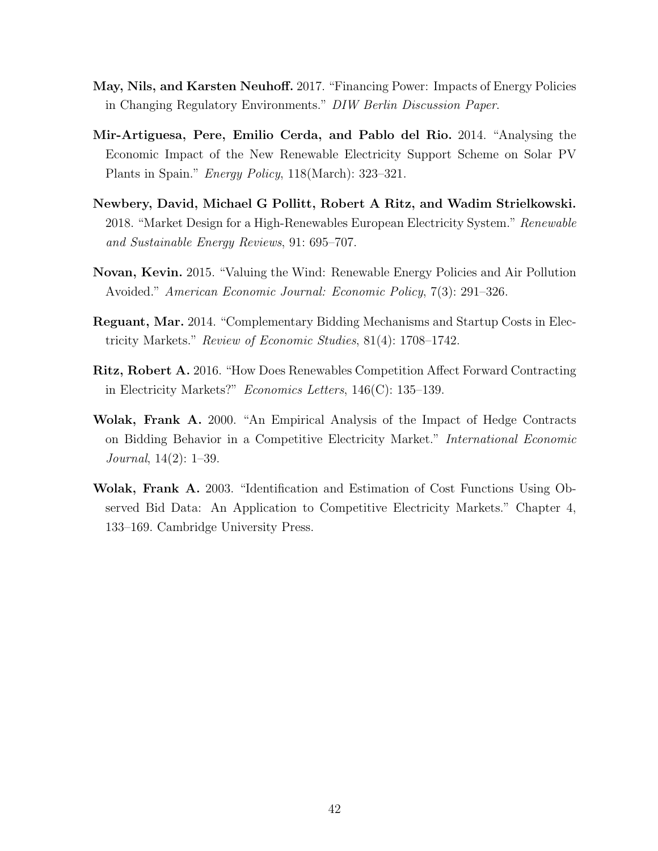- <span id="page-42-1"></span>May, Nils, and Karsten Neuhoff. 2017. "Financing Power: Impacts of Energy Policies in Changing Regulatory Environments." DIW Berlin Discussion Paper.
- <span id="page-42-6"></span>Mir-Artiguesa, Pere, Emilio Cerda, and Pablo del Rio. 2014. "Analysing the Economic Impact of the New Renewable Electricity Support Scheme on Solar PV Plants in Spain." Energy Policy, 118(March): 323–321.
- <span id="page-42-0"></span>Newbery, David, Michael G Pollitt, Robert A Ritz, and Wadim Strielkowski. 2018. "Market Design for a High-Renewables European Electricity System." Renewable and Sustainable Energy Reviews, 91: 695–707.
- <span id="page-42-4"></span>Novan, Kevin. 2015. "Valuing the Wind: Renewable Energy Policies and Air Pollution Avoided." American Economic Journal: Economic Policy, 7(3): 291–326.
- <span id="page-42-3"></span>Reguant, Mar. 2014. "Complementary Bidding Mechanisms and Startup Costs in Electricity Markets." Review of Economic Studies, 81(4): 1708–1742.
- <span id="page-42-5"></span>Ritz, Robert A. 2016. "How Does Renewables Competition Affect Forward Contracting in Electricity Markets?" Economics Letters, 146(C): 135–139.
- <span id="page-42-2"></span>Wolak, Frank A. 2000. "An Empirical Analysis of the Impact of Hedge Contracts on Bidding Behavior in a Competitive Electricity Market." International Economic Journal, 14(2): 1–39.
- <span id="page-42-7"></span>Wolak, Frank A. 2003. "Identification and Estimation of Cost Functions Using Observed Bid Data: An Application to Competitive Electricity Markets." Chapter 4, 133–169. Cambridge University Press.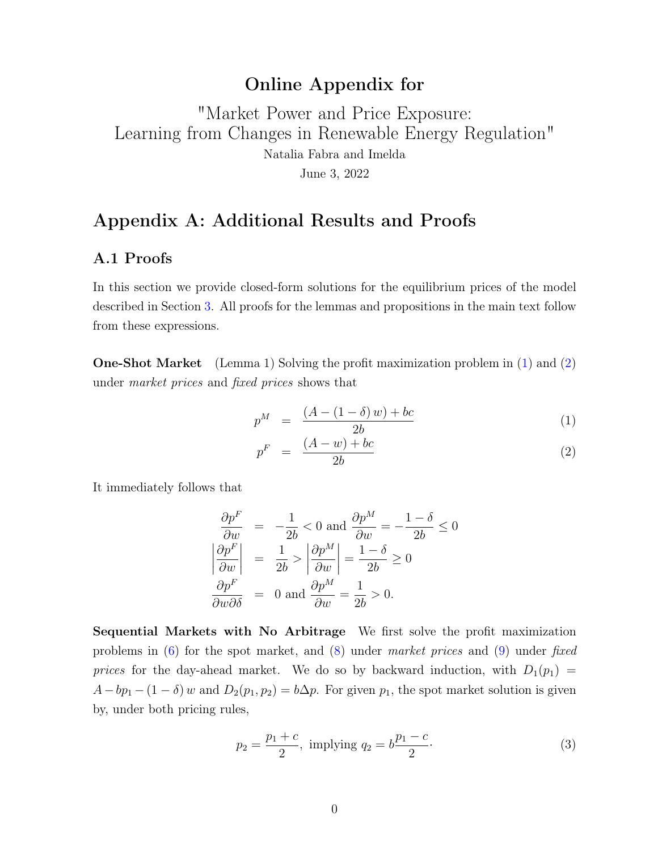### Online Appendix for

# <span id="page-43-1"></span>"Market Power and Price Exposure: Learning from Changes in Renewable Energy Regulation" Natalia Fabra and Imelda June 3, 2022

### Appendix A: Additional Results and Proofs

#### A.1 Proofs

In this section we provide closed-form solutions for the equilibrium prices of the model described in Section 3. All proofs for the lemmas and propositions in the main text follow from these expressions.

One-Shot Market (Lemma 1) Solving the profit maximization problem in (1) and (2) under market prices and fixed prices shows that

<span id="page-43-2"></span>
$$
p^{M} = \frac{(A - (1 - \delta) w) + bc}{2b}
$$
 (1)

$$
p^F = \frac{(A - w) + bc}{2b} \tag{2}
$$

It immediately follows that

$$
\frac{\partial p^F}{\partial w} = -\frac{1}{2b} < 0 \text{ and } \frac{\partial p^M}{\partial w} = -\frac{1 - \delta}{2b} \le 0
$$

$$
\left| \frac{\partial p^F}{\partial w} \right| = \frac{1}{2b} > \left| \frac{\partial p^M}{\partial w} \right| = \frac{1 - \delta}{2b} \ge 0
$$

$$
\frac{\partial p^F}{\partial w \partial \delta} = 0 \text{ and } \frac{\partial p^M}{\partial w} = \frac{1}{2b} > 0.
$$

Sequential Markets with No Arbitrage We first solve the profit maximization problems in  $(6)$  for the spot market, and  $(8)$  under market prices and  $(9)$  under fixed prices for the day-ahead market. We do so by backward induction, with  $D_1(p_1)$  =  $A-bp_1-(1-\delta)$  w and  $D_2(p_1, p_2)=b\Delta p$ . For given  $p_1$ , the spot market solution is given by, under both pricing rules,

<span id="page-43-0"></span>
$$
p_2 = \frac{p_1 + c}{2}, \text{ implying } q_2 = b \frac{p_1 - c}{2}.
$$
 (3)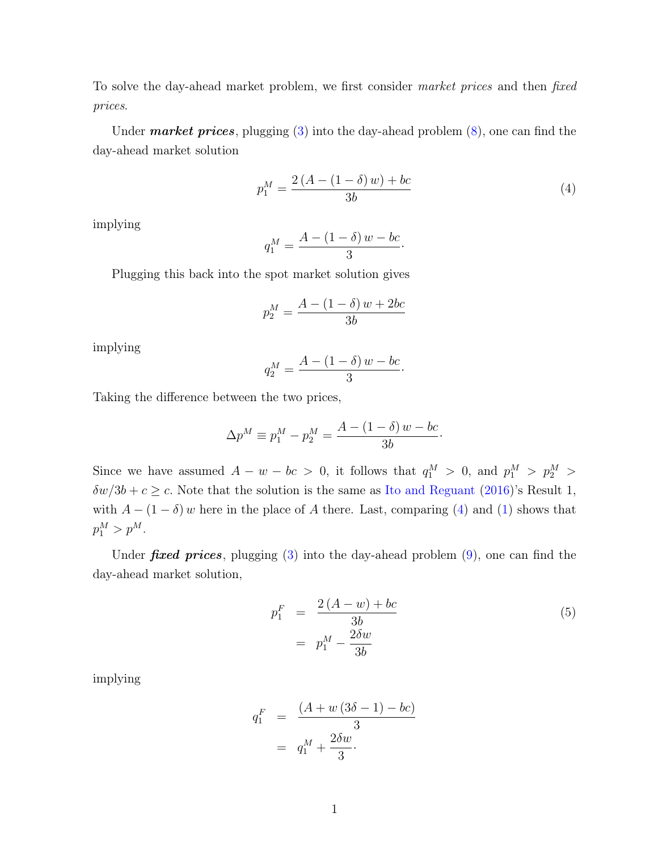To solve the day-ahead market problem, we first consider market prices and then fixed prices.

Under *market prices*, plugging  $(3)$  into the day-ahead problem  $(8)$ , one can find the day-ahead market solution

<span id="page-44-0"></span>
$$
p_1^M = \frac{2\left(A - (1 - \delta)w\right) + bc}{3b} \tag{4}
$$

·

·

implying

$$
q_1^M = \frac{A - (1 - \delta) w - bc}{3}
$$

Plugging this back into the spot market solution gives

$$
p_2^M = \frac{A - (1 - \delta) w + 2bc}{3b}
$$

implying

$$
q_2^M = \frac{A - (1 - \delta) w - bc}{3}
$$

Taking the difference between the two prices,

$$
\Delta p^{M} \equiv p_1^{M} - p_2^{M} = \frac{A - (1 - \delta) w - bc}{3b}.
$$

Since we have assumed  $A - w - bc > 0$ , it follows that  $q_1^M > 0$ , and  $p_1^M > p_2^M >$  $\delta w/3b + c \geq c$ . Note that the solution is the same as [Ito and Reguant](#page-61-0) [\(2016\)](#page-61-0)'s Result 1, with  $A - (1 - \delta) w$  here in the place of A there. Last, comparing [\(4\)](#page-44-0) and [\(1\)](#page-43-2) shows that  $p_1^M > p^M$ .

Under *fixed prices*, plugging  $(3)$  into the day-ahead problem  $(9)$ , one can find the day-ahead market solution,

<span id="page-44-1"></span>
$$
p_1^F = \frac{2(A - w) + bc}{3b}
$$
  
=  $p_1^M - \frac{2\delta w}{3b}$  (5)

implying

$$
q_1^F = \frac{(A+w(3\delta-1)-bc)}{3}
$$
  
= 
$$
q_1^M + \frac{2\delta w}{3}.
$$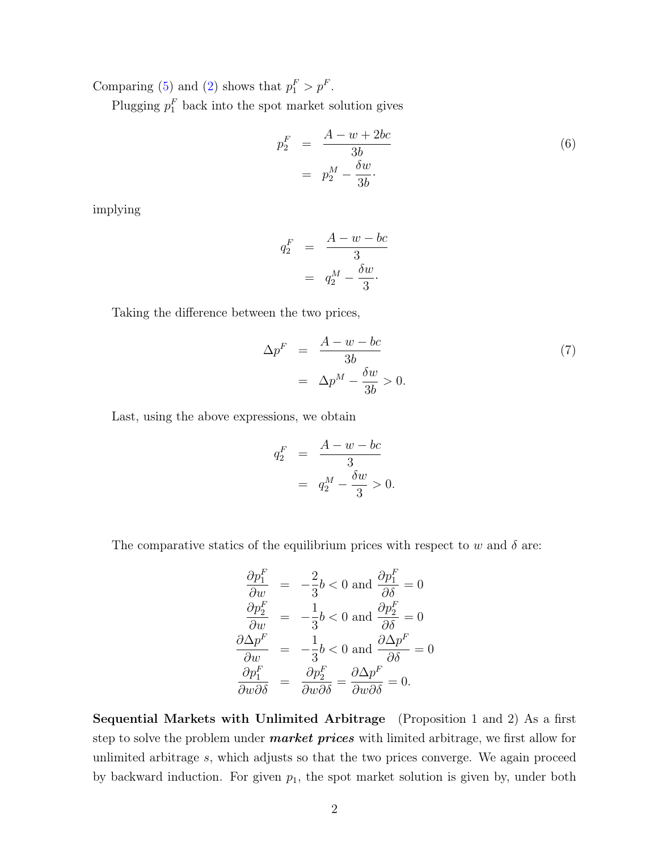Comparing [\(5\)](#page-44-1) and [\(2\)](#page-43-2) shows that  $p_1^F > p^F$ .

Plugging  $p_1^F$  back into the spot market solution gives

<span id="page-45-0"></span>
$$
p_2^F = \frac{A - w + 2bc}{3b}
$$
  
= 
$$
p_2^M - \frac{\delta w}{3b}.
$$
 (6)

implying

$$
q_2^F = \frac{A - w - bc}{3}
$$

$$
= q_2^M - \frac{\delta w}{3}.
$$

Taking the difference between the two prices,

$$
\Delta p^F = \frac{A - w - bc}{3b}
$$
  
=  $\Delta p^M - \frac{\delta w}{3b} > 0.$  (7)

Last, using the above expressions, we obtain

$$
q_2^F = \frac{A - w - bc}{3}
$$

$$
= q_2^M - \frac{\delta w}{3} > 0.
$$

The comparative statics of the equilibrium prices with respect to w and  $\delta$  are:

$$
\frac{\partial p_1^F}{\partial w} = -\frac{2}{3}b < 0 \text{ and } \frac{\partial p_1^F}{\partial \delta} = 0
$$
\n
$$
\frac{\partial p_2^F}{\partial w} = -\frac{1}{3}b < 0 \text{ and } \frac{\partial p_2^F}{\partial \delta} = 0
$$
\n
$$
\frac{\partial \Delta p^F}{\partial w} = -\frac{1}{3}b < 0 \text{ and } \frac{\partial \Delta p^F}{\partial \delta} = 0
$$
\n
$$
\frac{\partial p_1^F}{\partial w \partial \delta} = \frac{\partial p_2^F}{\partial w \partial \delta} = \frac{\partial \Delta p^F}{\partial w \partial \delta} = 0.
$$

Sequential Markets with Unlimited Arbitrage (Proposition 1 and 2) As a first step to solve the problem under **market prices** with limited arbitrage, we first allow for unlimited arbitrage s, which adjusts so that the two prices converge. We again proceed by backward induction. For given  $p_1$ , the spot market solution is given by, under both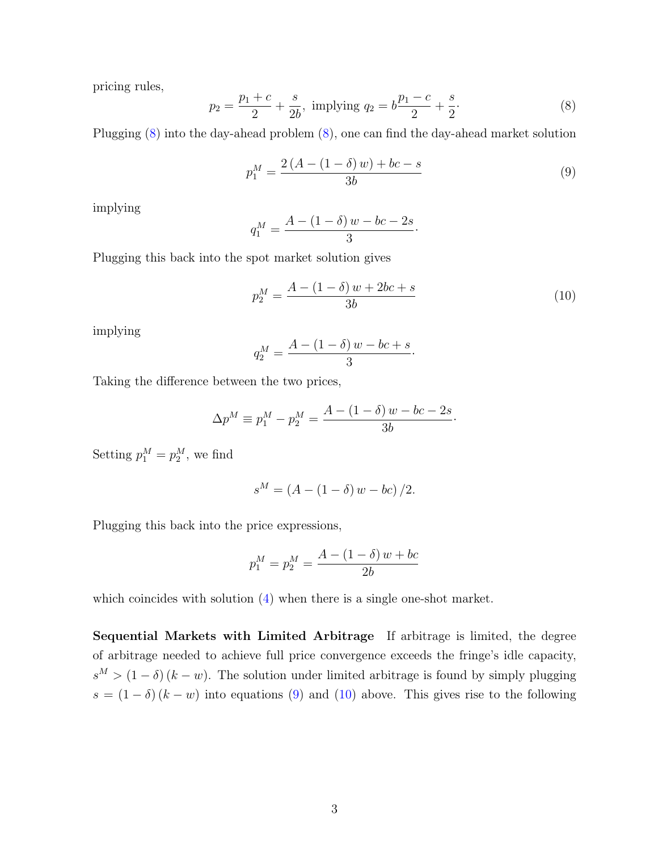pricing rules,

<span id="page-46-0"></span>
$$
p_2 = \frac{p_1 + c}{2} + \frac{s}{2b}, \text{ implying } q_2 = b\frac{p_1 - c}{2} + \frac{s}{2}.
$$
 (8)

Plugging [\(8\)](#page-46-0) into the day-ahead problem [\(8\)](#page-43-1), one can find the day-ahead market solution

<span id="page-46-1"></span>
$$
p_1^M = \frac{2\left(A - (1 - \delta)w\right) + bc - s}{3b} \tag{9}
$$

implying

$$
q_1^M = \frac{A - (1 - \delta) w - bc - 2s}{3}
$$

Plugging this back into the spot market solution gives

<span id="page-46-2"></span>
$$
p_2^M = \frac{A - (1 - \delta) w + 2bc + s}{3b} \tag{10}
$$

·

·

implying

$$
q_2^M = \frac{A - (1 - \delta)w - bc + s}{3}
$$

Taking the difference between the two prices,

$$
\Delta p^{M} \equiv p_1^{M} - p_2^{M} = \frac{A - (1 - \delta) w - bc - 2s}{3b}.
$$

Setting  $p_1^M = p_2^M$ , we find

$$
s^M = (A - (1 - \delta) w - bc) / 2.
$$

Plugging this back into the price expressions,

$$
p_1^M = p_2^M = \frac{A - (1 - \delta) w + bc}{2b}
$$

which coincides with solution  $(4)$  when there is a single one-shot market.

Sequential Markets with Limited Arbitrage If arbitrage is limited, the degree of arbitrage needed to achieve full price convergence exceeds the fringe's idle capacity,  $s^M > (1 - \delta)(k - w)$ . The solution under limited arbitrage is found by simply plugging  $s = (1 - \delta) (k - w)$  into equations [\(9\)](#page-46-1) and [\(10\)](#page-46-2) above. This gives rise to the following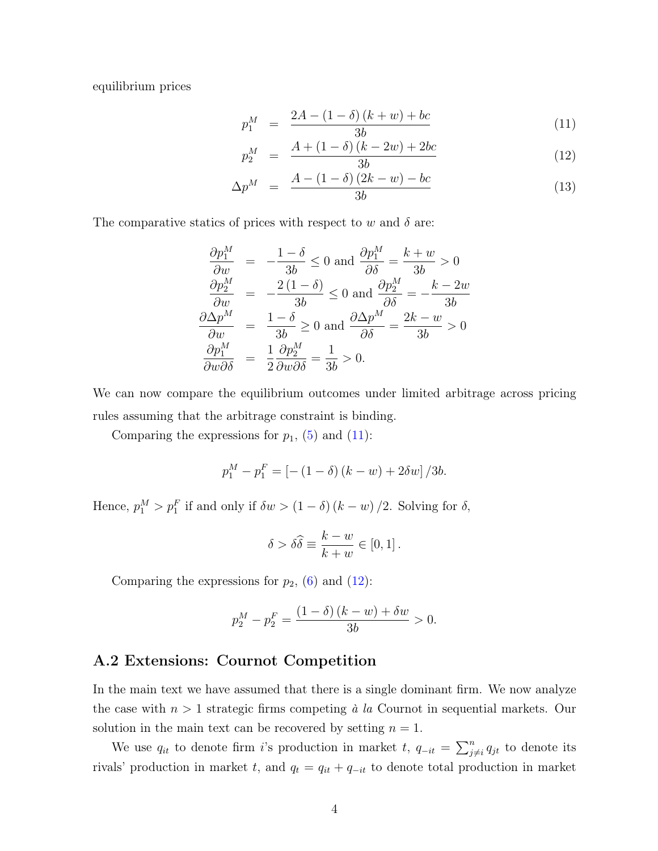equilibrium prices

<span id="page-47-0"></span>
$$
p_1^M = \frac{2A - (1 - \delta)(k + w) + bc}{3b} \tag{11}
$$

$$
p_2^M = \frac{A + (1 - \delta)(k - 2w) + 2bc}{3b} \tag{12}
$$

$$
\Delta p^{M} = \frac{A - (1 - \delta)(2k - w) - bc}{3b}
$$
\n(13)

The comparative statics of prices with respect to w and  $\delta$  are:

$$
\frac{\partial p_1^M}{\partial w} = -\frac{1-\delta}{3b} \le 0 \text{ and } \frac{\partial p_1^M}{\partial \delta} = \frac{k+w}{3b} > 0
$$
  

$$
\frac{\partial p_2^M}{\partial w} = -\frac{2(1-\delta)}{3b} \le 0 \text{ and } \frac{\partial p_2^M}{\partial \delta} = -\frac{k-2w}{3b}
$$
  

$$
\frac{\partial \Delta p^M}{\partial w} = \frac{1-\delta}{3b} \ge 0 \text{ and } \frac{\partial \Delta p^M}{\partial \delta} = \frac{2k-w}{3b} > 0
$$
  

$$
\frac{\partial p_1^M}{\partial w \partial \delta} = \frac{1}{2} \frac{\partial p_2^M}{\partial w \partial \delta} = \frac{1}{3b} > 0.
$$

We can now compare the equilibrium outcomes under limited arbitrage across pricing rules assuming that the arbitrage constraint is binding.

Comparing the expressions for  $p_1$ , [\(5\)](#page-44-1) and [\(11\)](#page-47-0):

$$
p_1^M - p_1^F = [-(1 - \delta)(k - w) + 2\delta w]/3b.
$$

Hence,  $p_1^M > p_1^F$  if and only if  $\delta w > (1 - \delta) (k - w) / 2$ . Solving for  $\delta$ ,

$$
\delta > \delta \widehat{\delta} \equiv \frac{k-w}{k+w} \in [0,1].
$$

Comparing the expressions for  $p_2$ , [\(6\)](#page-45-0) and [\(12\)](#page-47-0):

$$
p_2^M - p_2^F = \frac{(1 - \delta)(k - w) + \delta w}{3b} > 0.
$$

#### A.2 Extensions: Cournot Competition

In the main text we have assumed that there is a single dominant firm. We now analyze the case with  $n > 1$  strategic firms competing à la Cournot in sequential markets. Our solution in the main text can be recovered by setting  $n = 1$ .

We use  $q_{it}$  to denote firm i's production in market t,  $q_{-it} = \sum_{j \neq i}^{n} q_{jt}$  to denote its rivals' production in market t, and  $q_t = q_{it} + q_{-it}$  to denote total production in market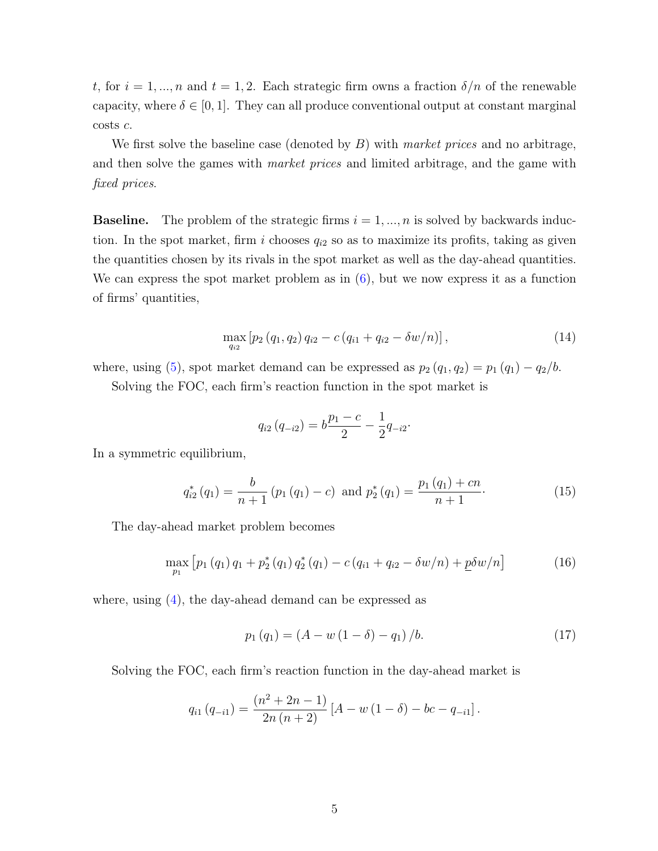t, for  $i = 1, ..., n$  and  $t = 1, 2$ . Each strategic firm owns a fraction  $\delta/n$  of the renewable capacity, where  $\delta \in [0, 1]$ . They can all produce conventional output at constant marginal costs c.

We first solve the baseline case (denoted by  $B$ ) with market prices and no arbitrage, and then solve the games with *market prices* and limited arbitrage, and the game with fixed prices.

**Baseline.** The problem of the strategic firms  $i = 1, ..., n$  is solved by backwards induction. In the spot market, firm i chooses  $q_{i2}$  so as to maximize its profits, taking as given the quantities chosen by its rivals in the spot market as well as the day-ahead quantities. We can express the spot market problem as in [\(6\)](#page-43-1), but we now express it as a function of firms' quantities,

<span id="page-48-1"></span>
$$
\max_{q_{i2}} [p_2(q_1, q_2) q_{i2} - c(q_{i1} + q_{i2} - \delta w/n)], \qquad (14)
$$

where, using [\(5\)](#page-43-1), spot market demand can be expressed as  $p_2 (q_1, q_2) = p_1 (q_1) - q_2/b$ .

Solving the FOC, each firm's reaction function in the spot market is

$$
q_{i2}(q_{-i2}) = b\frac{p_1 - c}{2} - \frac{1}{2}q_{-i2}.
$$

In a symmetric equilibrium,

<span id="page-48-0"></span>
$$
q_{i2}^*(q_1) = \frac{b}{n+1} \left( p_1 \left( q_1 \right) - c \right) \text{ and } p_2^*(q_1) = \frac{p_1 \left( q_1 \right) + cn}{n+1}. \tag{15}
$$

The day-ahead market problem becomes

<span id="page-48-2"></span>
$$
\max_{p_1} \left[ p_1 \left( q_1 \right) q_1 + p_2^* \left( q_1 \right) q_2^* \left( q_1 \right) - c \left( q_{i1} + q_{i2} - \delta w / n \right) + \underline{p} \delta w / n \right] \tag{16}
$$

where, using [\(4\)](#page-43-1), the day-ahead demand can be expressed as

$$
p_1(q_1) = (A - w(1 - \delta) - q_1)/b. \tag{17}
$$

Solving the FOC, each firm's reaction function in the day-ahead market is

$$
q_{i1}(q_{-i1}) = \frac{(n^{2} + 2n - 1)}{2n(n+2)} [A - w (1 - \delta) - bc - q_{-i1}].
$$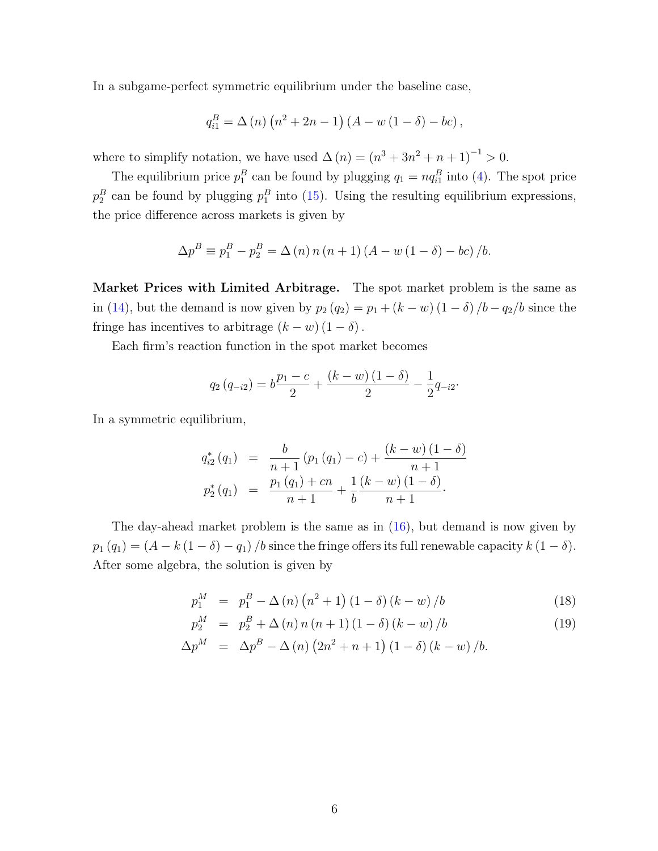In a subgame-perfect symmetric equilibrium under the baseline case,

$$
q_{i1}^{B} = \Delta(n) (n^{2} + 2n - 1) (A - w (1 - \delta) - bc),
$$

where to simplify notation, we have used  $\Delta(n) = (n^3 + 3n^2 + n + 1)^{-1} > 0$ .

The equilibrium price  $p_1^B$  can be found by plugging  $q_1 = nq_{i1}^B$  into [\(4\)](#page-43-1). The spot price  $p_2^B$  can be found by plugging  $p_1^B$  into [\(15\)](#page-48-0). Using the resulting equilibrium expressions, the price difference across markets is given by

$$
\Delta p^{B} \equiv p_{1}^{B} - p_{2}^{B} = \Delta (n) n (n + 1) (A - w (1 - \delta) - bc) / b.
$$

Market Prices with Limited Arbitrage. The spot market problem is the same as in [\(14\)](#page-48-1), but the demand is now given by  $p_2(q_2) = p_1 + (k - w)(1 - \delta)/b - q_2/b$  since the fringe has incentives to arbitrage  $(k - w) (1 - \delta)$ .

Each firm's reaction function in the spot market becomes

$$
q_2(q_{-i2}) = b \frac{p_1 - c}{2} + \frac{(k - w)(1 - \delta)}{2} - \frac{1}{2} q_{-i2}.
$$

In a symmetric equilibrium,

$$
q_{i2}^{*} (q_1) = \frac{b}{n+1} (p_1 (q_1) - c) + \frac{(k-w) (1 - \delta)}{n+1}
$$
  

$$
p_2^{*} (q_1) = \frac{p_1 (q_1) + cn}{n+1} + \frac{1}{b} \frac{(k-w) (1 - \delta)}{n+1}.
$$

The day-ahead market problem is the same as in [\(16\)](#page-48-2), but demand is now given by  $p_1 (q_1) = (A - k (1 - \delta) - q_1) / b$  since the fringe offers its full renewable capacity  $k (1 - \delta)$ . After some algebra, the solution is given by

<span id="page-49-0"></span>
$$
p_1^M = p_1^B - \Delta(n) (n^2 + 1) (1 - \delta) (k - w) / b \tag{18}
$$

$$
p_2^M = p_2^B + \Delta(n) n (n+1) (1 - \delta) (k - w) / b \tag{19}
$$

$$
\Delta p^{M} = \Delta p^{B} - \Delta (n) (2n^{2} + n + 1) (1 - \delta) (k - w) / b.
$$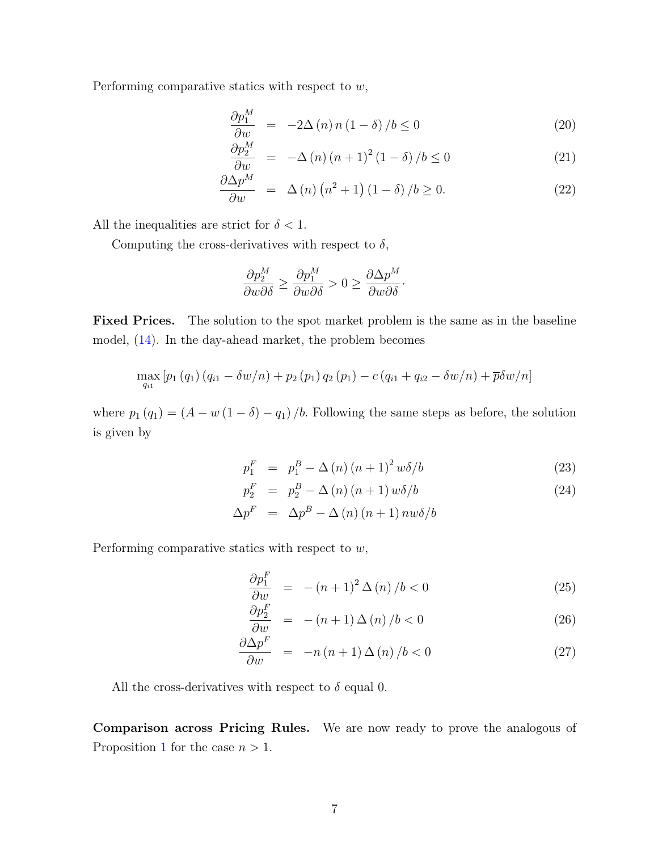Performing comparative statics with respect to  $w$ ,

$$
\frac{\partial p_1^M}{\partial w} = -2\Delta(n) n (1 - \delta) / b \le 0 \tag{20}
$$

$$
\frac{\partial p_2^M}{\partial w} = -\Delta(n)(n+1)^2(1-\delta)/b \le 0
$$
\n(21)

$$
\frac{\partial \Delta p^M}{\partial w} = \Delta(n) (n^2 + 1) (1 - \delta) / b \ge 0.
$$
 (22)

All the inequalities are strict for  $\delta < 1$ .

Computing the cross-derivatives with respect to  $\delta$ ,

$$
\frac{\partial p_2^M}{\partial w \partial \delta} \ge \frac{\partial p_1^M}{\partial w \partial \delta} > 0 \ge \frac{\partial \Delta p^M}{\partial w \partial \delta}.
$$

Fixed Prices. The solution to the spot market problem is the same as in the baseline model, [\(14\)](#page-48-1). In the day-ahead market, the problem becomes

$$
\max_{q_{i1}} [p_1(q_1) (q_{i1} - \delta w/n) + p_2(p_1) q_2(p_1) - c(q_{i1} + q_{i2} - \delta w/n) + \overline{p} \delta w/n]
$$

where  $p_1 (q_1) = (A - w (1 - \delta) - q_1) / b$ . Following the same steps as before, the solution is given by

<span id="page-50-0"></span>
$$
p_1^F = p_1^B - \Delta(n)(n+1)^2 w \delta/b \tag{23}
$$

$$
p_2^F = p_2^B - \Delta(n)(n+1) w \delta/b \tag{24}
$$

$$
\Delta p^F \;\;=\;\; \Delta p^B - \Delta \left( n \right) \left( n+1 \right) n w \delta /b
$$

Performing comparative statics with respect to  $w$ ,

$$
\frac{\partial p_1^F}{\partial w} = -(n+1)^2 \Delta(n) / b < 0 \tag{25}
$$

$$
\frac{\partial p_2^F}{\partial w} = -(n+1)\,\Delta\left(n\right)/b < 0\tag{26}
$$

$$
\frac{\partial \Delta p^F}{\partial w} = -n(n+1)\,\Delta(n)/b < 0\tag{27}
$$

All the cross-derivatives with respect to  $\delta$  equal 0.

Comparison across Pricing Rules. We are now ready to prove the analogous of Proposition [1](#page-43-1) for the case  $n > 1$ .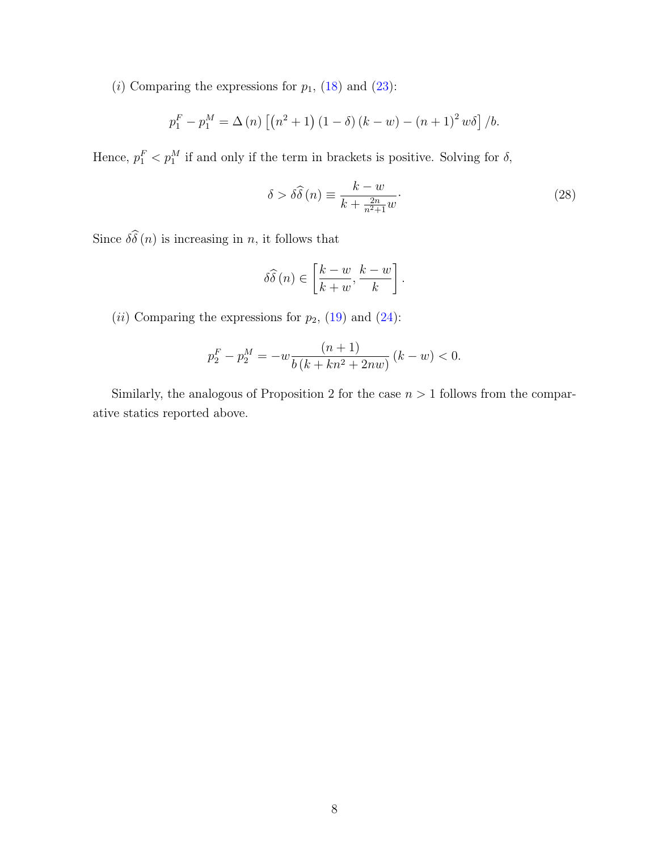(i) Comparing the expressions for  $p_1$ , [\(18\)](#page-49-0) and [\(23\)](#page-50-0):

$$
p_1^F - p_1^M = \Delta(n) \left[ \left( n^2 + 1 \right) (1 - \delta) (k - w) - \left( n + 1 \right)^2 w \delta \right] / b.
$$

Hence,  $p_1^F < p_1^M$  if and only if the term in brackets is positive. Solving for  $\delta$ ,

$$
\delta > \delta \widehat{\delta}(n) \equiv \frac{k - w}{k + \frac{2n}{n^2 + 1} w}.\tag{28}
$$

Since  $\delta\widehat{\delta}(n)$  is increasing in n, it follows that

$$
\delta\widehat{\delta}(n) \in \left[\frac{k-w}{k+w}, \frac{k-w}{k}\right].
$$

(*ii*) Comparing the expressions for  $p_2$ , [\(19\)](#page-49-0) and [\(24\)](#page-50-0):

$$
p_2^F - p_2^M = -w \frac{(n+1)}{b(k+kn^2+2nw)} (k-w) < 0.
$$

Similarly, the analogous of Proposition 2 for the case  $n > 1$  follows from the comparative statics reported above.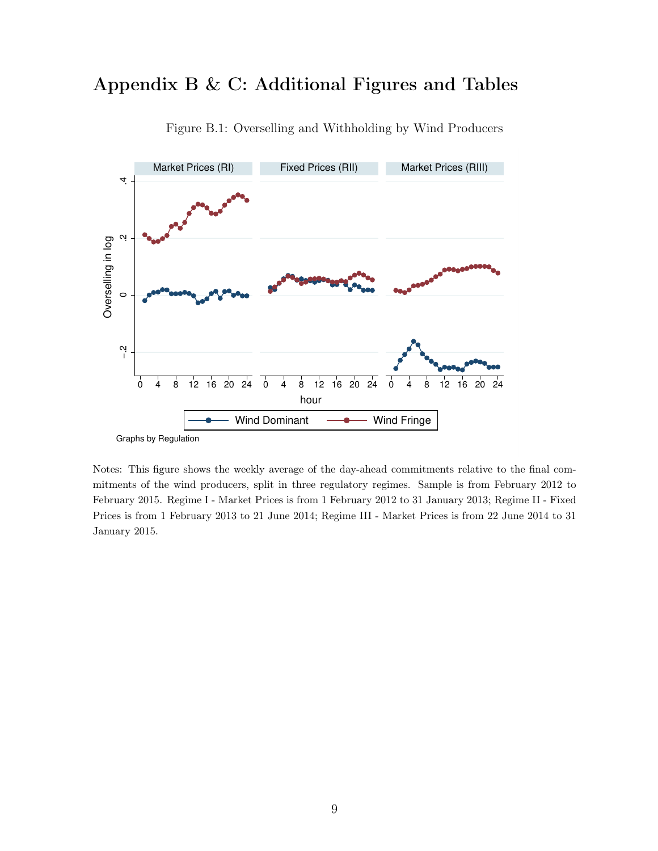# Appendix B & C: Additional Figures and Tables



Figure B.1: Overselling and Withholding by Wind Producers

Notes: This figure shows the weekly average of the day-ahead commitments relative to the final commitments of the wind producers, split in three regulatory regimes. Sample is from February 2012 to February 2015. Regime I - Market Prices is from 1 February 2012 to 31 January 2013; Regime II - Fixed Prices is from 1 February 2013 to 21 June 2014; Regime III - Market Prices is from 22 June 2014 to 31 January 2015.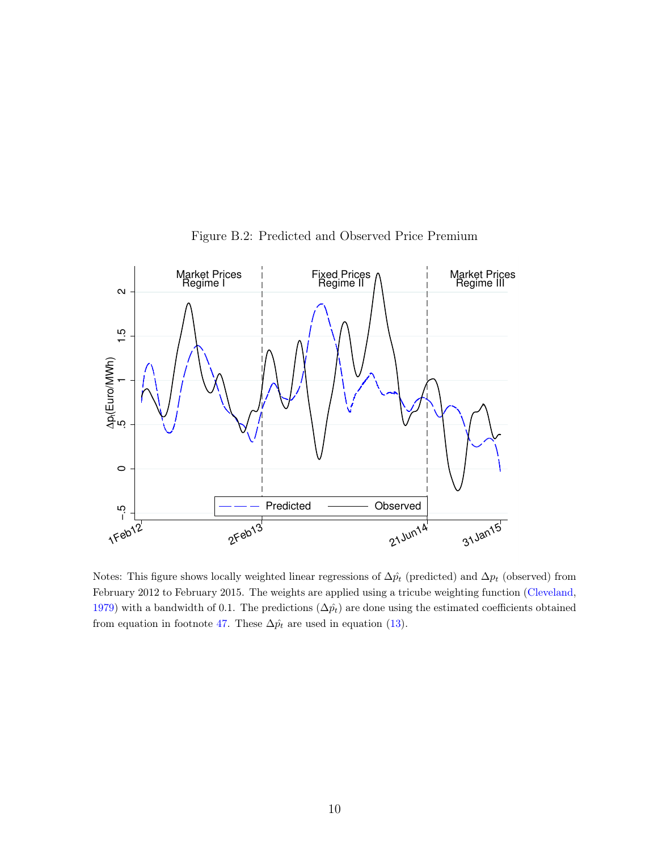

Figure B.2: Predicted and Observed Price Premium

Notes: This figure shows locally weighted linear regressions of  $\Delta \hat{p}_t$  (predicted) and  $\Delta p_t$  (observed) from February 2012 to February 2015. The weights are applied using a tricube weighting function [\(Cleveland,](#page-61-1) [1979\)](#page-61-1) with a bandwidth of 0.1. The predictions  $(\Delta \hat{p}_t)$  are done using the estimated coefficients obtained from equation in footnote [47.](#page-43-1) These  $\Delta \hat{p_t}$  are used in equation [\(13\)](#page-43-1).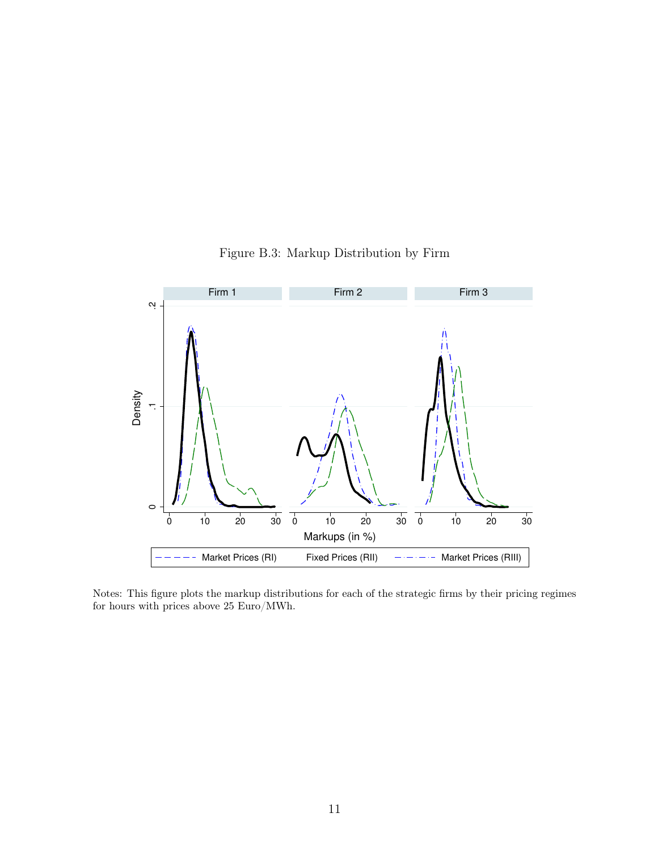

#### Figure B.3: Markup Distribution by Firm

Notes: This figure plots the markup distributions for each of the strategic firms by their pricing regimes for hours with prices above  $25$   ${\rm Euro}/{\rm MWh}.$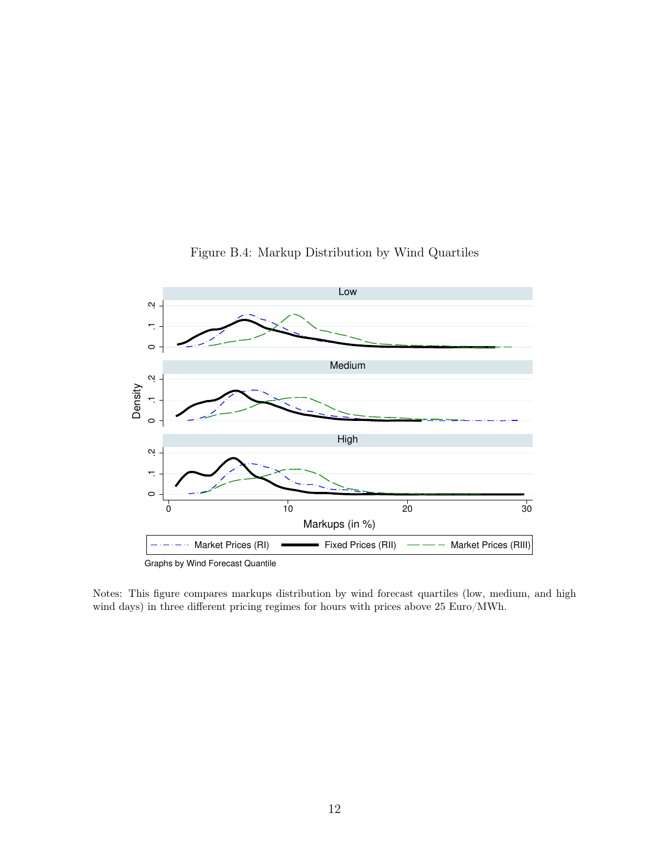

#### Figure B.4: Markup Distribution by Wind Quartiles

Notes: This figure compares markups distribution by wind forecast quartiles (low, medium, and high wind days) in three different pricing regimes for hours with prices above 25 Euro/MWh.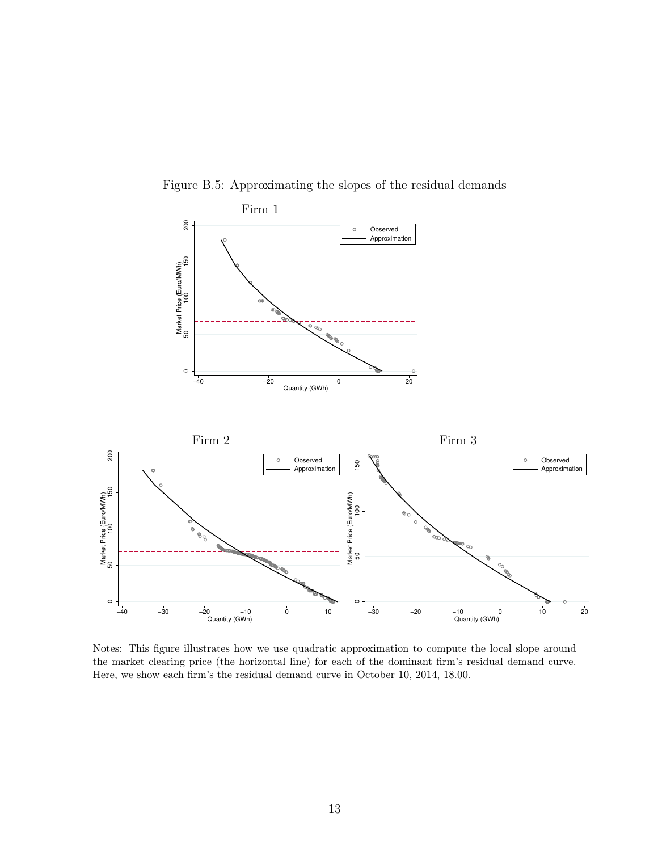

Figure B.5: Approximating the slopes of the residual demands

Notes: This figure illustrates how we use quadratic approximation to compute the local slope around the market clearing price (the horizontal line) for each of the dominant firm's residual demand curve. Here, we show each firm's the residual demand curve in October 10, 2014, 18.00.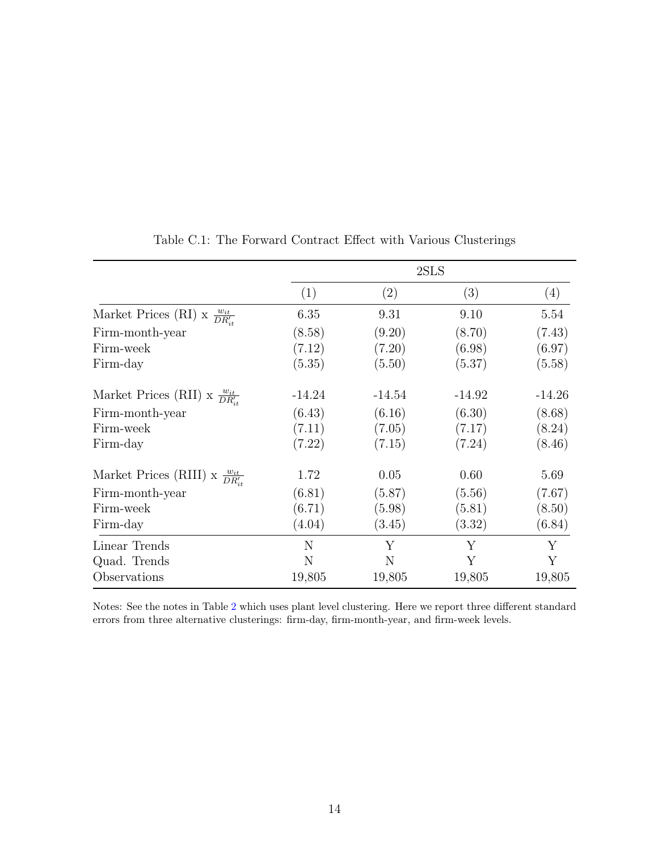|                                                 |          | 2SLS     |          |                   |  |  |
|-------------------------------------------------|----------|----------|----------|-------------------|--|--|
|                                                 | (1)      | (2)      | (3)      | $\left( 4\right)$ |  |  |
| Market Prices (RI) x $\frac{w_{it}}{DR_{it}'}$  | 6.35     | 9.31     | 9.10     | 5.54              |  |  |
| Firm-month-year                                 | (8.58)   | (9.20)   | (8.70)   | (7.43)            |  |  |
| Firm-week                                       | (7.12)   | (7.20)   | (6.98)   | (6.97)            |  |  |
| Firm-day                                        | (5.35)   | (5.50)   | (5.37)   | (5.58)            |  |  |
| Market Prices (RII) x $\frac{w_{it}}{DR_{it}}$  | $-14.24$ | $-14.54$ | $-14.92$ | $-14.26$          |  |  |
| Firm-month-year                                 | (6.43)   | (6.16)   | (6.30)   | (8.68)            |  |  |
| Firm-week                                       | (7.11)   | (7.05)   | (7.17)   | (8.24)            |  |  |
| Firm-day                                        | (7.22)   | (7.15)   | (7.24)   | (8.46)            |  |  |
| Market Prices (RIII) x $\frac{w_{it}}{DR_{it}}$ | 1.72     | 0.05     | 0.60     | 5.69              |  |  |
| Firm-month-year                                 | (6.81)   | (5.87)   | (5.56)   | (7.67)            |  |  |
| Firm-week                                       | (6.71)   | (5.98)   | (5.81)   | (8.50)            |  |  |
| Firm-day                                        | (4.04)   | (3.45)   | (3.32)   | (6.84)            |  |  |
| Linear Trends                                   | N        | Υ        | Y        | Y                 |  |  |
| Quad. Trends                                    | N        | N        | Y        | Y                 |  |  |
| Observations                                    | 19,805   | 19,805   | 19,805   | 19,805            |  |  |

Table C.1: The Forward Contract Effect with Various Clusterings

Notes: See the notes in Table [2](#page-43-1) which uses plant level clustering. Here we report three different standard errors from three alternative clusterings: firm-day, firm-month-year, and firm-week levels.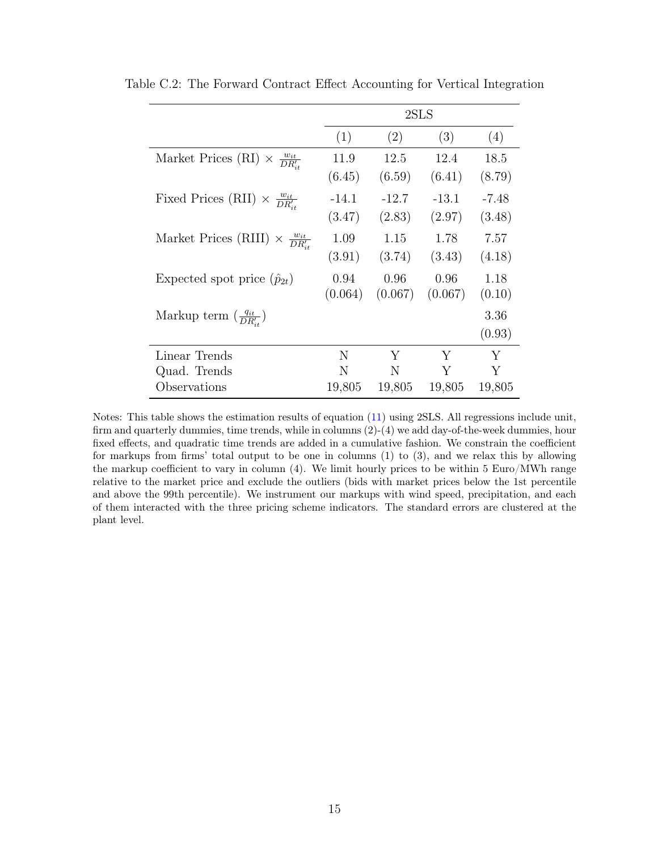|                                                      |         | 2SLS    |         |         |  |  |
|------------------------------------------------------|---------|---------|---------|---------|--|--|
|                                                      | (1)     | (2)     | (3)     | (4)     |  |  |
| Market Prices (RI) $\times \frac{w_{it}}{DR_{it}}$   | 11.9    | 12.5    | 12.4    | 18.5    |  |  |
|                                                      | (6.45)  | (6.59)  | (6.41)  | (8.79)  |  |  |
| Fixed Prices (RII) $\times \frac{w_{it}}{DR_{it}}$   | $-14.1$ | $-12.7$ | $-13.1$ | $-7.48$ |  |  |
|                                                      | (3.47)  | (2.83)  | (2.97)  | (3.48)  |  |  |
| Market Prices (RIII) $\times \frac{w_{it}}{DR_{it}}$ | 1.09    | 1.15    | 1.78    | 7.57    |  |  |
|                                                      | (3.91)  | (3.74)  | (3.43)  | (4.18)  |  |  |
| Expected spot price $(\hat{p}_{2t})$                 | 0.94    | 0.96    | 0.96    | 1.18    |  |  |
|                                                      | (0.064) | (0.067) | (0.067) | (0.10)  |  |  |
| Markup term $\left(\frac{q_{it}}{DR_{it}}\right)$    |         |         |         | 3.36    |  |  |
|                                                      |         |         |         | (0.93)  |  |  |
| Linear Trends                                        | N       | Y       | Y       | Y       |  |  |
| Quad. Trends                                         | N       | N       | Y       | Υ       |  |  |
| Observations                                         | 19,805  | 19,805  | 19,805  | 19,805  |  |  |

Table C.2: The Forward Contract Effect Accounting for Vertical Integration

Notes: This table shows the estimation results of equation [\(11\)](#page-43-1) using 2SLS. All regressions include unit, firm and quarterly dummies, time trends, while in columns (2)-(4) we add day-of-the-week dummies, hour fixed effects, and quadratic time trends are added in a cumulative fashion. We constrain the coefficient for markups from firms' total output to be one in columns (1) to (3), and we relax this by allowing the markup coefficient to vary in column (4). We limit hourly prices to be within 5 Euro/MWh range relative to the market price and exclude the outliers (bids with market prices below the 1st percentile and above the 99th percentile). We instrument our markups with wind speed, precipitation, and each of them interacted with the three pricing scheme indicators. The standard errors are clustered at the plant level.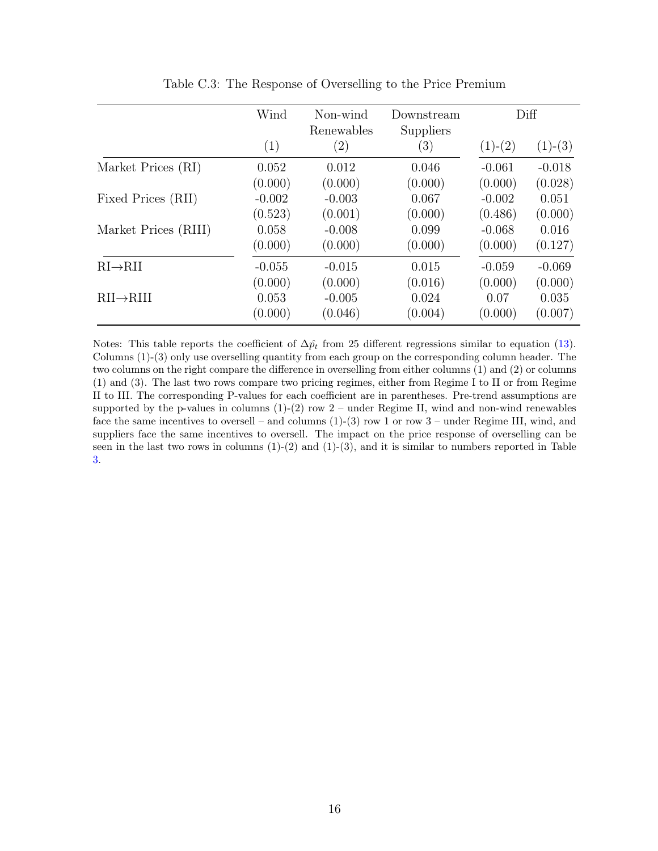<span id="page-59-0"></span>

|                        | Wind     | Non-wind<br>Renewables | Downstream<br>Suppliers |           | Diff      |
|------------------------|----------|------------------------|-------------------------|-----------|-----------|
|                        | (1)      | (2)                    | $\left( 3\right)$       | $(1)-(2)$ | $(1)-(3)$ |
| Market Prices (RI)     | 0.052    | 0.012                  | 0.046                   | $-0.061$  | $-0.018$  |
|                        | (0.000)  | (0.000)                | (0.000)                 | (0.000)   | (0.028)   |
| Fixed Prices (RII)     | $-0.002$ | $-0.003$               | 0.067                   | $-0.002$  | 0.051     |
|                        | (0.523)  | (0.001)                | (0.000)                 | (0.486)   | (0.000)   |
| Market Prices (RIII)   | 0.058    | $-0.008$               | 0.099                   | $-0.068$  | 0.016     |
|                        | (0.000)  | (0.000)                | (0.000)                 | (0.000)   | (0.127)   |
| $RI \rightarrow RII$   | $-0.055$ | $-0.015$               | 0.015                   | $-0.059$  | $-0.069$  |
|                        | (0.000)  | (0.000)                | (0.016)                 | (0.000)   | (0.000)   |
| $RII \rightarrow RIII$ | 0.053    | $-0.005$               | 0.024                   | 0.07      | 0.035     |
|                        | (0.000)  | (0.046)                | (0.004)                 | (0.000)   | (0.007)   |

Table C.3: The Response of Overselling to the Price Premium

Notes: This table reports the coefficient of  $\Delta \hat{p}_t$  from 25 different regressions similar to equation [\(13\)](#page-43-1). Columns (1)-(3) only use overselling quantity from each group on the corresponding column header. The two columns on the right compare the difference in overselling from either columns (1) and (2) or columns (1) and (3). The last two rows compare two pricing regimes, either from Regime I to II or from Regime II to III. The corresponding P-values for each coefficient are in parentheses. Pre-trend assumptions are supported by the p-values in columns  $(1)-(2)$  row  $2$  – under Regime II, wind and non-wind renewables face the same incentives to oversell – and columns  $(1)-(3)$  row 1 or row 3 – under Regime III, wind, and suppliers face the same incentives to oversell. The impact on the price response of overselling can be seen in the last two rows in columns  $(1)-(2)$  and  $(1)-(3)$ , and it is similar to numbers reported in Table [3.](#page-59-0)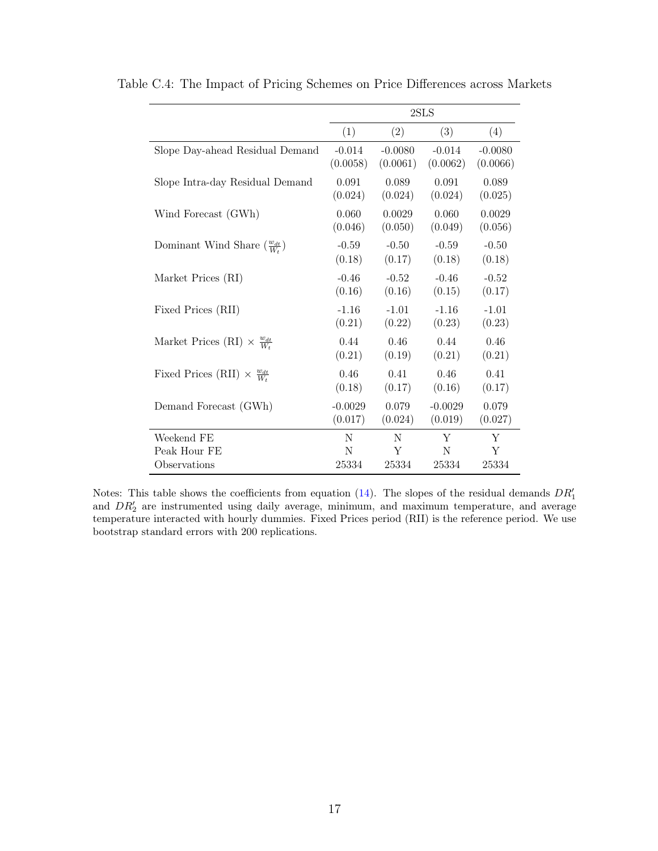|                                                     | 2SLS      |           |           |           |  |
|-----------------------------------------------------|-----------|-----------|-----------|-----------|--|
|                                                     | (1)       | (2)       | (3)       | (4)       |  |
| Slope Day-ahead Residual Demand                     | $-0.014$  | $-0.0080$ | $-0.014$  | $-0.0080$ |  |
|                                                     | (0.0058)  | (0.0061)  | (0.0062)  | (0.0066)  |  |
| Slope Intra-day Residual Demand                     | 0.091     | 0.089     | 0.091     | 0.089     |  |
|                                                     | (0.024)   | (0.024)   | (0.024)   | (0.025)   |  |
| Wind Forecast (GWh)                                 | 0.060     | 0.0029    | 0.060     | 0.0029    |  |
|                                                     | (0.046)   | (0.050)   | (0.049)   | (0.056)   |  |
| Dominant Wind Share $\left(\frac{w_{dt}}{W}\right)$ | $-0.59$   | $-0.50$   | $-0.59$   | $-0.50$   |  |
|                                                     | (0.18)    | (0.17)    | (0.18)    | (0.18)    |  |
| Market Prices (RI)                                  | $-0.46$   | $-0.52$   | $-0.46$   | $-0.52$   |  |
|                                                     | (0.16)    | (0.16)    | (0.15)    | (0.17)    |  |
| Fixed Prices (RII)                                  | $-1.16$   | $-1.01$   | $-1.16$   | $-1.01$   |  |
|                                                     | (0.21)    | (0.22)    | (0.23)    | (0.23)    |  |
| Market Prices (RI) $\times \frac{w_{dt}}{W_t}$      | 0.44      | 0.46      | 0.44      | 0.46      |  |
|                                                     | (0.21)    | (0.19)    | (0.21)    | (0.21)    |  |
| Fixed Prices (RII) $\times \frac{w_{dt}}{W_t}$      | 0.46      | 0.41      | 0.46      | 0.41      |  |
|                                                     | (0.18)    | (0.17)    | (0.16)    | (0.17)    |  |
| Demand Forecast (GWh)                               | $-0.0029$ | 0.079     | $-0.0029$ | 0.079     |  |
|                                                     | (0.017)   | (0.024)   | (0.019)   | (0.027)   |  |
| Weekend FE                                          | N         | N         | Y         | Y         |  |
| Peak Hour FE                                        | N         | Y         | N         | Y         |  |
| Observations                                        | 25334     | 25334     | 25334     | 25334     |  |

Table C.4: The Impact of Pricing Schemes on Price Differences across Markets

Notes: This table shows the coefficients from equation  $(14)$ . The slopes of the residual demands  $DR'_1$ and  $DR'_2$  are instrumented using daily average, minimum, and maximum temperature, and average temperature interacted with hourly dummies. Fixed Prices period (RII) is the reference period. We use bootstrap standard errors with 200 replications.